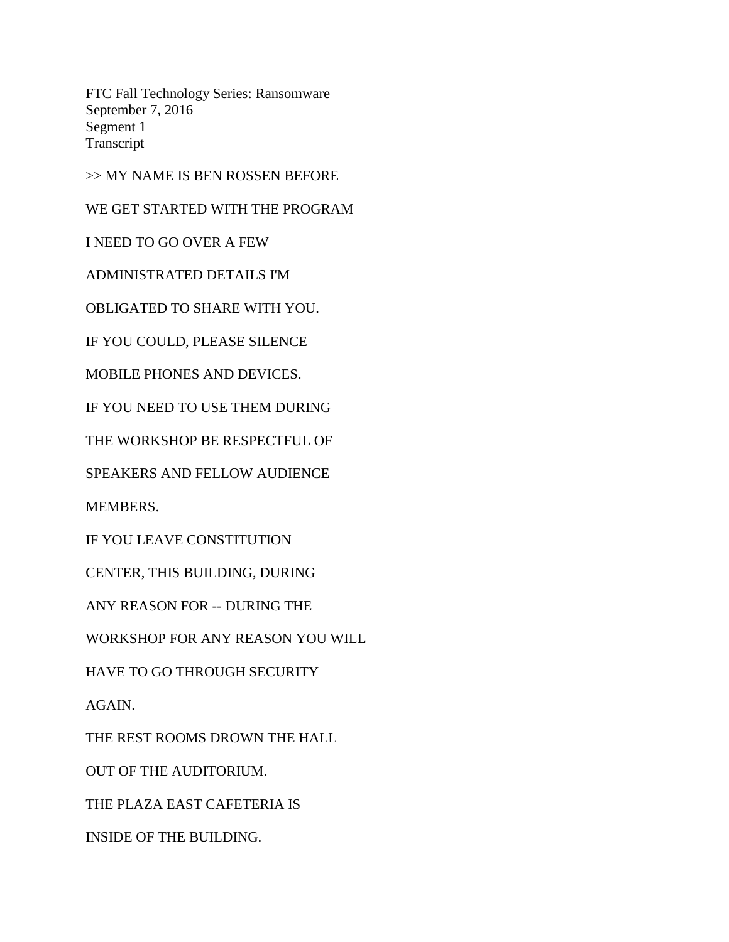FTC Fall Technology Series: Ransomware September 7, 2016 Segment 1 Transcript

>> MY NAME IS BEN ROSSEN BEFORE

WE GET STARTED WITH THE PROGRAM

I NEED TO GO OVER A FEW

ADMINISTRATED DETAILS I'M

OBLIGATED TO SHARE WITH YOU.

IF YOU COULD, PLEASE SILENCE

MOBILE PHONES AND DEVICES.

IF YOU NEED TO USE THEM DURING

THE WORKSHOP BE RESPECTFUL OF

SPEAKERS AND FELLOW AUDIENCE

MEMBERS.

IF YOU LEAVE CONSTITUTION

CENTER, THIS BUILDING, DURING

ANY REASON FOR -- DURING THE

WORKSHOP FOR ANY REASON YOU WILL

HAVE TO GO THROUGH SECURITY

AGAIN.

THE REST ROOMS DROWN THE HALL

OUT OF THE AUDITORIUM.

THE PLAZA EAST CAFETERIA IS

INSIDE OF THE BUILDING.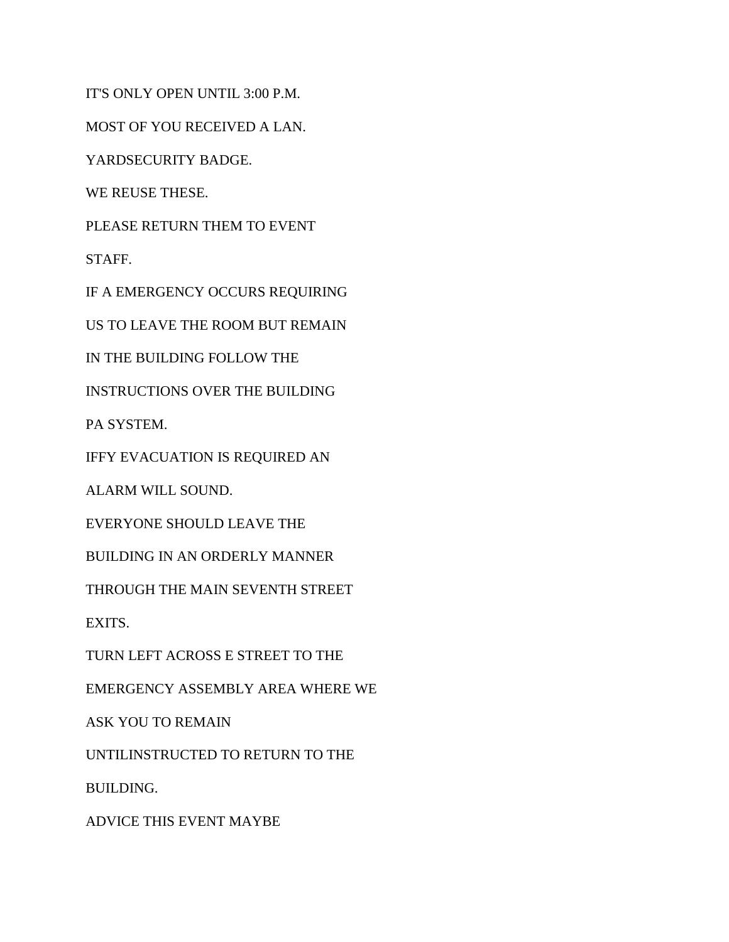IT'S ONLY OPEN UNTIL 3:00 P.M.

MOST OF YOU RECEIVED A LAN.

YARDSECURITY BADGE.

WE REUSE THESE.

PLEASE RETURN THEM TO EVENT

STAFF.

IF A EMERGENCY OCCURS REQUIRING

US TO LEAVE THE ROOM BUT REMAIN

IN THE BUILDING FOLLOW THE

INSTRUCTIONS OVER THE BUILDING

PA SYSTEM.

IFFY EVACUATION IS REQUIRED AN

ALARM WILL SOUND.

EVERYONE SHOULD LEAVE THE

BUILDING IN AN ORDERLY MANNER

THROUGH THE MAIN SEVENTH STREET

EXITS.

TURN LEFT ACROSS E STREET TO THE

EMERGENCY ASSEMBLY AREA WHERE WE

ASK YOU TO REMAIN

UNTILINSTRUCTED TO RETURN TO THE

BUILDING.

ADVICE THIS EVENT MAYBE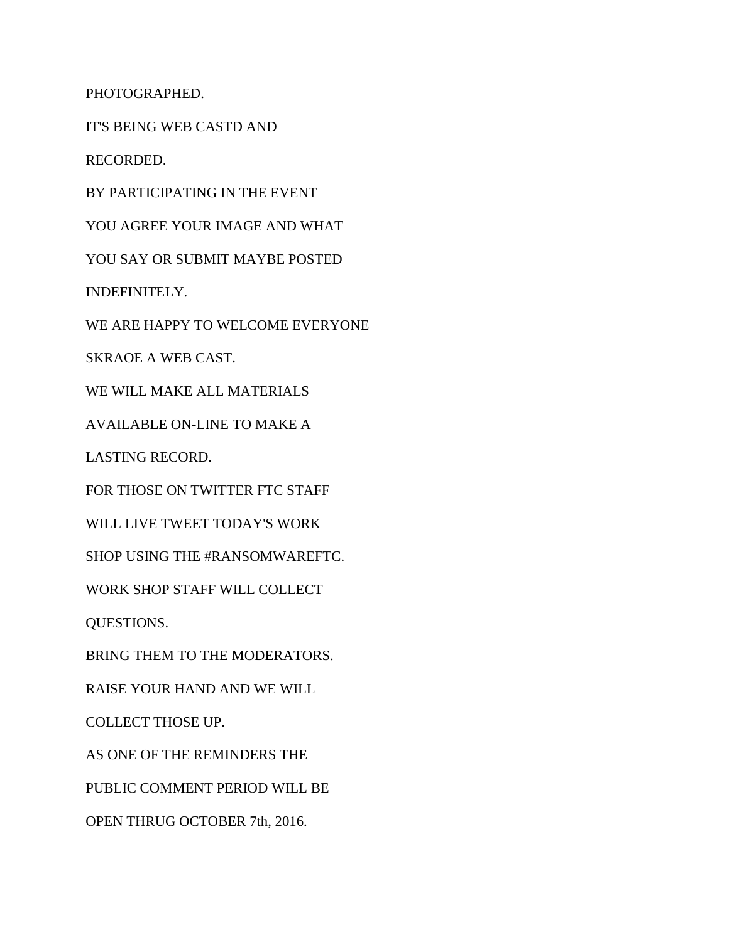PHOTOGRAPHED.

IT'S BEING WEB CASTD AND

RECORDED.

BY PARTICIPATING IN THE EVENT

YOU AGREE YOUR IMAGE AND WHAT

YOU SAY OR SUBMIT MAYBE POSTED

INDEFINITELY.

WE ARE HAPPY TO WELCOME EVERYONE

SKRAOE A WEB CAST.

WE WILL MAKE ALL MATERIALS

AVAILABLE ON-LINE TO MAKE A

LASTING RECORD.

FOR THOSE ON TWITTER FTC STAFF

WILL LIVE TWEET TODAY'S WORK

SHOP USING THE #RANSOMWAREFTC.

WORK SHOP STAFF WILL COLLECT

QUESTIONS.

BRING THEM TO THE MODERATORS.

RAISE YOUR HAND AND WE WILL

COLLECT THOSE UP.

AS ONE OF THE REMINDERS THE

PUBLIC COMMENT PERIOD WILL BE

OPEN THRUG OCTOBER 7th, 2016.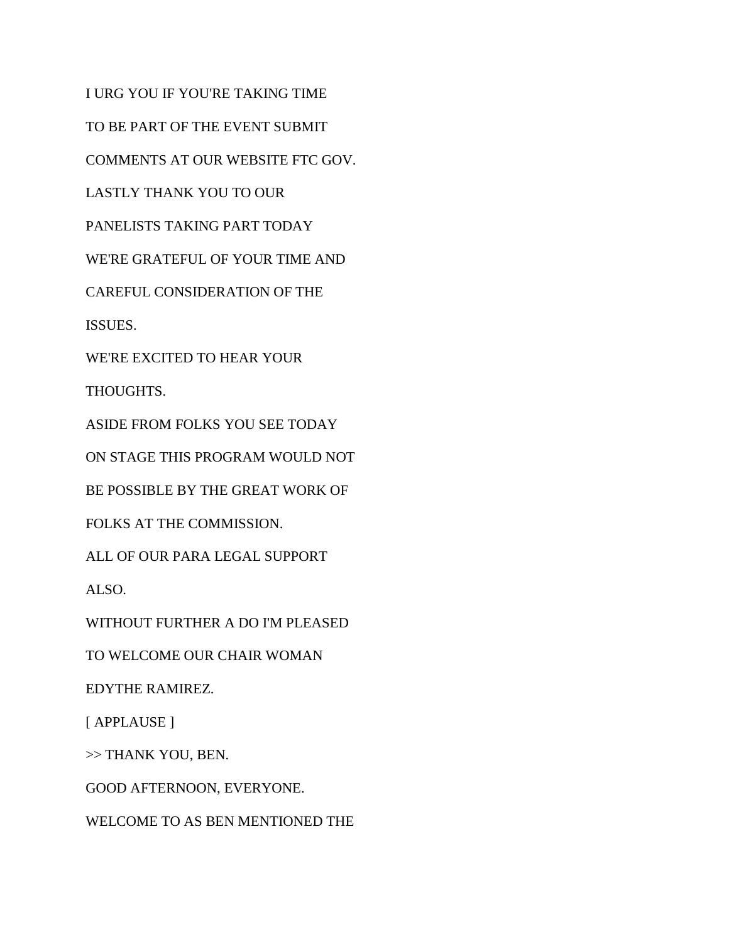I URG YOU IF YOU'RE TAKING TIME TO BE PART OF THE EVENT SUBMIT COMMENTS AT OUR WEBSITE FTC GOV. LASTLY THANK YOU TO OUR PANELISTS TAKING PART TODAY WE'RE GRATEFUL OF YOUR TIME AND CAREFUL CONSIDERATION OF THE ISSUES. WE'RE EXCITED TO HEAR YOUR THOUGHTS. ASIDE FROM FOLKS YOU SEE TODAY ON STAGE THIS PROGRAM WOULD NOT BE POSSIBLE BY THE GREAT WORK OF FOLKS AT THE COMMISSION. ALL OF OUR PARA LEGAL SUPPORT ALSO. WITHOUT FURTHER A DO I'M PLEASED TO WELCOME OUR CHAIR WOMAN EDYTHE RAMIREZ. [ APPLAUSE ] >> THANK YOU, BEN. GOOD AFTERNOON, EVERYONE. WELCOME TO AS BEN MENTIONED THE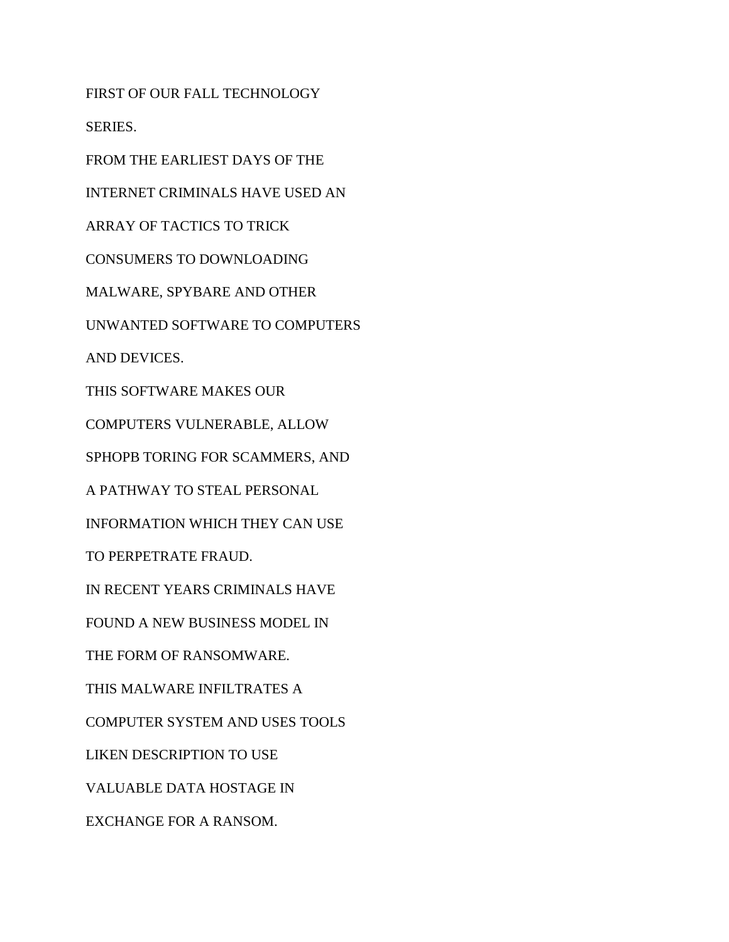FIRST OF OUR FALL TECHNOLOGY SERIES. FROM THE EARLIEST DAYS OF THE INTERNET CRIMINALS HAVE USED AN ARRAY OF TACTICS TO TRICK CONSUMERS TO DOWNLOADING MALWARE, SPYBARE AND OTHER UNWANTED SOFTWARE TO COMPUTERS AND DEVICES. THIS SOFTWARE MAKES OUR COMPUTERS VULNERABLE, ALLOW SPHOPB TORING FOR SCAMMERS, AND A PATHWAY TO STEAL PERSONAL INFORMATION WHICH THEY CAN USE TO PERPETRATE FRAUD. IN RECENT YEARS CRIMINALS HAVE FOUND A NEW BUSINESS MODEL IN THE FORM OF RANSOMWARE. THIS MALWARE INFILTRATES A COMPUTER SYSTEM AND USES TOOLS LIKEN DESCRIPTION TO USE VALUABLE DATA HOSTAGE IN EXCHANGE FOR A RANSOM.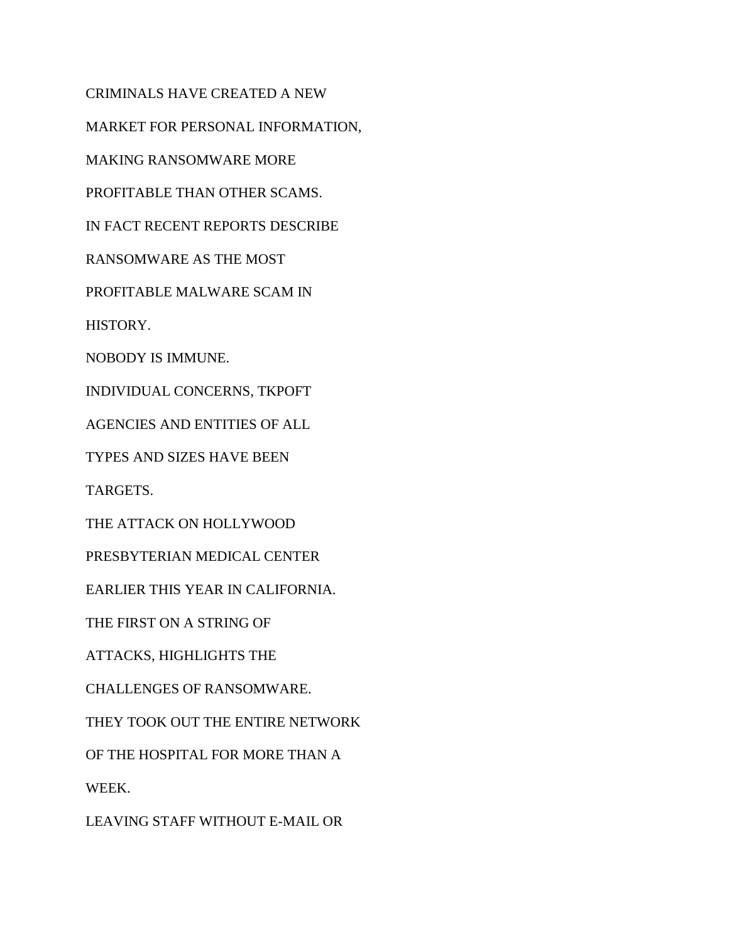CRIMINALS HAVE CREATED A NEW MARKET FOR PERSONAL INFORMATION, MAKING RANSOMWARE MORE PROFITABLE THAN OTHER SCAMS. IN FACT RECENT REPORTS DESCRIBE RANSOMWARE AS THE MOST PROFITABLE MALWARE SCAM IN HISTORY. NOBODY IS IMMUNE. INDIVIDUAL CONCERNS, TKPOFT AGENCIES AND ENTITIES OF ALL TYPES AND SIZES HAVE BEEN TARGETS. THE ATTACK ON HOLLYWOOD PRESBYTERIAN MEDICAL CENTER EARLIER THIS YEAR IN CALIFORNIA. THE FIRST ON A STRING OF ATTACKS, HIGHLIGHTS THE CHALLENGES OF RANSOMWARE. THEY TOOK OUT THE ENTIRE NETWORK OF THE HOSPITAL FOR MORE THAN A WEEK. LEAVING STAFF WITHOUT E-MAIL OR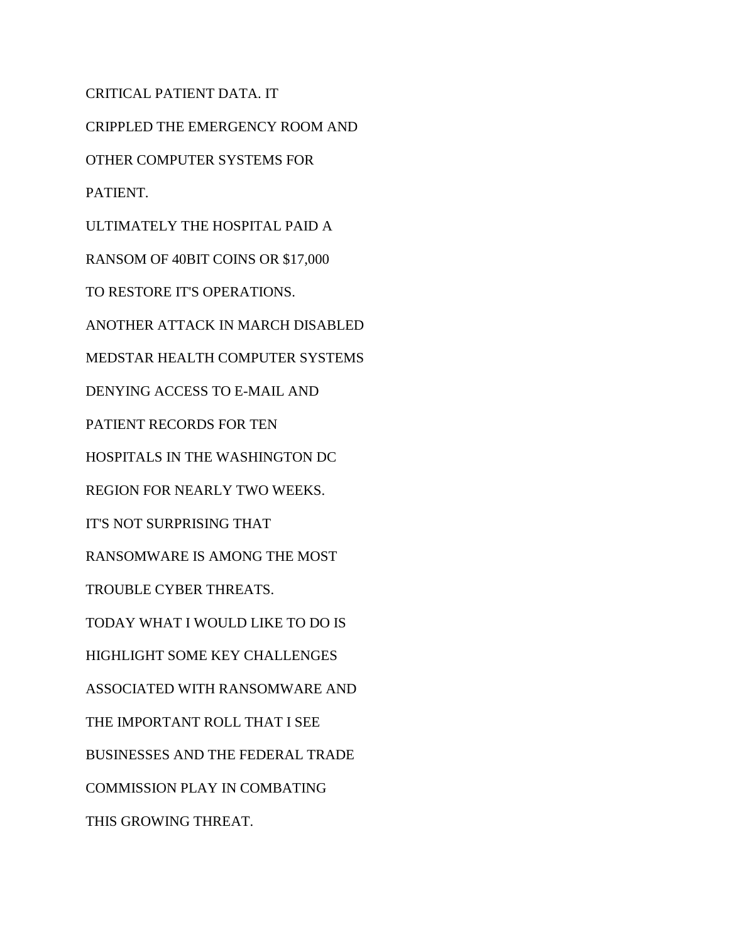CRITICAL PATIENT DATA. IT CRIPPLED THE EMERGENCY ROOM AND OTHER COMPUTER SYSTEMS FOR PATIENT. ULTIMATELY THE HOSPITAL PAID A RANSOM OF 40BIT COINS OR \$17,000 TO RESTORE IT'S OPERATIONS. ANOTHER ATTACK IN MARCH DISABLED MEDSTAR HEALTH COMPUTER SYSTEMS DENYING ACCESS TO E-MAIL AND PATIENT RECORDS FOR TEN HOSPITALS IN THE WASHINGTON DC REGION FOR NEARLY TWO WEEKS. IT'S NOT SURPRISING THAT RANSOMWARE IS AMONG THE MOST TROUBLE CYBER THREATS. TODAY WHAT I WOULD LIKE TO DO IS HIGHLIGHT SOME KEY CHALLENGES ASSOCIATED WITH RANSOMWARE AND THE IMPORTANT ROLL THAT I SEE BUSINESSES AND THE FEDERAL TRADE COMMISSION PLAY IN COMBATING THIS GROWING THREAT.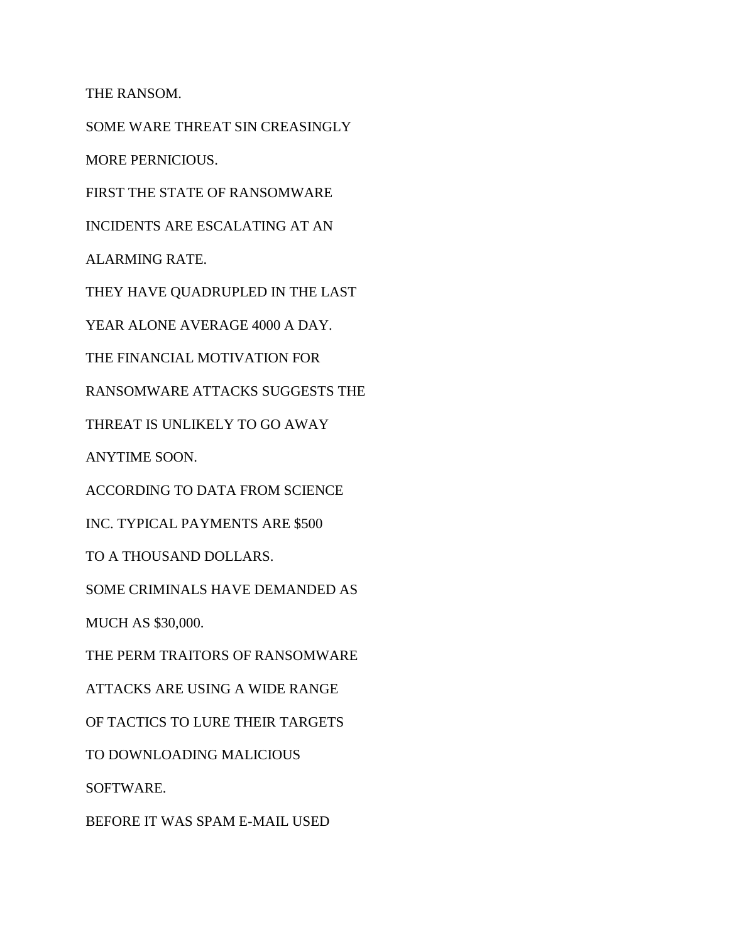THE RANSOM.

SOME WARE THREAT SIN CREASINGLY

MORE PERNICIOUS.

FIRST THE STATE OF RANSOMWARE

INCIDENTS ARE ESCALATING AT AN

ALARMING RATE.

THEY HAVE QUADRUPLED IN THE LAST

YEAR ALONE AVERAGE 4000 A DAY.

THE FINANCIAL MOTIVATION FOR

RANSOMWARE ATTACKS SUGGESTS THE

THREAT IS UNLIKELY TO GO AWAY

ANYTIME SOON.

ACCORDING TO DATA FROM SCIENCE

INC. TYPICAL PAYMENTS ARE \$500

TO A THOUSAND DOLLARS.

SOME CRIMINALS HAVE DEMANDED AS

MUCH AS \$30,000.

THE PERM TRAITORS OF RANSOMWARE

ATTACKS ARE USING A WIDE RANGE

OF TACTICS TO LURE THEIR TARGETS

TO DOWNLOADING MALICIOUS

SOFTWARE.

BEFORE IT WAS SPAM E-MAIL USED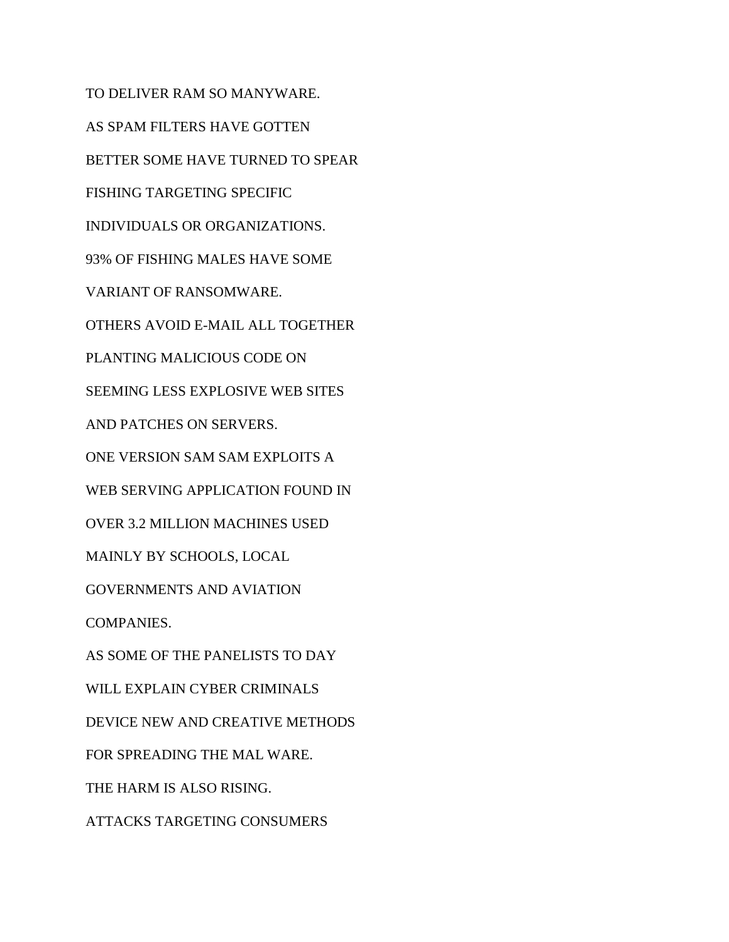TO DELIVER RAM SO MANYWARE. AS SPAM FILTERS HAVE GOTTEN BETTER SOME HAVE TURNED TO SPEAR FISHING TARGETING SPECIFIC INDIVIDUALS OR ORGANIZATIONS. 93% OF FISHING MALES HAVE SOME VARIANT OF RANSOMWARE. OTHERS AVOID E-MAIL ALL TOGETHER PLANTING MALICIOUS CODE ON SEEMING LESS EXPLOSIVE WEB SITES AND PATCHES ON SERVERS. ONE VERSION SAM SAM EXPLOITS A WEB SERVING APPLICATION FOUND IN OVER 3.2 MILLION MACHINES USED MAINLY BY SCHOOLS, LOCAL GOVERNMENTS AND AVIATION COMPANIES. AS SOME OF THE PANELISTS TO DAY WILL EXPLAIN CYBER CRIMINALS DEVICE NEW AND CREATIVE METHODS FOR SPREADING THE MAL WARE. THE HARM IS ALSO RISING. ATTACKS TARGETING CONSUMERS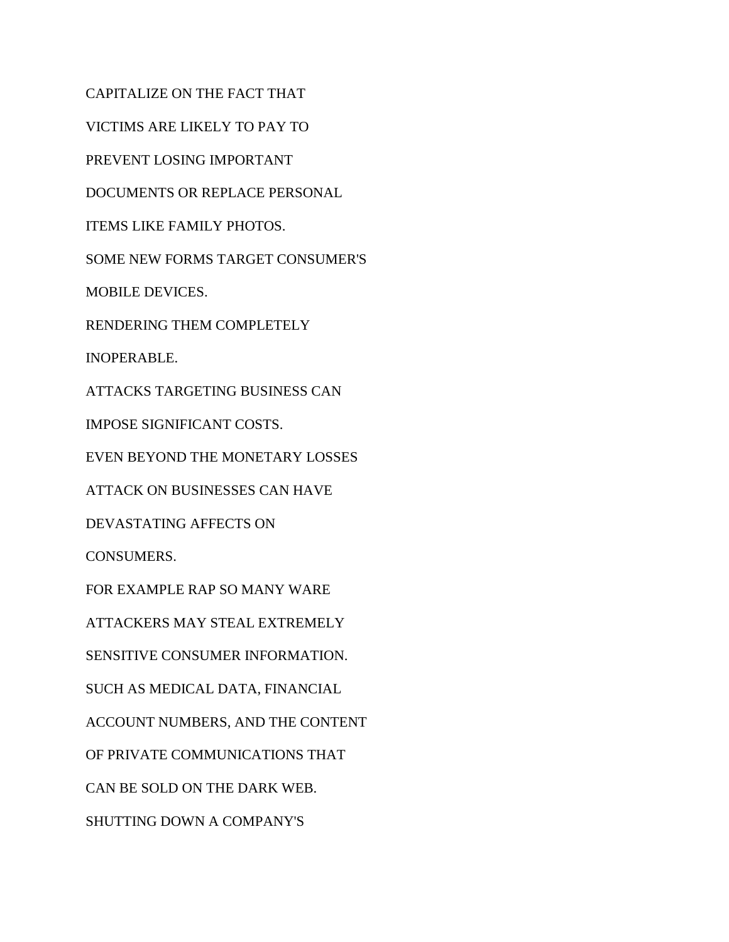CAPITALIZE ON THE FACT THAT VICTIMS ARE LIKELY TO PAY TO PREVENT LOSING IMPORTANT DOCUMENTS OR REPLACE PERSONAL ITEMS LIKE FAMILY PHOTOS. SOME NEW FORMS TARGET CONSUMER'S MOBILE DEVICES. RENDERING THEM COMPLETELY INOPERABLE. ATTACKS TARGETING BUSINESS CAN IMPOSE SIGNIFICANT COSTS. EVEN BEYOND THE MONETARY LOSSES ATTACK ON BUSINESSES CAN HAVE DEVASTATING AFFECTS ON CONSUMERS. FOR EXAMPLE RAP SO MANY WARE ATTACKERS MAY STEAL EXTREMELY SENSITIVE CONSUMER INFORMATION. SUCH AS MEDICAL DATA, FINANCIAL ACCOUNT NUMBERS, AND THE CONTENT OF PRIVATE COMMUNICATIONS THAT CAN BE SOLD ON THE DARK WEB. SHUTTING DOWN A COMPANY'S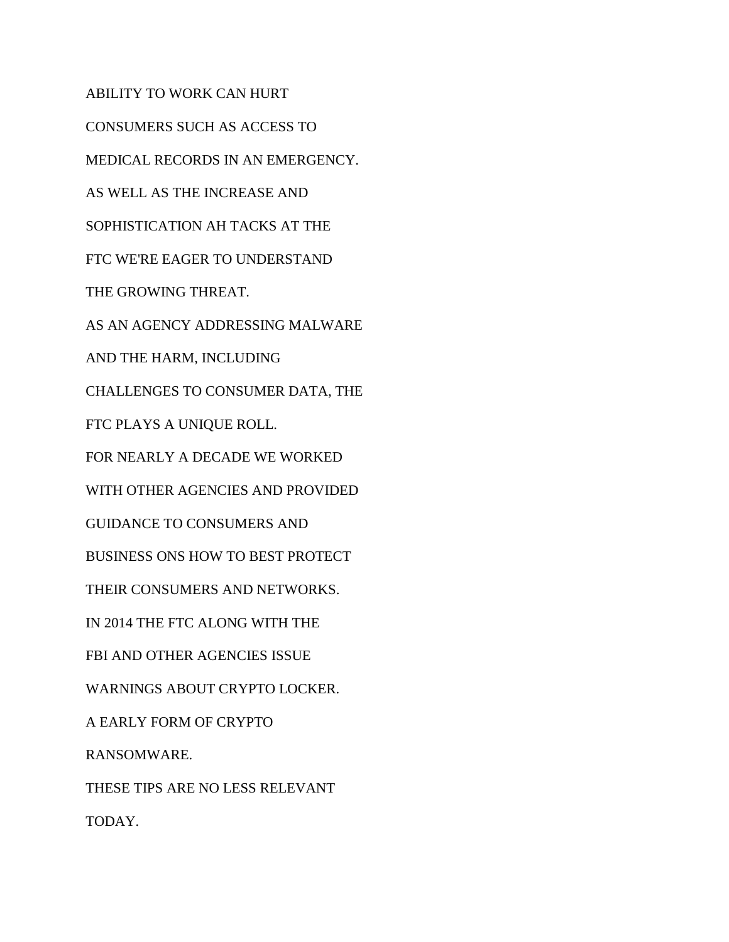ABILITY TO WORK CAN HURT CONSUMERS SUCH AS ACCESS TO MEDICAL RECORDS IN AN EMERGENCY. AS WELL AS THE INCREASE AND SOPHISTICATION AH TACKS AT THE FTC WE'RE EAGER TO UNDERSTAND THE GROWING THREAT. AS AN AGENCY ADDRESSING MALWARE AND THE HARM, INCLUDING CHALLENGES TO CONSUMER DATA, THE FTC PLAYS A UNIQUE ROLL. FOR NEARLY A DECADE WE WORKED WITH OTHER AGENCIES AND PROVIDED GUIDANCE TO CONSUMERS AND BUSINESS ONS HOW TO BEST PROTECT THEIR CONSUMERS AND NETWORKS. IN 2014 THE FTC ALONG WITH THE FBI AND OTHER AGENCIES ISSUE WARNINGS ABOUT CRYPTO LOCKER. A EARLY FORM OF CRYPTO RANSOMWARE. THESE TIPS ARE NO LESS RELEVANT TODAY.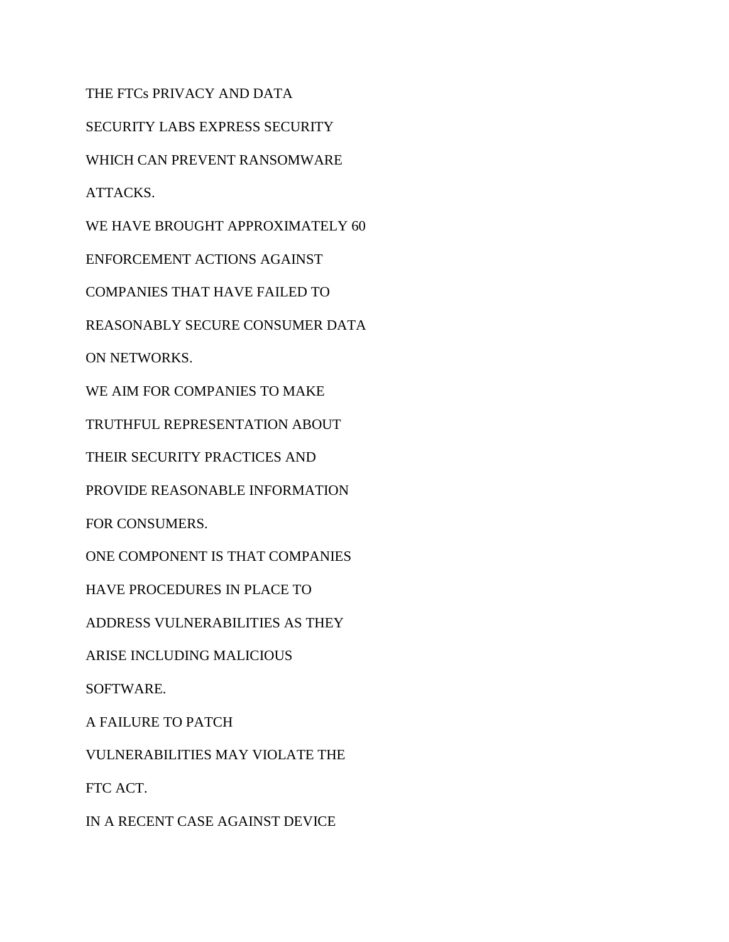THE FTCs PRIVACY AND DATA

SECURITY LABS EXPRESS SECURITY

WHICH CAN PREVENT RANSOMWARE

ATTACKS.

WE HAVE BROUGHT APPROXIMATELY 60

ENFORCEMENT ACTIONS AGAINST

COMPANIES THAT HAVE FAILED TO

REASONABLY SECURE CONSUMER DATA

ON NETWORKS.

WE AIM FOR COMPANIES TO MAKE

TRUTHFUL REPRESENTATION ABOUT

THEIR SECURITY PRACTICES AND

PROVIDE REASONABLE INFORMATION

FOR CONSUMERS.

ONE COMPONENT IS THAT COMPANIES

HAVE PROCEDURES IN PLACE TO

ADDRESS VULNERABILITIES AS THEY

ARISE INCLUDING MALICIOUS

SOFTWARE.

A FAILURE TO PATCH

VULNERABILITIES MAY VIOLATE THE

FTC ACT.

IN A RECENT CASE AGAINST DEVICE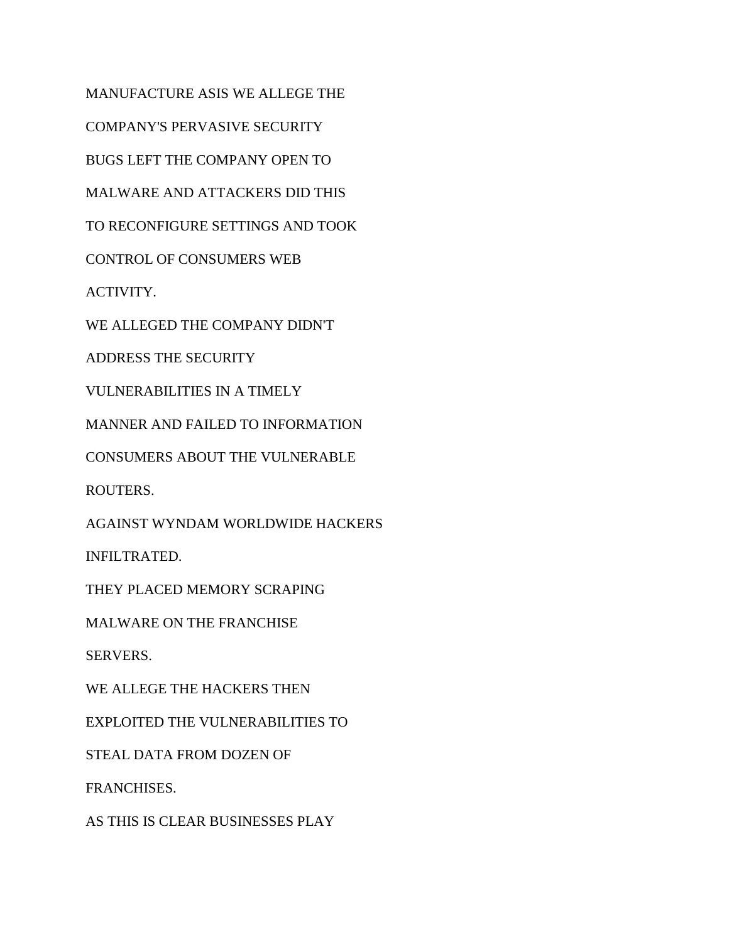MANUFACTURE ASIS WE ALLEGE THE COMPANY'S PERVASIVE SECURITY BUGS LEFT THE COMPANY OPEN TO MALWARE AND ATTACKERS DID THIS TO RECONFIGURE SETTINGS AND TOOK CONTROL OF CONSUMERS WEB ACTIVITY. WE ALLEGED THE COMPANY DIDN'T ADDRESS THE SECURITY VULNERABILITIES IN A TIMELY MANNER AND FAILED TO INFORMATION CONSUMERS ABOUT THE VULNERABLE ROUTERS. AGAINST WYNDAM WORLDWIDE HACKERS INFILTRATED. THEY PLACED MEMORY SCRAPING MALWARE ON THE FRANCHISE SERVERS. WE ALLEGE THE HACKERS THEN EXPLOITED THE VULNERABILITIES TO STEAL DATA FROM DOZEN OF FRANCHISES. AS THIS IS CLEAR BUSINESSES PLAY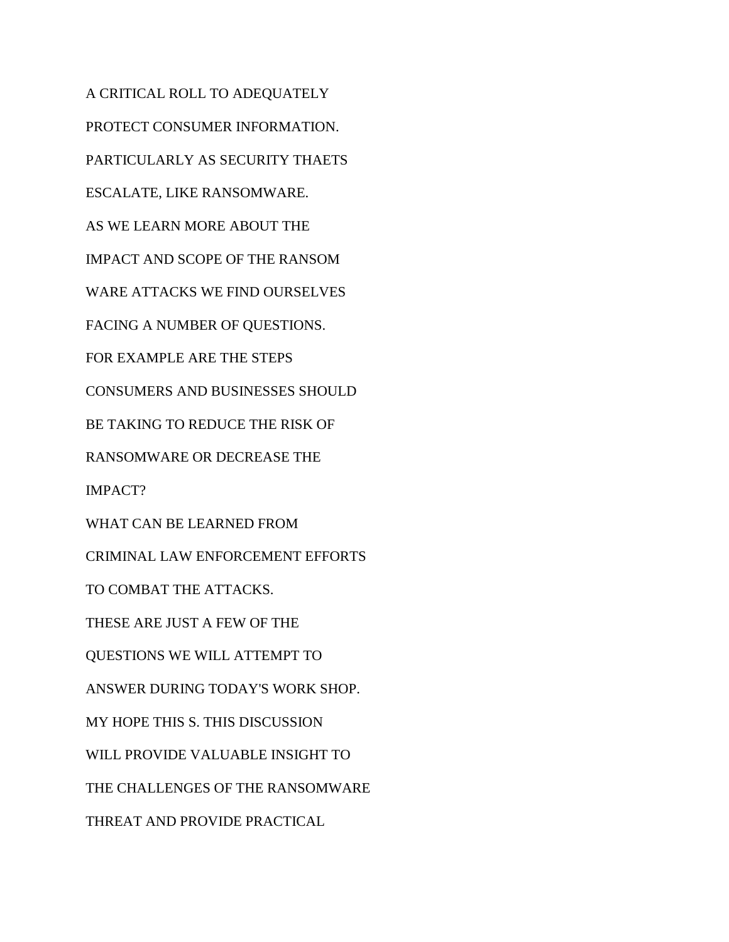A CRITICAL ROLL TO ADEQUATELY PROTECT CONSUMER INFORMATION. PARTICULARLY AS SECURITY THAETS ESCALATE, LIKE RANSOMWARE. AS WE LEARN MORE ABOUT THE IMPACT AND SCOPE OF THE RANSOM WARE ATTACKS WE FIND OURSELVES FACING A NUMBER OF QUESTIONS. FOR EXAMPLE ARE THE STEPS CONSUMERS AND BUSINESSES SHOULD BE TAKING TO REDUCE THE RISK OF RANSOMWARE OR DECREASE THE IMPACT? WHAT CAN BE LEARNED FROM CRIMINAL LAW ENFORCEMENT EFFORTS TO COMBAT THE ATTACKS. THESE ARE JUST A FEW OF THE QUESTIONS WE WILL ATTEMPT TO ANSWER DURING TODAY'S WORK SHOP. MY HOPE THIS S. THIS DISCUSSION WILL PROVIDE VALUABLE INSIGHT TO THE CHALLENGES OF THE RANSOMWARE THREAT AND PROVIDE PRACTICAL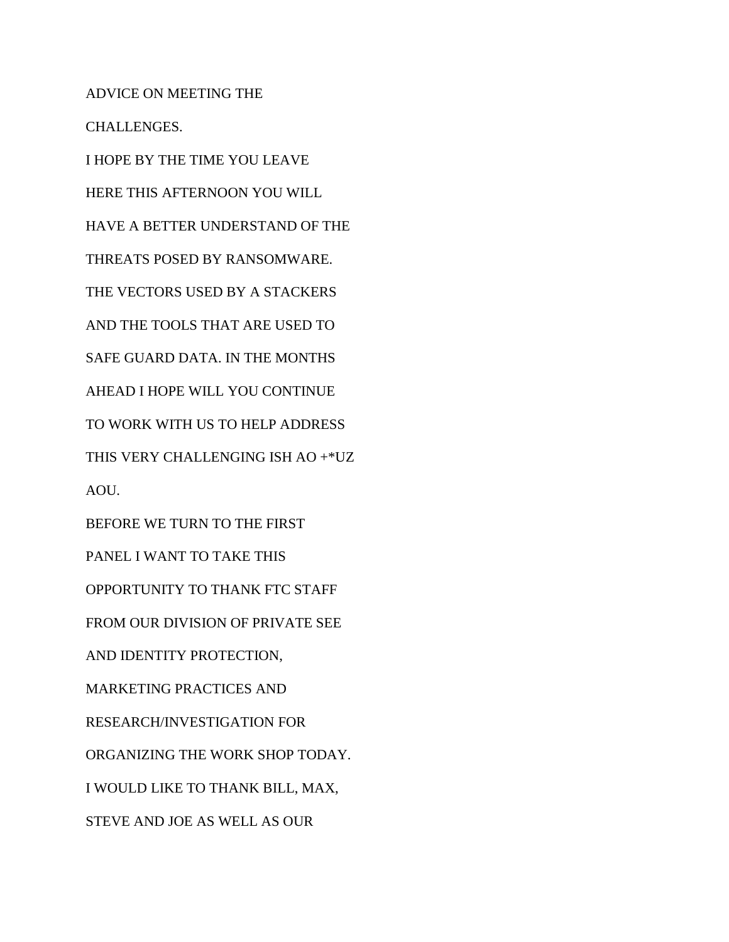ADVICE ON MEETING THE CHALLENGES. I HOPE BY THE TIME YOU LEAVE HERE THIS AFTERNOON YOU WILL HAVE A BETTER UNDERSTAND OF THE THREATS POSED BY RANSOMWARE. THE VECTORS USED BY A STACKERS AND THE TOOLS THAT ARE USED TO SAFE GUARD DATA. IN THE MONTHS AHEAD I HOPE WILL YOU CONTINUE TO WORK WITH US TO HELP ADDRESS THIS VERY CHALLENGING ISH AO +\*UZ AOU. BEFORE WE TURN TO THE FIRST PANEL I WANT TO TAKE THIS OPPORTUNITY TO THANK FTC STAFF FROM OUR DIVISION OF PRIVATE SEE AND IDENTITY PROTECTION, MARKETING PRACTICES AND RESEARCH/INVESTIGATION FOR ORGANIZING THE WORK SHOP TODAY. I WOULD LIKE TO THANK BILL, MAX, STEVE AND JOE AS WELL AS OUR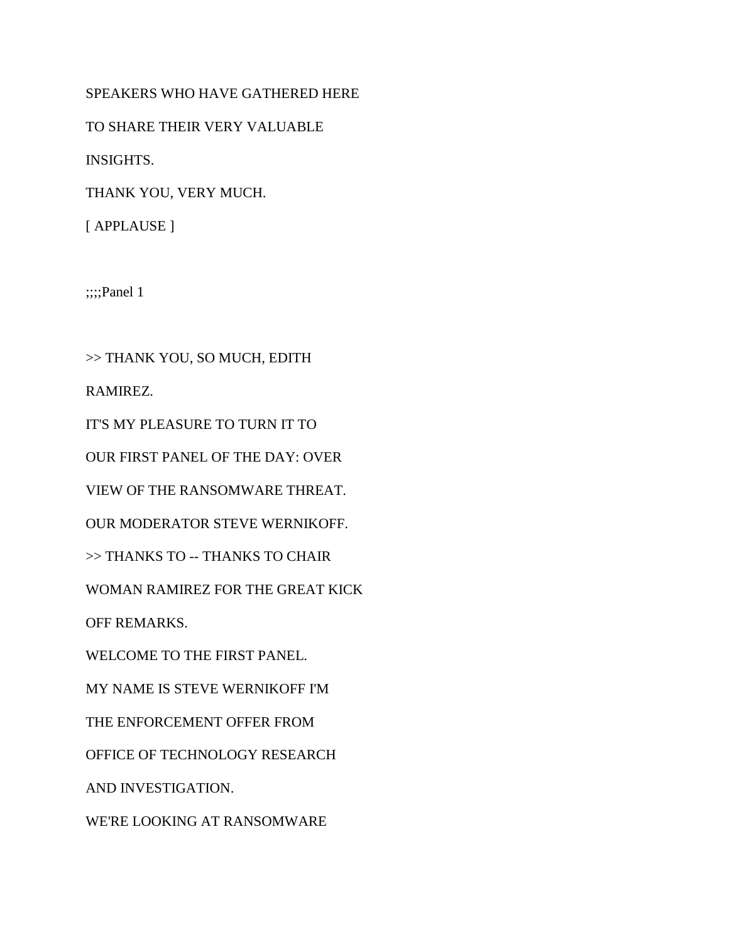## SPEAKERS WHO HAVE GATHERED HERE

TO SHARE THEIR VERY VALUABLE

INSIGHTS.

THANK YOU, VERY MUCH.

[ APPLAUSE ]

;;;;Panel 1

>> THANK YOU, SO MUCH, EDITH RAMIREZ. IT'S MY PLEASURE TO TURN IT TO OUR FIRST PANEL OF THE DAY: OVER VIEW OF THE RANSOMWARE THREAT. OUR MODERATOR STEVE WERNIKOFF. >> THANKS TO -- THANKS TO CHAIR WOMAN RAMIREZ FOR THE GREAT KICK OFF REMARKS. WELCOME TO THE FIRST PANEL. MY NAME IS STEVE WERNIKOFF I'M THE ENFORCEMENT OFFER FROM OFFICE OF TECHNOLOGY RESEARCH AND INVESTIGATION. WE'RE LOOKING AT RANSOMWARE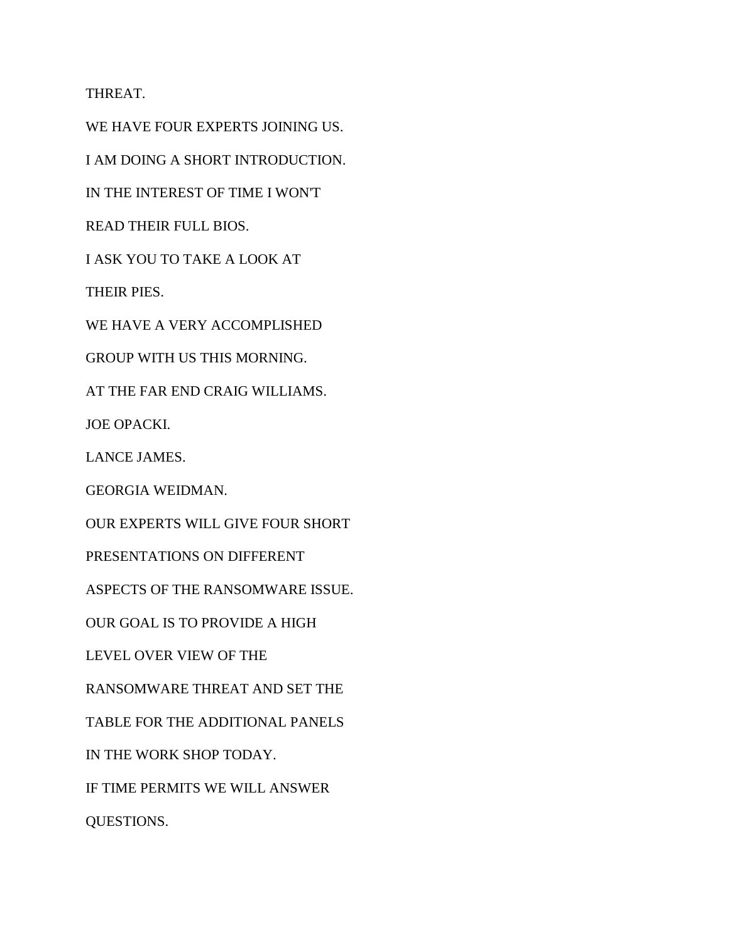THREAT.

WE HAVE FOUR EXPERTS JOINING US. I AM DOING A SHORT INTRODUCTION. IN THE INTEREST OF TIME I WON'T READ THEIR FULL BIOS. I ASK YOU TO TAKE A LOOK AT THEIR PIES. WE HAVE A VERY ACCOMPLISHED GROUP WITH US THIS MORNING. AT THE FAR END CRAIG WILLIAMS. JOE OPACKI. LANCE JAMES. GEORGIA WEIDMAN. OUR EXPERTS WILL GIVE FOUR SHORT PRESENTATIONS ON DIFFERENT ASPECTS OF THE RANSOMWARE ISSUE. OUR GOAL IS TO PROVIDE A HIGH LEVEL OVER VIEW OF THE RANSOMWARE THREAT AND SET THE TABLE FOR THE ADDITIONAL PANELS IN THE WORK SHOP TODAY. IF TIME PERMITS WE WILL ANSWER QUESTIONS.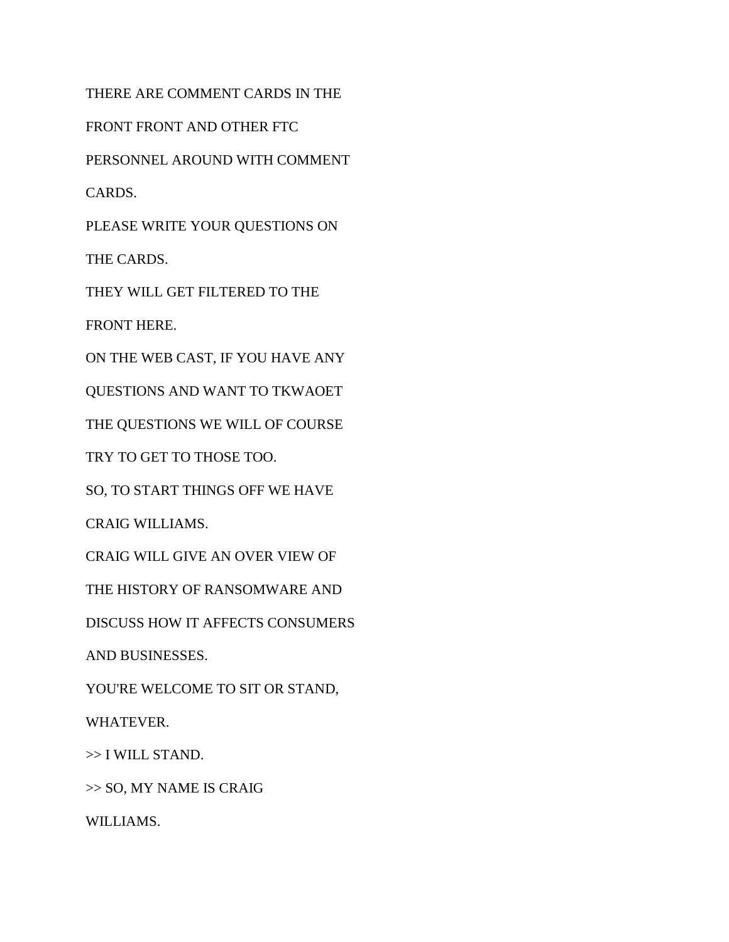THERE ARE COMMENT CARDS IN THE FRONT FRONT AND OTHER FTC PERSONNEL AROUND WITH COMMENT CARDS. PLEASE WRITE YOUR QUESTIONS ON THE CARDS. THEY WILL GET FILTERED TO THE FRONT HERE. ON THE WEB CAST, IF YOU HAVE ANY QUESTIONS AND WANT TO TKWAOET THE QUESTIONS WE WILL OF COURSE TRY TO GET TO THOSE TOO. SO, TO START THINGS OFF WE HAVE CRAIG WILLIAMS. CRAIG WILL GIVE AN OVER VIEW OF THE HISTORY OF RANSOMWARE AND DISCUSS HOW IT AFFECTS CONSUMERS AND BUSINESSES. YOU'RE WELCOME TO SIT OR STAND, WHATEVER. >> I WILL STAND. >> SO, MY NAME IS CRAIG

WILLIAMS.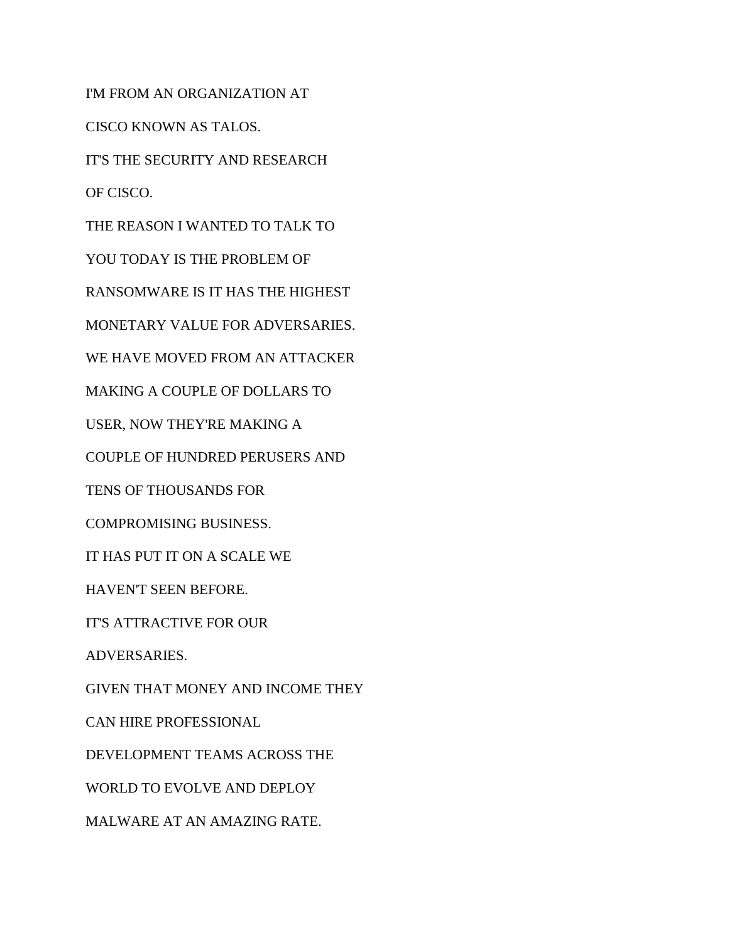I'M FROM AN ORGANIZATION AT CISCO KNOWN AS TALOS. IT'S THE SECURITY AND RESEARCH OF CISCO. THE REASON I WANTED TO TALK TO YOU TODAY IS THE PROBLEM OF RANSOMWARE IS IT HAS THE HIGHEST MONETARY VALUE FOR ADVERSARIES. WE HAVE MOVED FROM AN ATTACKER MAKING A COUPLE OF DOLLARS TO USER, NOW THEY'RE MAKING A COUPLE OF HUNDRED PERUSERS AND TENS OF THOUSANDS FOR COMPROMISING BUSINESS. IT HAS PUT IT ON A SCALE WE HAVEN'T SEEN BEFORE. IT'S ATTRACTIVE FOR OUR ADVERSARIES. GIVEN THAT MONEY AND INCOME THEY CAN HIRE PROFESSIONAL DEVELOPMENT TEAMS ACROSS THE WORLD TO EVOLVE AND DEPLOY MALWARE AT AN AMAZING RATE.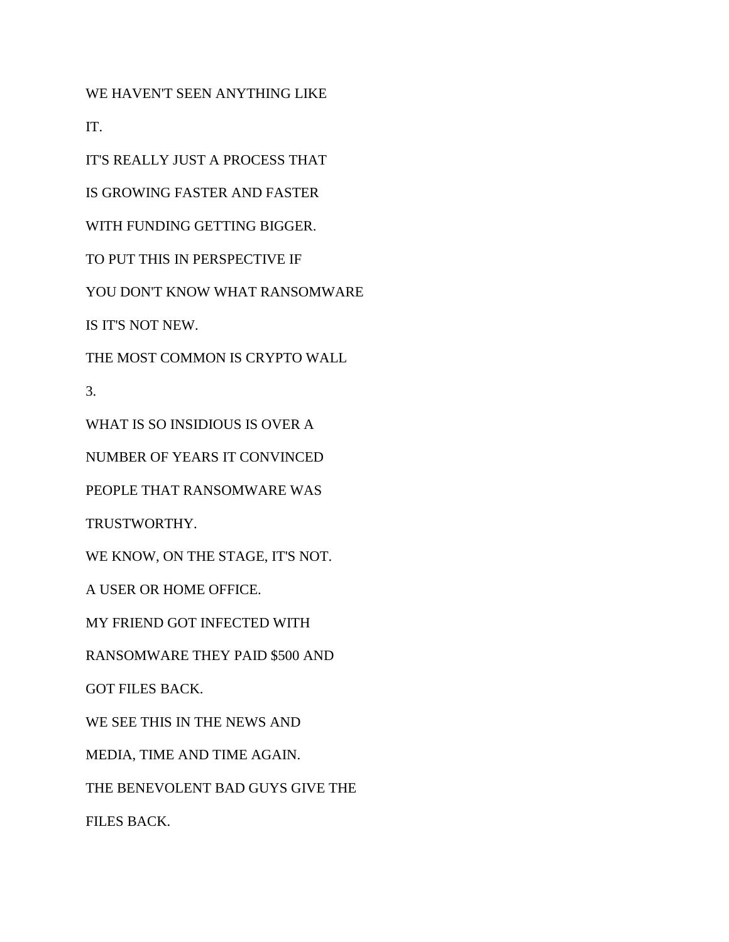WE HAVEN'T SEEN ANYTHING LIKE

IT.

IT'S REALLY JUST A PROCESS THAT

IS GROWING FASTER AND FASTER

WITH FUNDING GETTING BIGGER.

TO PUT THIS IN PERSPECTIVE IF

YOU DON'T KNOW WHAT RANSOMWARE

IS IT'S NOT NEW.

THE MOST COMMON IS CRYPTO WALL

3.

WHAT IS SO INSIDIOUS IS OVER A

NUMBER OF YEARS IT CONVINCED

PEOPLE THAT RANSOMWARE WAS

TRUSTWORTHY.

WE KNOW, ON THE STAGE, IT'S NOT.

A USER OR HOME OFFICE.

MY FRIEND GOT INFECTED WITH

RANSOMWARE THEY PAID \$500 AND

GOT FILES BACK.

WE SEE THIS IN THE NEWS AND

MEDIA, TIME AND TIME AGAIN.

THE BENEVOLENT BAD GUYS GIVE THE

FILES BACK.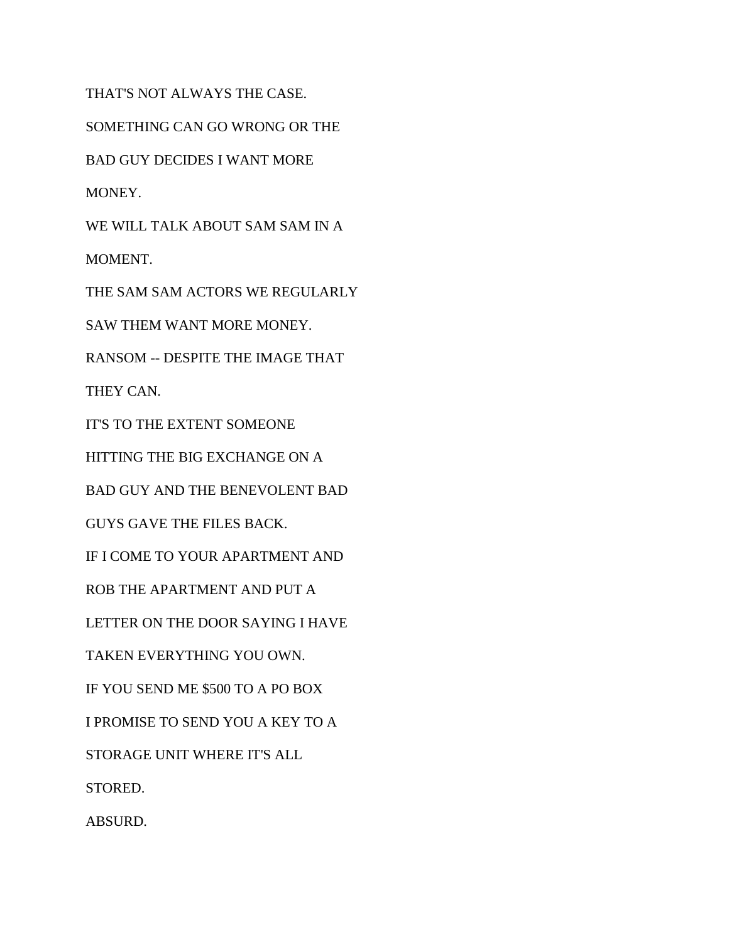THAT'S NOT ALWAYS THE CASE. SOMETHING CAN GO WRONG OR THE BAD GUY DECIDES I WANT MORE MONEY. WE WILL TALK ABOUT SAM SAM IN A MOMENT. THE SAM SAM ACTORS WE REGULARLY SAW THEM WANT MORE MONEY. RANSOM -- DESPITE THE IMAGE THAT THEY CAN. IT'S TO THE EXTENT SOMEONE HITTING THE BIG EXCHANGE ON A BAD GUY AND THE BENEVOLENT BAD GUYS GAVE THE FILES BACK. IF I COME TO YOUR APARTMENT AND ROB THE APARTMENT AND PUT A LETTER ON THE DOOR SAYING I HAVE TAKEN EVERYTHING YOU OWN. IF YOU SEND ME \$500 TO A PO BOX I PROMISE TO SEND YOU A KEY TO A STORAGE UNIT WHERE IT'S ALL STORED. ABSURD.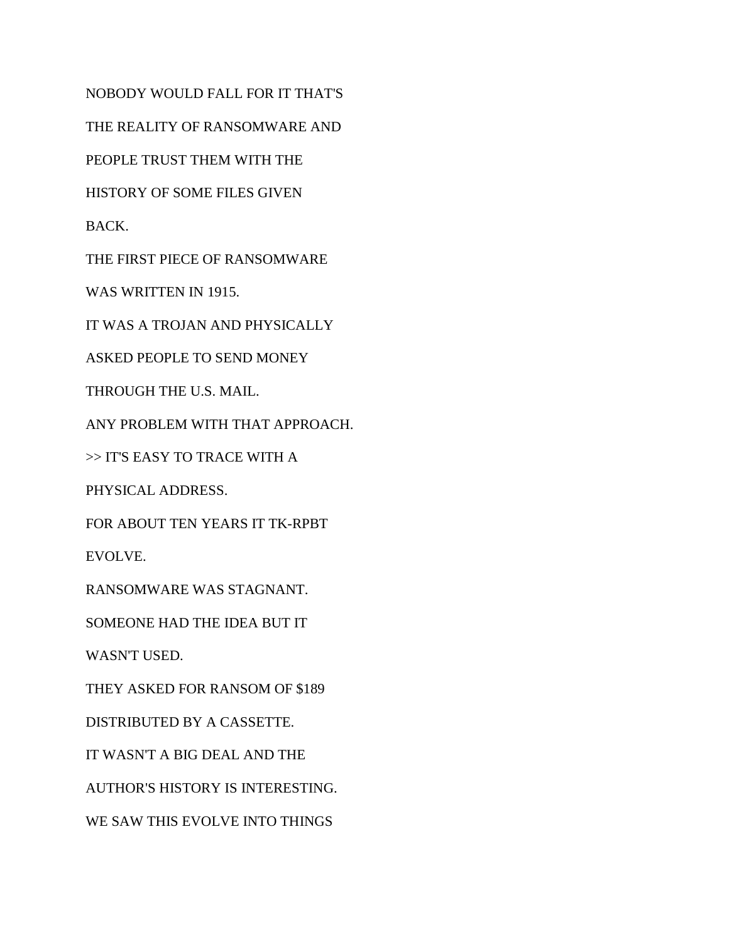NOBODY WOULD FALL FOR IT THAT'S THE REALITY OF RANSOMWARE AND PEOPLE TRUST THEM WITH THE HISTORY OF SOME FILES GIVEN BACK. THE FIRST PIECE OF RANSOMWARE WAS WRITTEN IN 1915. IT WAS A TROJAN AND PHYSICALLY ASKED PEOPLE TO SEND MONEY THROUGH THE U.S. MAIL. ANY PROBLEM WITH THAT APPROACH. >> IT'S EASY TO TRACE WITH A PHYSICAL ADDRESS. FOR ABOUT TEN YEARS IT TK-RPBT EVOLVE. RANSOMWARE WAS STAGNANT. SOMEONE HAD THE IDEA BUT IT WASN'T USED. THEY ASKED FOR RANSOM OF \$189 DISTRIBUTED BY A CASSETTE. IT WASN'T A BIG DEAL AND THE AUTHOR'S HISTORY IS INTERESTING. WE SAW THIS EVOLVE INTO THINGS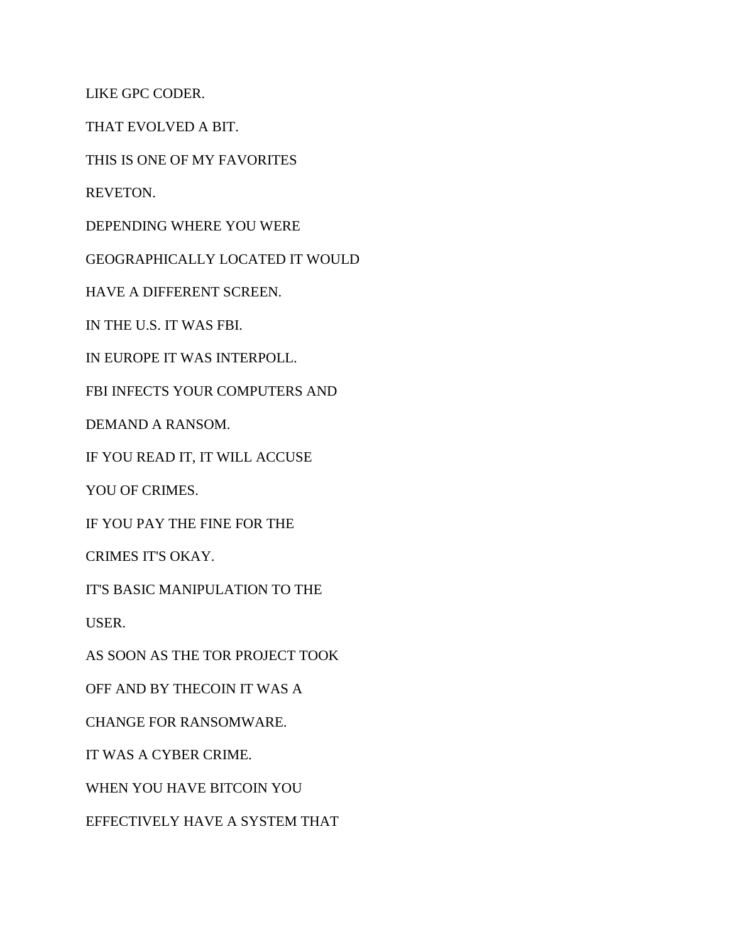LIKE GPC CODER.

THAT EVOLVED A BIT.

THIS IS ONE OF MY FAVORITES

REVETON.

DEPENDING WHERE YOU WERE

GEOGRAPHICALLY LOCATED IT WOULD

HAVE A DIFFERENT SCREEN.

IN THE U.S. IT WAS FBI.

IN EUROPE IT WAS INTERPOLL.

FBI INFECTS YOUR COMPUTERS AND

DEMAND A RANSOM.

IF YOU READ IT, IT WILL ACCUSE

YOU OF CRIMES.

IF YOU PAY THE FINE FOR THE

CRIMES IT'S OKAY.

IT'S BASIC MANIPULATION TO THE

USER.

AS SOON AS THE TOR PROJECT TOOK

OFF AND BY THECOIN IT WAS A

CHANGE FOR RANSOMWARE.

IT WAS A CYBER CRIME.

WHEN YOU HAVE BITCOIN YOU

EFFECTIVELY HAVE A SYSTEM THAT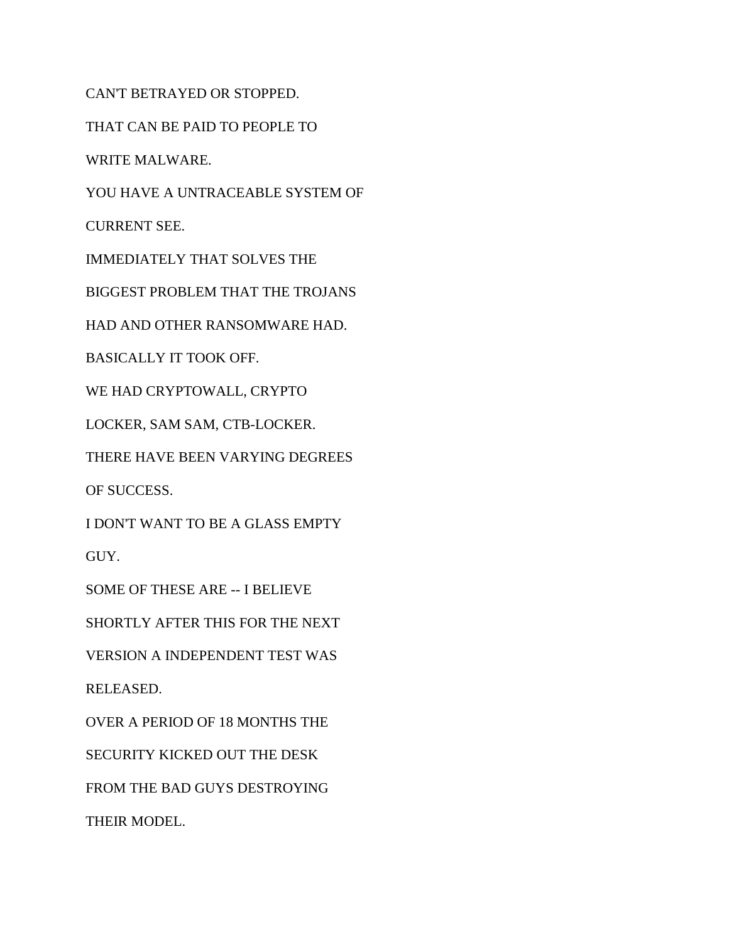CAN'T BETRAYED OR STOPPED. THAT CAN BE PAID TO PEOPLE TO WRITE MALWARE. YOU HAVE A UNTRACEABLE SYSTEM OF CURRENT SEE. IMMEDIATELY THAT SOLVES THE BIGGEST PROBLEM THAT THE TROJANS HAD AND OTHER RANSOMWARE HAD. BASICALLY IT TOOK OFF. WE HAD CRYPTOWALL, CRYPTO LOCKER, SAM SAM, CTB-LOCKER. THERE HAVE BEEN VARYING DEGREES OF SUCCESS. I DON'T WANT TO BE A GLASS EMPTY GUY. SOME OF THESE ARE -- I BELIEVE SHORTLY AFTER THIS FOR THE NEXT VERSION A INDEPENDENT TEST WAS RELEASED. OVER A PERIOD OF 18 MONTHS THE SECURITY KICKED OUT THE DESK FROM THE BAD GUYS DESTROYING THEIR MODEL.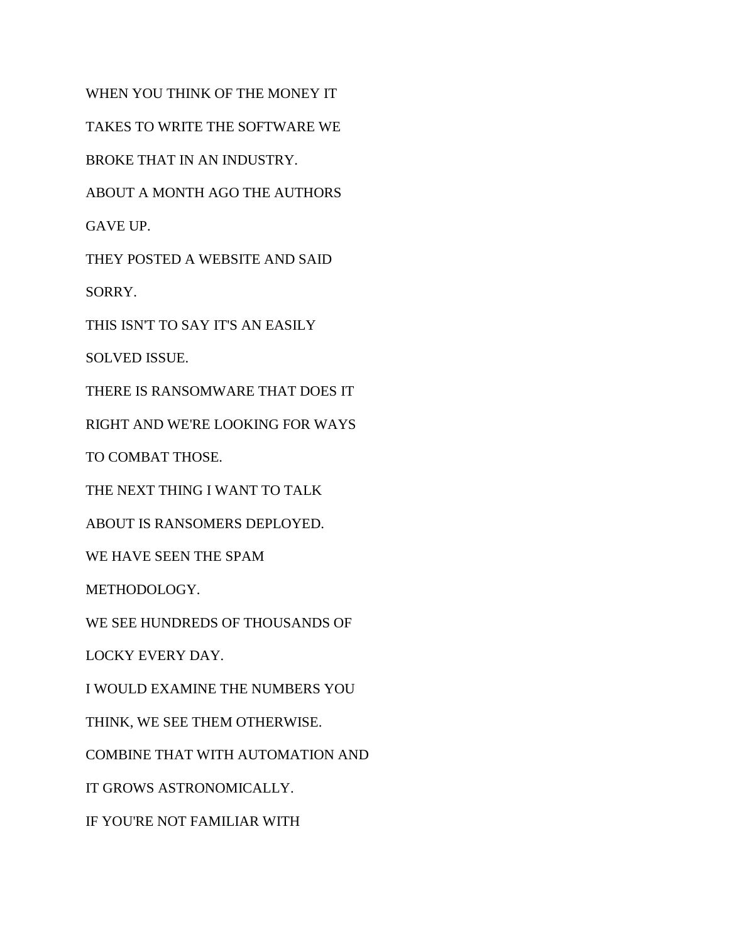WHEN YOU THINK OF THE MONEY IT TAKES TO WRITE THE SOFTWARE WE BROKE THAT IN AN INDUSTRY. ABOUT A MONTH AGO THE AUTHORS GAVE UP. THEY POSTED A WEBSITE AND SAID SORRY. THIS ISN'T TO SAY IT'S AN EASILY SOLVED ISSUE. THERE IS RANSOMWARE THAT DOES IT RIGHT AND WE'RE LOOKING FOR WAYS TO COMBAT THOSE. THE NEXT THING I WANT TO TALK ABOUT IS RANSOMERS DEPLOYED. WE HAVE SEEN THE SPAM METHODOLOGY. WE SEE HUNDREDS OF THOUSANDS OF LOCKY EVERY DAY. I WOULD EXAMINE THE NUMBERS YOU THINK, WE SEE THEM OTHERWISE. COMBINE THAT WITH AUTOMATION AND IT GROWS ASTRONOMICALLY. IF YOU'RE NOT FAMILIAR WITH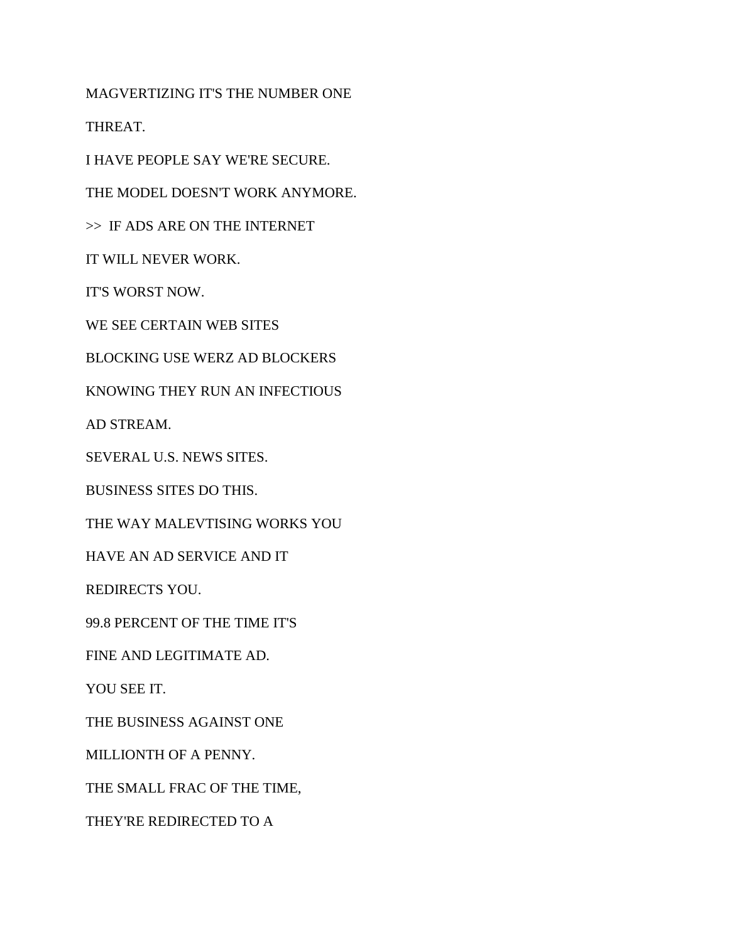MAGVERTIZING IT'S THE NUMBER ONE

THREAT.

I HAVE PEOPLE SAY WE'RE SECURE.

THE MODEL DOESN'T WORK ANYMORE.

>> IF ADS ARE ON THE INTERNET

IT WILL NEVER WORK.

IT'S WORST NOW.

WE SEE CERTAIN WEB SITES

BLOCKING USE WERZ AD BLOCKERS

KNOWING THEY RUN AN INFECTIOUS

AD STREAM.

SEVERAL U.S. NEWS SITES.

BUSINESS SITES DO THIS.

THE WAY MALEVTISING WORKS YOU

HAVE AN AD SERVICE AND IT

REDIRECTS YOU.

99.8 PERCENT OF THE TIME IT'S

FINE AND LEGITIMATE AD.

YOU SEE IT.

THE BUSINESS AGAINST ONE

MILLIONTH OF A PENNY.

THE SMALL FRAC OF THE TIME,

THEY'RE REDIRECTED TO A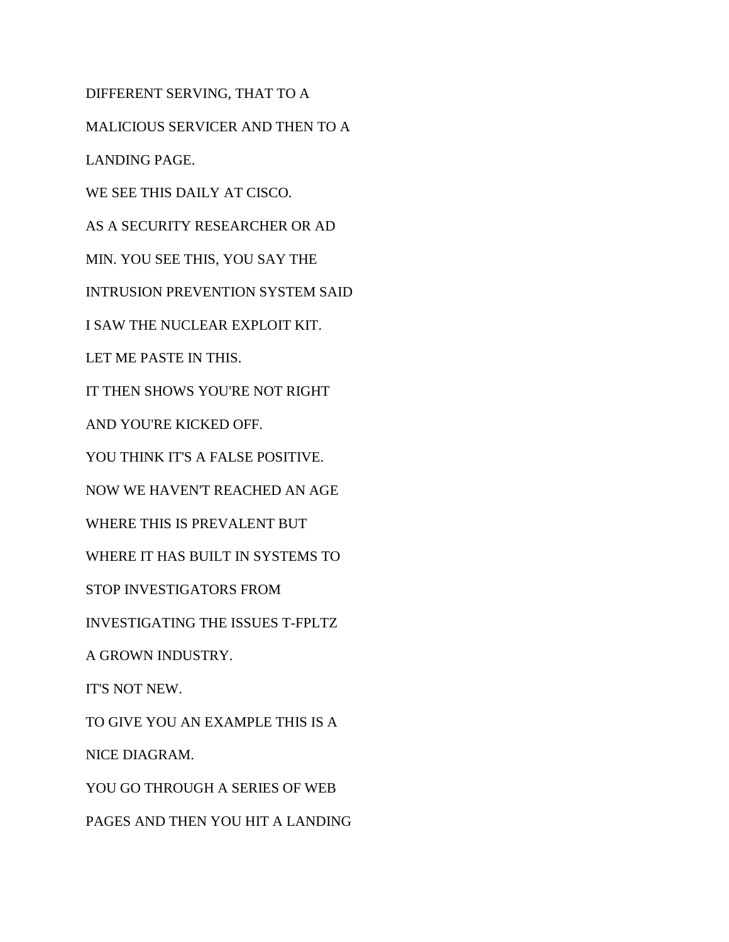DIFFERENT SERVING, THAT TO A MALICIOUS SERVICER AND THEN TO A LANDING PAGE. WE SEE THIS DAILY AT CISCO. AS A SECURITY RESEARCHER OR AD MIN. YOU SEE THIS, YOU SAY THE INTRUSION PREVENTION SYSTEM SAID I SAW THE NUCLEAR EXPLOIT KIT. LET ME PASTE IN THIS. IT THEN SHOWS YOU'RE NOT RIGHT AND YOU'RE KICKED OFF. YOU THINK IT'S A FALSE POSITIVE. NOW WE HAVEN'T REACHED AN AGE WHERE THIS IS PREVALENT BUT WHERE IT HAS BUILT IN SYSTEMS TO STOP INVESTIGATORS FROM INVESTIGATING THE ISSUES T-FPLTZ A GROWN INDUSTRY. IT'S NOT NEW. TO GIVE YOU AN EXAMPLE THIS IS A NICE DIAGRAM. YOU GO THROUGH A SERIES OF WEB PAGES AND THEN YOU HIT A LANDING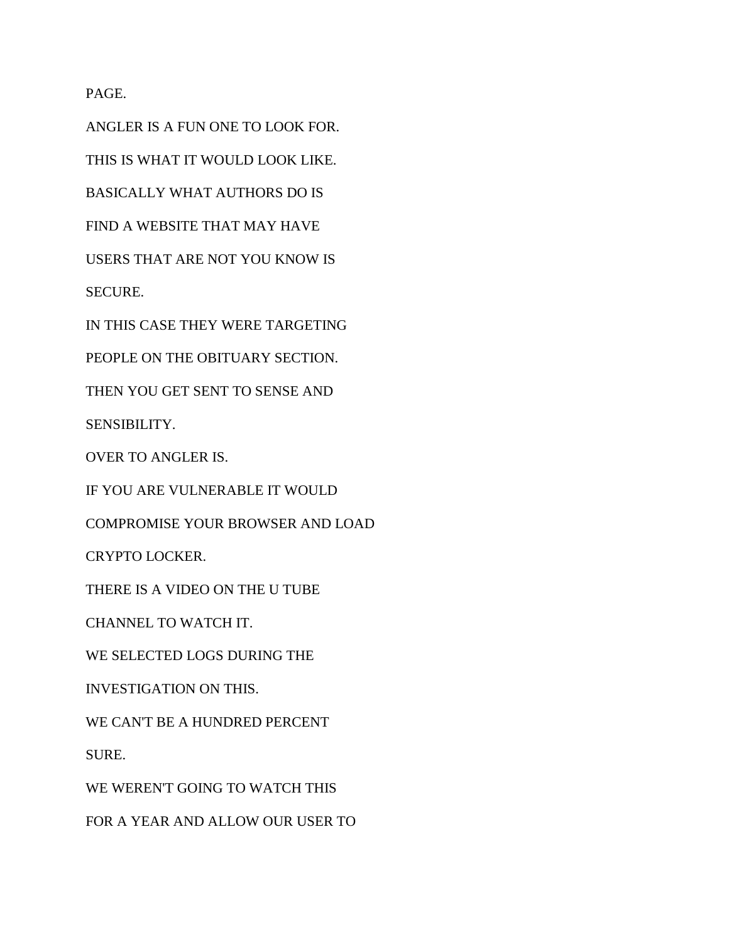PAGE.

ANGLER IS A FUN ONE TO LOOK FOR. THIS IS WHAT IT WOULD LOOK LIKE. BASICALLY WHAT AUTHORS DO IS FIND A WEBSITE THAT MAY HAVE USERS THAT ARE NOT YOU KNOW IS SECURE. IN THIS CASE THEY WERE TARGETING PEOPLE ON THE OBITUARY SECTION. THEN YOU GET SENT TO SENSE AND SENSIBILITY. OVER TO ANGLER IS. IF YOU ARE VULNERABLE IT WOULD COMPROMISE YOUR BROWSER AND LOAD CRYPTO LOCKER. THERE IS A VIDEO ON THE U TUBE CHANNEL TO WATCH IT. WE SELECTED LOGS DURING THE INVESTIGATION ON THIS. WE CAN'T BE A HUNDRED PERCENT SURE. WE WEREN'T GOING TO WATCH THIS

FOR A YEAR AND ALLOW OUR USER TO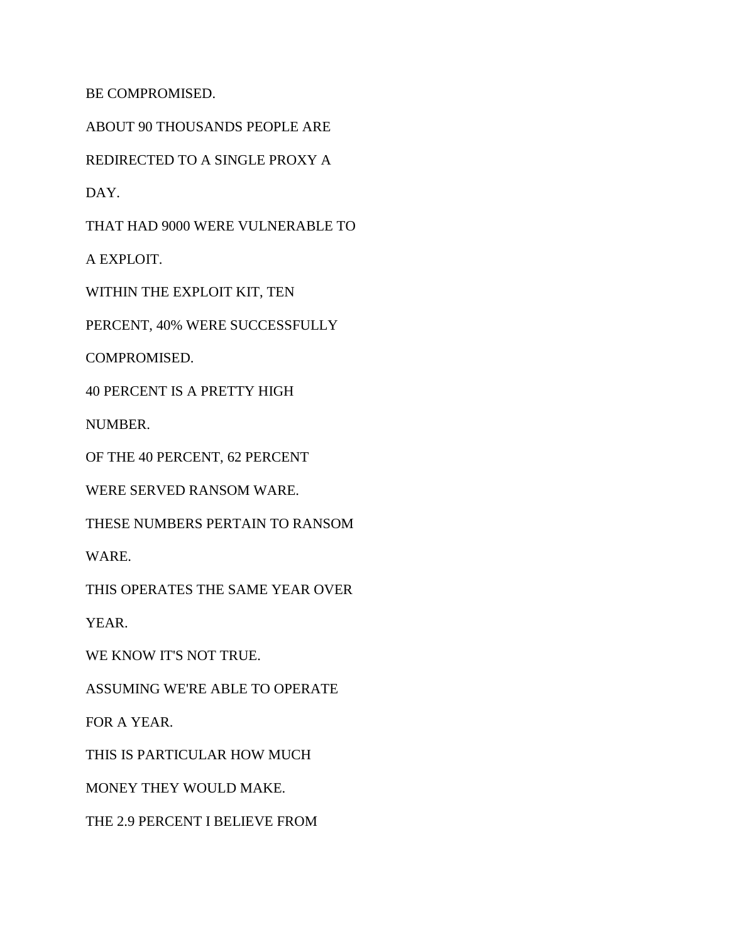BE COMPROMISED.

ABOUT 90 THOUSANDS PEOPLE ARE

REDIRECTED TO A SINGLE PROXY A

DAY.

THAT HAD 9000 WERE VULNERABLE TO

A EXPLOIT.

WITHIN THE EXPLOIT KIT, TEN

PERCENT, 40% WERE SUCCESSFULLY

COMPROMISED.

40 PERCENT IS A PRETTY HIGH

NUMBER.

OF THE 40 PERCENT, 62 PERCENT

WERE SERVED RANSOM WARE.

THESE NUMBERS PERTAIN TO RANSOM

WARE.

THIS OPERATES THE SAME YEAR OVER

YEAR.

WE KNOW IT'S NOT TRUE.

ASSUMING WE'RE ABLE TO OPERATE

FOR A YEAR.

THIS IS PARTICULAR HOW MUCH

MONEY THEY WOULD MAKE.

THE 2.9 PERCENT I BELIEVE FROM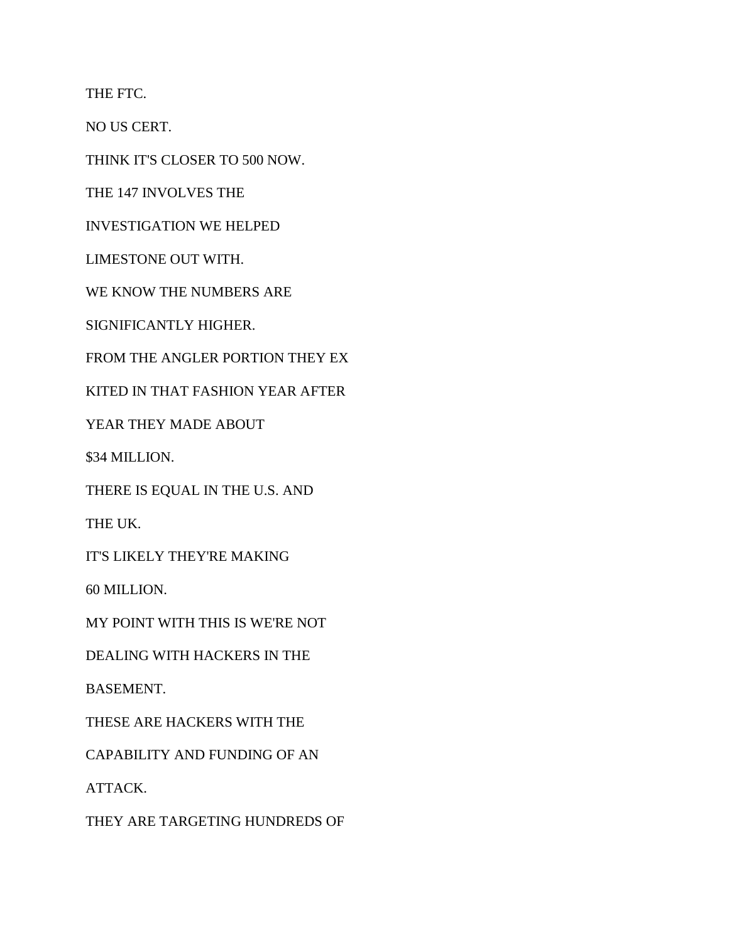THE FTC.

NO US CERT.

THINK IT'S CLOSER TO 500 NOW.

THE 147 INVOLVES THE

INVESTIGATION WE HELPED

LIMESTONE OUT WITH.

WE KNOW THE NUMBERS ARE

SIGNIFICANTLY HIGHER.

FROM THE ANGLER PORTION THEY EX

KITED IN THAT FASHION YEAR AFTER

YEAR THEY MADE ABOUT

\$34 MILLION.

THERE IS EQUAL IN THE U.S. AND

THE UK.

IT'S LIKELY THEY'RE MAKING

60 MILLION.

MY POINT WITH THIS IS WE'RE NOT

DEALING WITH HACKERS IN THE

BASEMENT.

THESE ARE HACKERS WITH THE

CAPABILITY AND FUNDING OF AN

ATTACK.

THEY ARE TARGETING HUNDREDS OF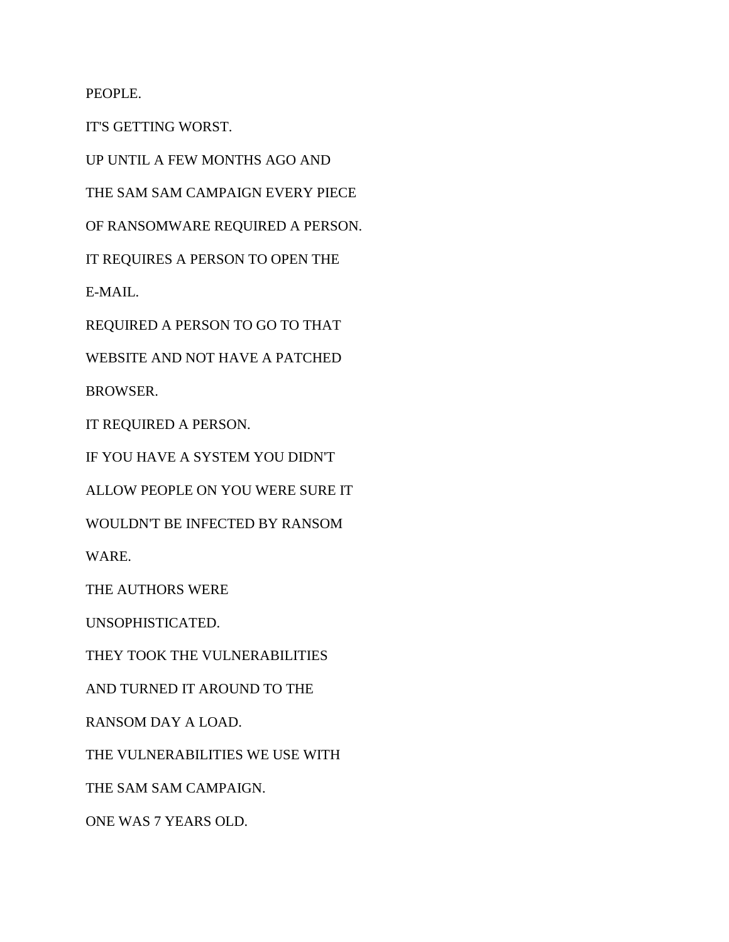PEOPLE.

IT'S GETTING WORST.

UP UNTIL A FEW MONTHS AGO AND

THE SAM SAM CAMPAIGN EVERY PIECE

OF RANSOMWARE REQUIRED A PERSON.

IT REQUIRES A PERSON TO OPEN THE

E-MAIL.

REQUIRED A PERSON TO GO TO THAT

WEBSITE AND NOT HAVE A PATCHED

BROWSER.

IT REQUIRED A PERSON.

IF YOU HAVE A SYSTEM YOU DIDN'T

ALLOW PEOPLE ON YOU WERE SURE IT

WOULDN'T BE INFECTED BY RANSOM

WARE.

THE AUTHORS WERE

UNSOPHISTICATED.

THEY TOOK THE VULNERABILITIES

AND TURNED IT AROUND TO THE

RANSOM DAY A LOAD.

THE VULNERABILITIES WE USE WITH

THE SAM SAM CAMPAIGN.

ONE WAS 7 YEARS OLD.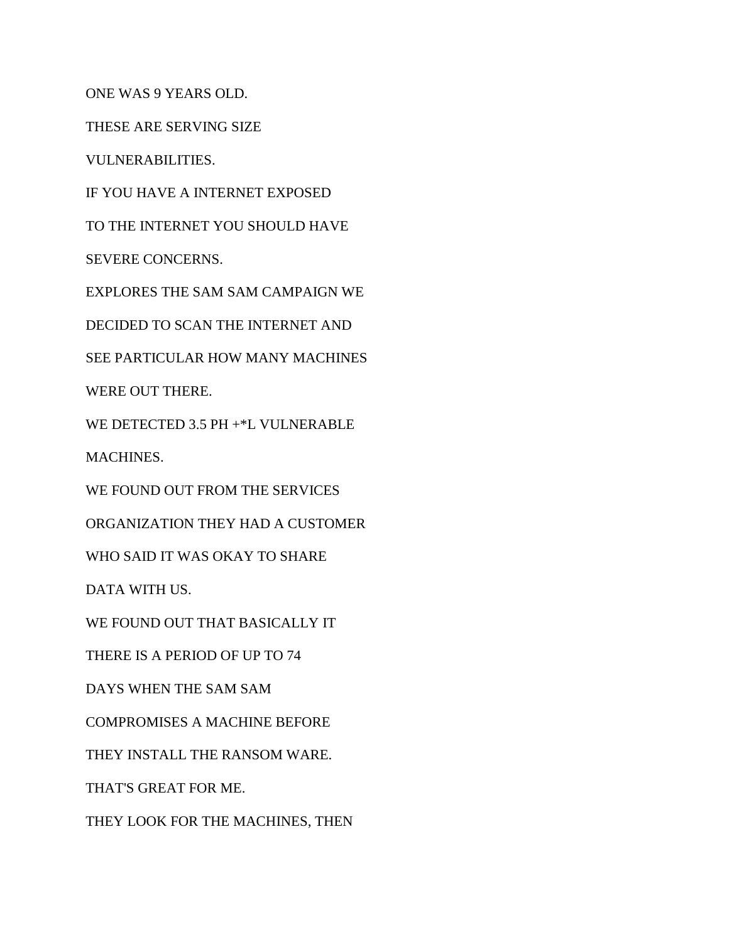ONE WAS 9 YEARS OLD.

THESE ARE SERVING SIZE

VULNERABILITIES.

IF YOU HAVE A INTERNET EXPOSED

TO THE INTERNET YOU SHOULD HAVE

SEVERE CONCERNS.

EXPLORES THE SAM SAM CAMPAIGN WE

DECIDED TO SCAN THE INTERNET AND

SEE PARTICULAR HOW MANY MACHINES

WERE OUT THERE.

WE DETECTED 3.5 PH +\*L VULNERABLE

MACHINES.

WE FOUND OUT FROM THE SERVICES

ORGANIZATION THEY HAD A CUSTOMER

WHO SAID IT WAS OKAY TO SHARE

DATA WITH US.

WE FOUND OUT THAT BASICALLY IT

THERE IS A PERIOD OF UP TO 74

DAYS WHEN THE SAM SAM

COMPROMISES A MACHINE BEFORE

THEY INSTALL THE RANSOM WARE.

THAT'S GREAT FOR ME.

THEY LOOK FOR THE MACHINES, THEN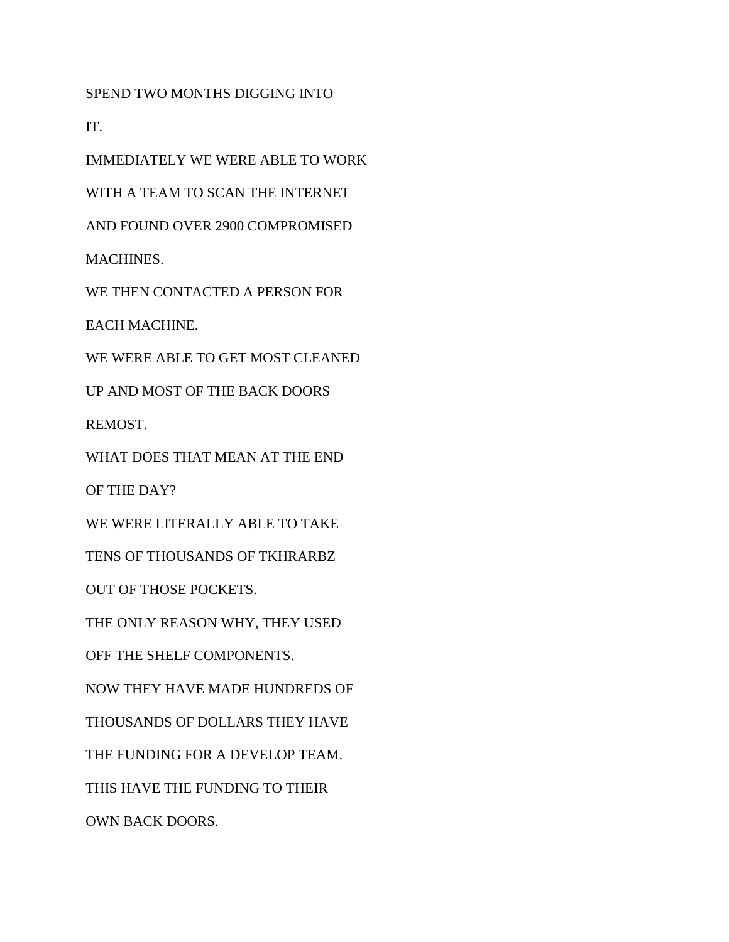SPEND TWO MONTHS DIGGING INTO

IT.

IMMEDIATELY WE WERE ABLE TO WORK

WITH A TEAM TO SCAN THE INTERNET

AND FOUND OVER 2900 COMPROMISED

MACHINES.

WE THEN CONTACTED A PERSON FOR

EACH MACHINE.

WE WERE ABLE TO GET MOST CLEANED

UP AND MOST OF THE BACK DOORS

REMOST.

WHAT DOES THAT MEAN AT THE END

OF THE DAY?

WE WERE LITERALLY ABLE TO TAKE

TENS OF THOUSANDS OF TKHRARBZ

OUT OF THOSE POCKETS.

THE ONLY REASON WHY, THEY USED

OFF THE SHELF COMPONENTS.

NOW THEY HAVE MADE HUNDREDS OF

THOUSANDS OF DOLLARS THEY HAVE

THE FUNDING FOR A DEVELOP TEAM.

THIS HAVE THE FUNDING TO THEIR

OWN BACK DOORS.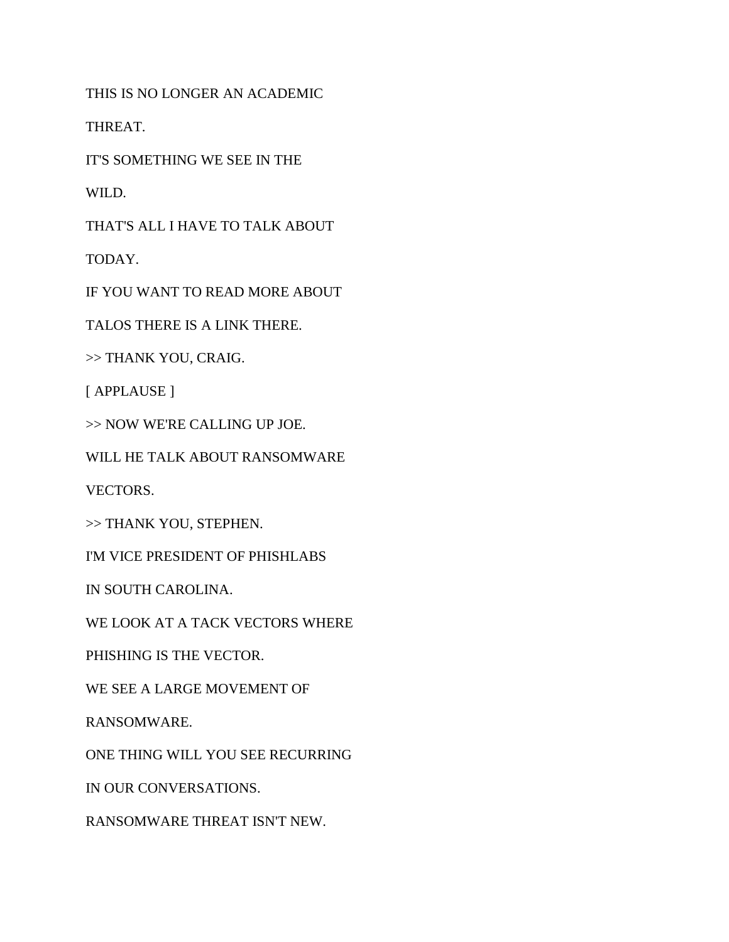THIS IS NO LONGER AN ACADEMIC

THREAT.

IT'S SOMETHING WE SEE IN THE

WILD.

THAT'S ALL I HAVE TO TALK ABOUT

TODAY.

IF YOU WANT TO READ MORE ABOUT

TALOS THERE IS A LINK THERE.

>> THANK YOU, CRAIG.

[ APPLAUSE ]

>> NOW WE'RE CALLING UP JOE.

WILL HE TALK ABOUT RANSOMWARE

VECTORS.

>> THANK YOU, STEPHEN.

I'M VICE PRESIDENT OF PHISHLABS

IN SOUTH CAROLINA.

WE LOOK AT A TACK VECTORS WHERE

PHISHING IS THE VECTOR.

WE SEE A LARGE MOVEMENT OF

RANSOMWARE.

ONE THING WILL YOU SEE RECURRING

IN OUR CONVERSATIONS.

RANSOMWARE THREAT ISN'T NEW.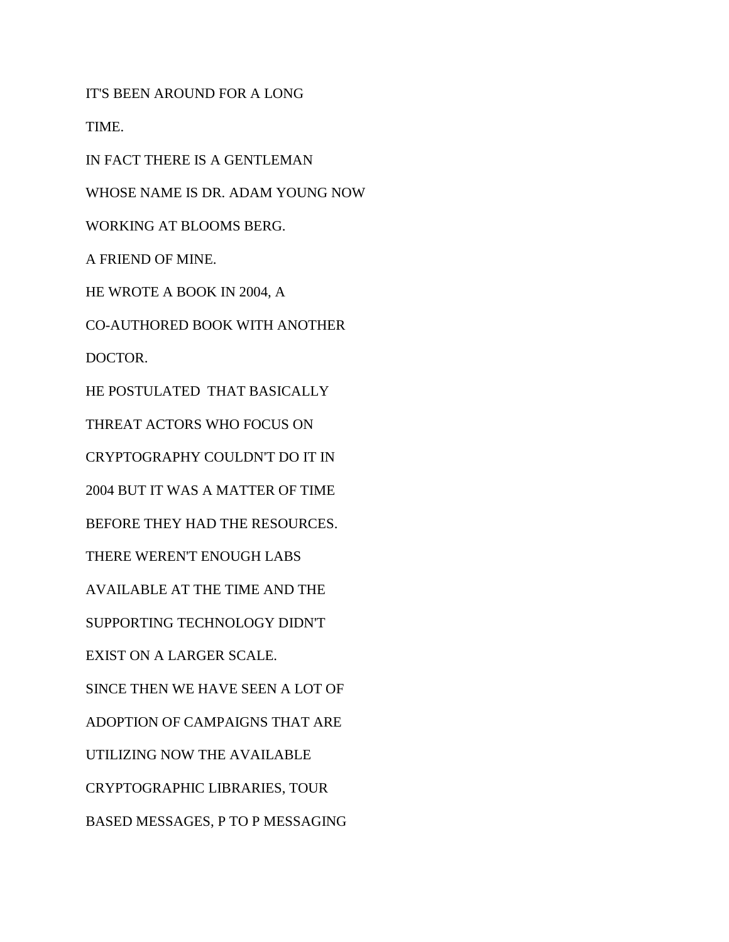IT'S BEEN AROUND FOR A LONG TIME. IN FACT THERE IS A GENTLEMAN WHOSE NAME IS DR. ADAM YOUNG NOW WORKING AT BLOOMS BERG. A FRIEND OF MINE. HE WROTE A BOOK IN 2004, A CO-AUTHORED BOOK WITH ANOTHER DOCTOR. HE POSTULATED THAT BASICALLY THREAT ACTORS WHO FOCUS ON CRYPTOGRAPHY COULDN'T DO IT IN 2004 BUT IT WAS A MATTER OF TIME BEFORE THEY HAD THE RESOURCES. THERE WEREN'T ENOUGH LABS AVAILABLE AT THE TIME AND THE SUPPORTING TECHNOLOGY DIDN'T EXIST ON A LARGER SCALE. SINCE THEN WE HAVE SEEN A LOT OF ADOPTION OF CAMPAIGNS THAT ARE UTILIZING NOW THE AVAILABLE CRYPTOGRAPHIC LIBRARIES, TOUR BASED MESSAGES, P TO P MESSAGING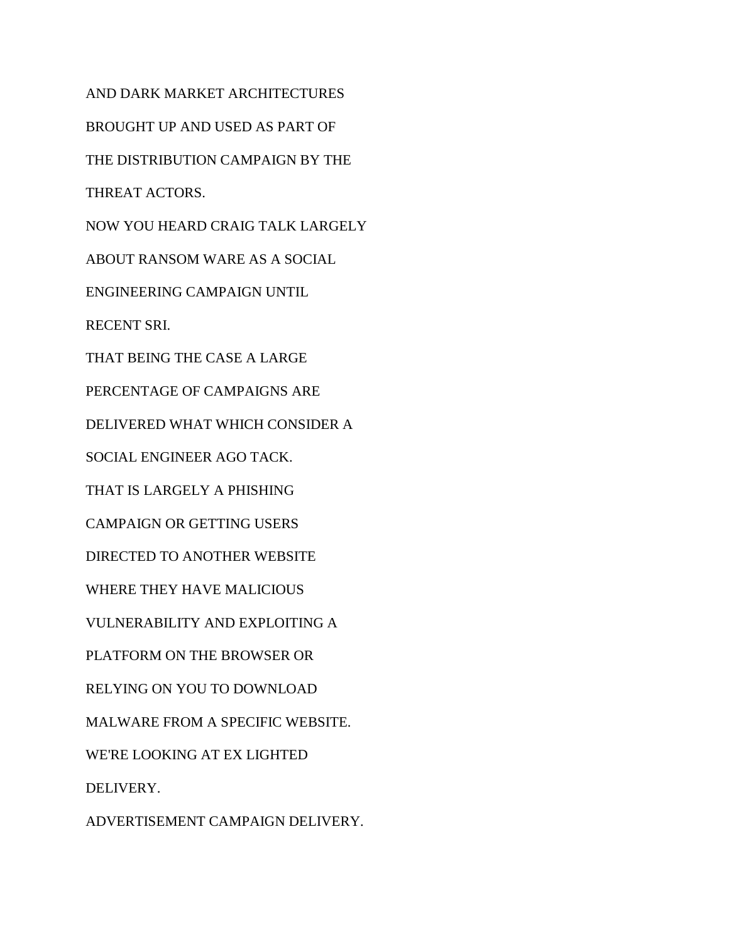AND DARK MARKET ARCHITECTURES BROUGHT UP AND USED AS PART OF THE DISTRIBUTION CAMPAIGN BY THE THREAT ACTORS. NOW YOU HEARD CRAIG TALK LARGELY ABOUT RANSOM WARE AS A SOCIAL ENGINEERING CAMPAIGN UNTIL RECENT SRI. THAT BEING THE CASE A LARGE PERCENTAGE OF CAMPAIGNS ARE DELIVERED WHAT WHICH CONSIDER A SOCIAL ENGINEER AGO TACK. THAT IS LARGELY A PHISHING CAMPAIGN OR GETTING USERS DIRECTED TO ANOTHER WEBSITE WHERE THEY HAVE MALICIOUS VULNERABILITY AND EXPLOITING A PLATFORM ON THE BROWSER OR RELYING ON YOU TO DOWNLOAD MALWARE FROM A SPECIFIC WEBSITE. WE'RE LOOKING AT EX LIGHTED DELIVERY.

ADVERTISEMENT CAMPAIGN DELIVERY.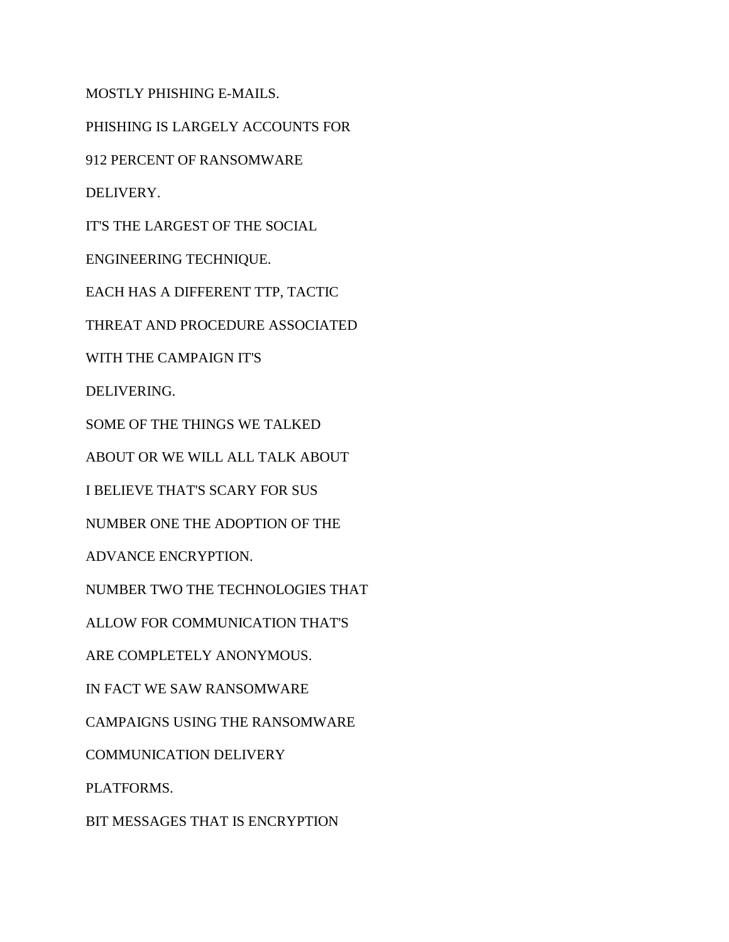MOSTLY PHISHING E-MAILS.

PHISHING IS LARGELY ACCOUNTS FOR

912 PERCENT OF RANSOMWARE

DELIVERY.

IT'S THE LARGEST OF THE SOCIAL

ENGINEERING TECHNIQUE.

EACH HAS A DIFFERENT TTP, TACTIC

THREAT AND PROCEDURE ASSOCIATED

WITH THE CAMPAIGN IT'S

DELIVERING.

SOME OF THE THINGS WE TALKED

ABOUT OR WE WILL ALL TALK ABOUT

I BELIEVE THAT'S SCARY FOR SUS

NUMBER ONE THE ADOPTION OF THE

ADVANCE ENCRYPTION.

NUMBER TWO THE TECHNOLOGIES THAT

ALLOW FOR COMMUNICATION THAT'S

ARE COMPLETELY ANONYMOUS.

IN FACT WE SAW RANSOMWARE

CAMPAIGNS USING THE RANSOMWARE

COMMUNICATION DELIVERY

PLATFORMS.

BIT MESSAGES THAT IS ENCRYPTION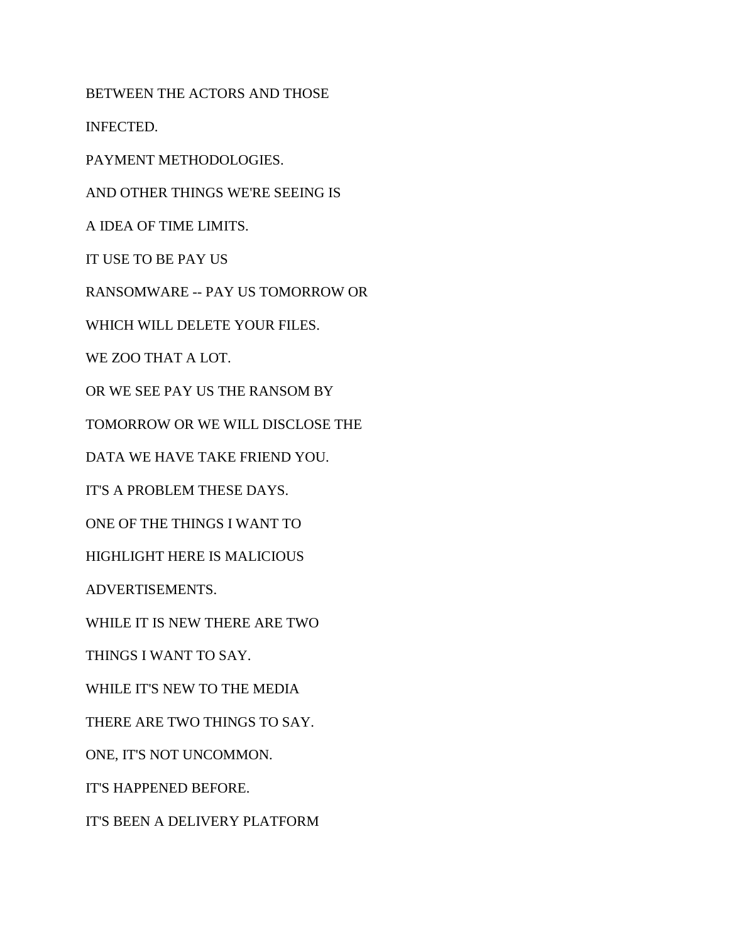BETWEEN THE ACTORS AND THOSE

INFECTED.

PAYMENT METHODOLOGIES.

AND OTHER THINGS WE'RE SEEING IS

A IDEA OF TIME LIMITS.

IT USE TO BE PAY US

RANSOMWARE -- PAY US TOMORROW OR

WHICH WILL DELETE YOUR FILES.

WE ZOO THAT A LOT.

OR WE SEE PAY US THE RANSOM BY

TOMORROW OR WE WILL DISCLOSE THE

DATA WE HAVE TAKE FRIEND YOU.

IT'S A PROBLEM THESE DAYS.

ONE OF THE THINGS I WANT TO

HIGHLIGHT HERE IS MALICIOUS

ADVERTISEMENTS.

WHILE IT IS NEW THERE ARE TWO

THINGS I WANT TO SAY.

WHILE IT'S NEW TO THE MEDIA

THERE ARE TWO THINGS TO SAY.

ONE, IT'S NOT UNCOMMON.

IT'S HAPPENED BEFORE.

IT'S BEEN A DELIVERY PLATFORM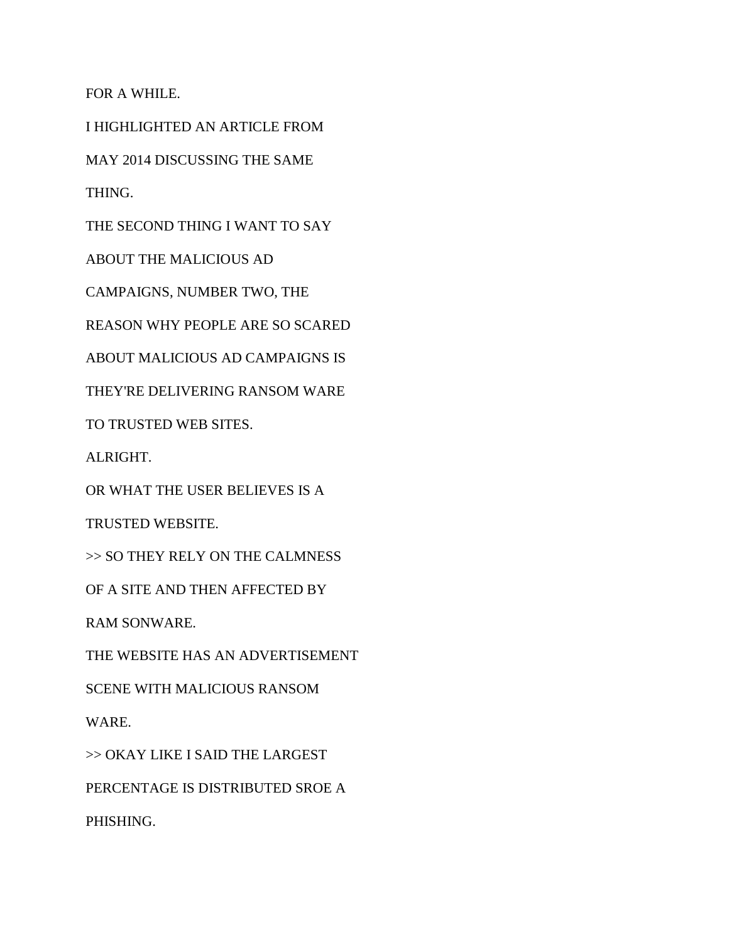FOR A WHILE.

I HIGHLIGHTED AN ARTICLE FROM

MAY 2014 DISCUSSING THE SAME

THING.

THE SECOND THING I WANT TO SAY

ABOUT THE MALICIOUS AD

CAMPAIGNS, NUMBER TWO, THE

REASON WHY PEOPLE ARE SO SCARED

ABOUT MALICIOUS AD CAMPAIGNS IS

THEY'RE DELIVERING RANSOM WARE

TO TRUSTED WEB SITES.

ALRIGHT.

OR WHAT THE USER BELIEVES IS A

TRUSTED WEBSITE.

>> SO THEY RELY ON THE CALMNESS

OF A SITE AND THEN AFFECTED BY

RAM SONWARE.

THE WEBSITE HAS AN ADVERTISEMENT

SCENE WITH MALICIOUS RANSOM

WARE.

>> OKAY LIKE I SAID THE LARGEST

PERCENTAGE IS DISTRIBUTED SROE A

PHISHING.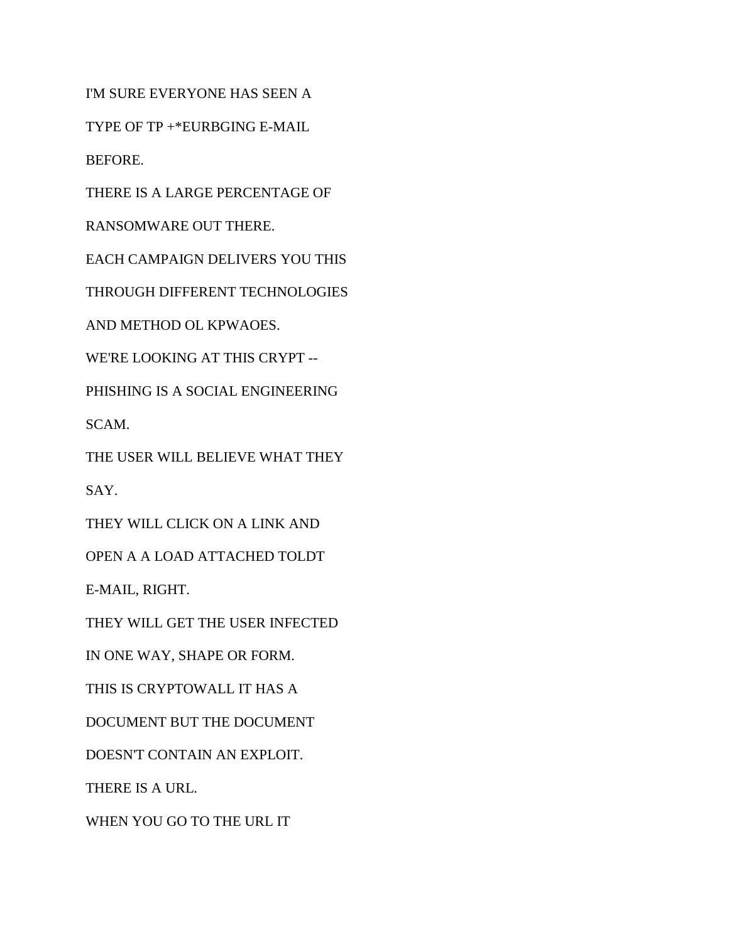I'M SURE EVERYONE HAS SEEN A

TYPE OF TP +\*EURBGING E-MAIL

BEFORE.

THERE IS A LARGE PERCENTAGE OF

RANSOMWARE OUT THERE.

EACH CAMPAIGN DELIVERS YOU THIS

THROUGH DIFFERENT TECHNOLOGIES

AND METHOD OL KPWAOES.

WE'RE LOOKING AT THIS CRYPT --

PHISHING IS A SOCIAL ENGINEERING

SCAM.

THE USER WILL BELIEVE WHAT THEY

SAY.

THEY WILL CLICK ON A LINK AND

OPEN A A LOAD ATTACHED TOLDT

E-MAIL, RIGHT.

THEY WILL GET THE USER INFECTED

IN ONE WAY, SHAPE OR FORM.

THIS IS CRYPTOWALL IT HAS A

DOCUMENT BUT THE DOCUMENT

DOESN'T CONTAIN AN EXPLOIT.

THERE IS A URL.

WHEN YOU GO TO THE URL IT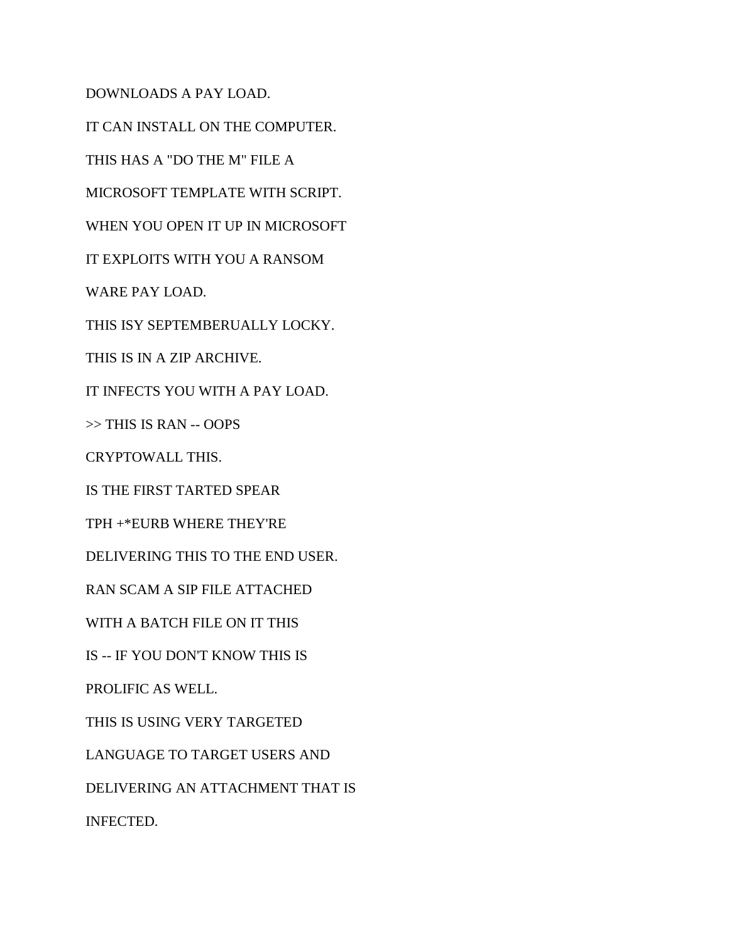DOWNLOADS A PAY LOAD. IT CAN INSTALL ON THE COMPUTER. THIS HAS A "DO THE M" FILE A MICROSOFT TEMPLATE WITH SCRIPT. WHEN YOU OPEN IT UP IN MICROSOFT IT EXPLOITS WITH YOU A RANSOM WARE PAY LOAD. THIS ISY SEPTEMBERUALLY LOCKY. THIS IS IN A ZIP ARCHIVE. IT INFECTS YOU WITH A PAY LOAD. >> THIS IS RAN -- OOPS CRYPTOWALL THIS. IS THE FIRST TARTED SPEAR TPH +\*EURB WHERE THEY'RE DELIVERING THIS TO THE END USER. RAN SCAM A SIP FILE ATTACHED WITH A BATCH FILE ON IT THIS IS -- IF YOU DON'T KNOW THIS IS PROLIFIC AS WELL. THIS IS USING VERY TARGETED LANGUAGE TO TARGET USERS AND DELIVERING AN ATTACHMENT THAT IS

INFECTED.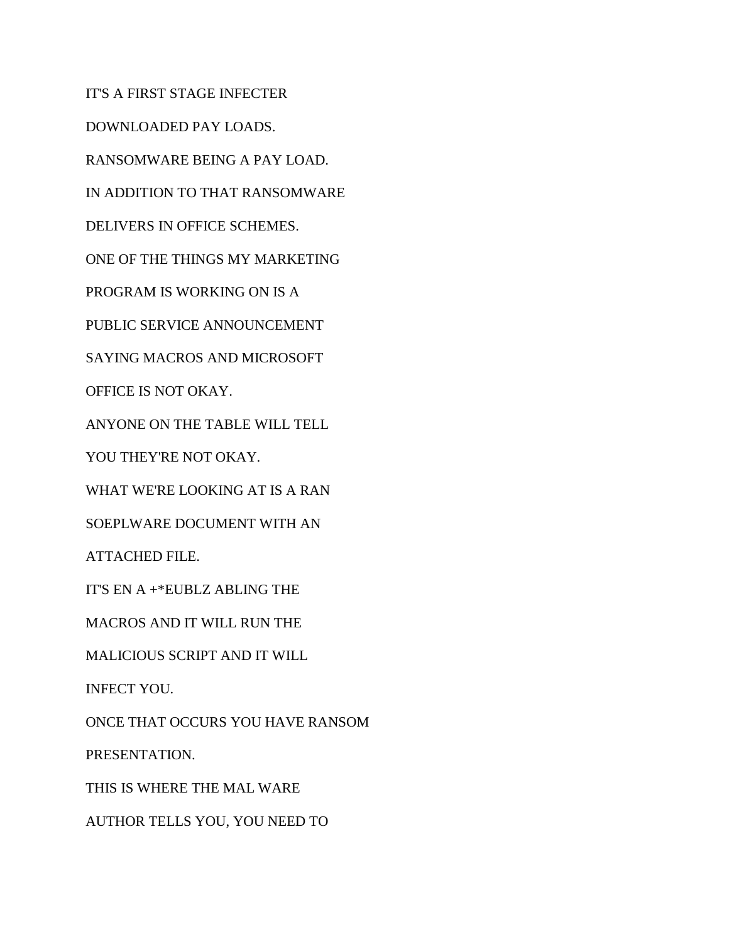IT'S A FIRST STAGE INFECTER DOWNLOADED PAY LOADS. RANSOMWARE BEING A PAY LOAD. IN ADDITION TO THAT RANSOMWARE DELIVERS IN OFFICE SCHEMES. ONE OF THE THINGS MY MARKETING PROGRAM IS WORKING ON IS A PUBLIC SERVICE ANNOUNCEMENT SAYING MACROS AND MICROSOFT OFFICE IS NOT OKAY. ANYONE ON THE TABLE WILL TELL YOU THEY'RE NOT OKAY. WHAT WE'RE LOOKING AT IS A RAN SOEPLWARE DOCUMENT WITH AN ATTACHED FILE. IT'S EN A +\*EUBLZ ABLING THE MACROS AND IT WILL RUN THE MALICIOUS SCRIPT AND IT WILL INFECT YOU. ONCE THAT OCCURS YOU HAVE RANSOM PRESENTATION. THIS IS WHERE THE MAL WARE AUTHOR TELLS YOU, YOU NEED TO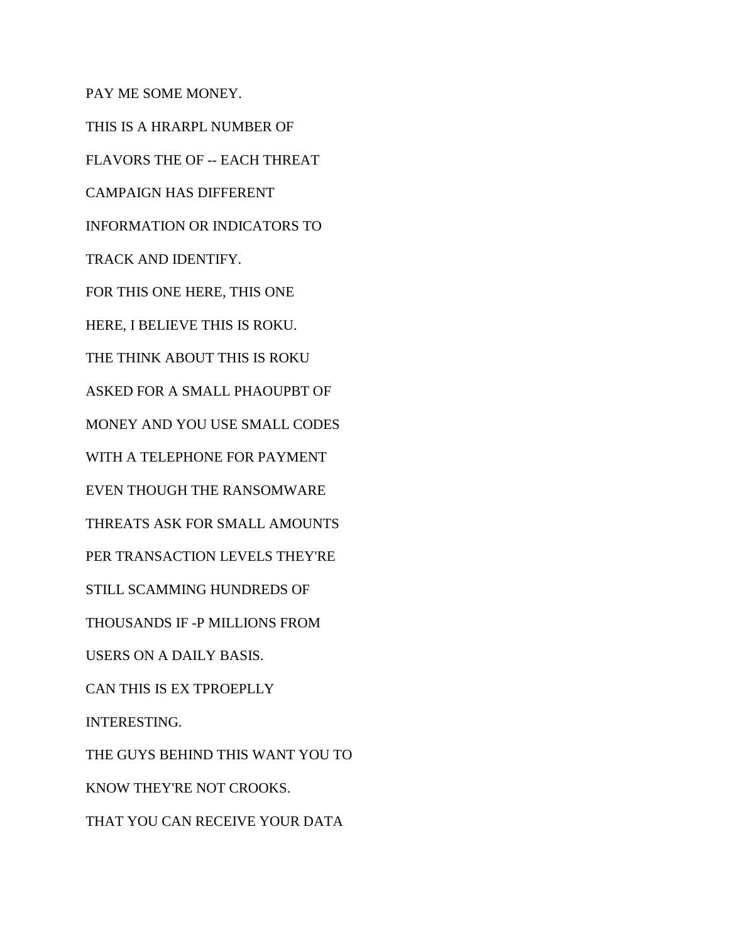PAY ME SOME MONEY. THIS IS A HRARPL NUMBER OF FLAVORS THE OF -- EACH THREAT CAMPAIGN HAS DIFFERENT INFORMATION OR INDICATORS TO TRACK AND IDENTIFY. FOR THIS ONE HERE, THIS ONE HERE, I BELIEVE THIS IS ROKU. THE THINK ABOUT THIS IS ROKU ASKED FOR A SMALL PHAOUPBT OF MONEY AND YOU USE SMALL CODES WITH A TELEPHONE FOR PAYMENT EVEN THOUGH THE RANSOMWARE THREATS ASK FOR SMALL AMOUNTS PER TRANSACTION LEVELS THEY'RE STILL SCAMMING HUNDREDS OF THOUSANDS IF -P MILLIONS FROM USERS ON A DAILY BASIS. CAN THIS IS EX TPROEPLLY INTERESTING. THE GUYS BEHIND THIS WANT YOU TO KNOW THEY'RE NOT CROOKS. THAT YOU CAN RECEIVE YOUR DATA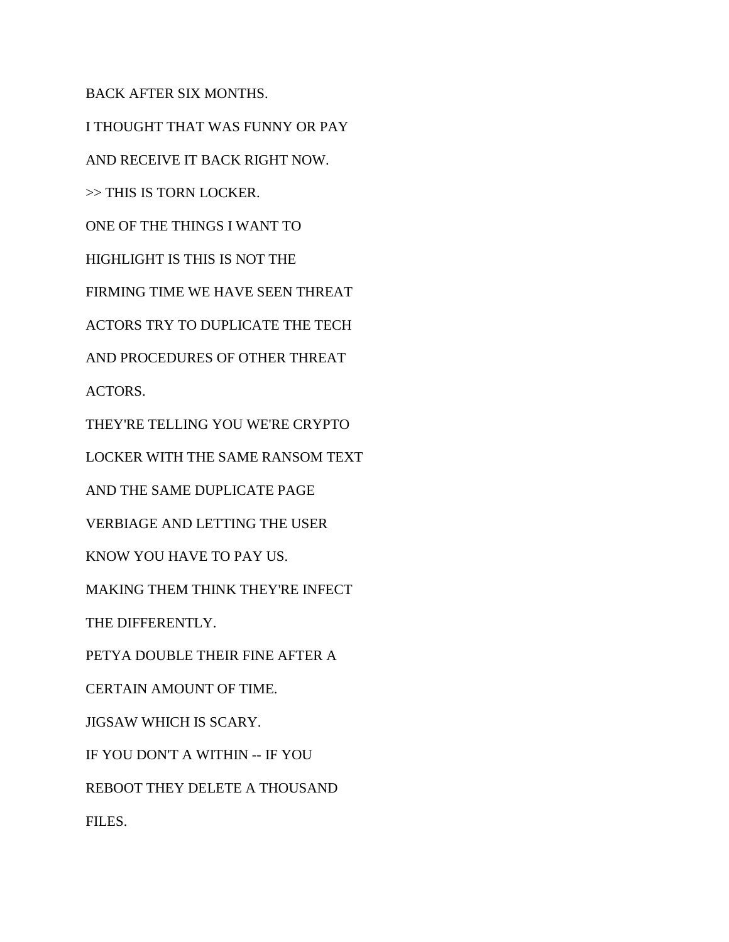BACK AFTER SIX MONTHS.

I THOUGHT THAT WAS FUNNY OR PAY AND RECEIVE IT BACK RIGHT NOW. >> THIS IS TORN LOCKER. ONE OF THE THINGS I WANT TO HIGHLIGHT IS THIS IS NOT THE FIRMING TIME WE HAVE SEEN THREAT ACTORS TRY TO DUPLICATE THE TECH AND PROCEDURES OF OTHER THREAT ACTORS. THEY'RE TELLING YOU WE'RE CRYPTO LOCKER WITH THE SAME RANSOM TEXT AND THE SAME DUPLICATE PAGE VERBIAGE AND LETTING THE USER KNOW YOU HAVE TO PAY US. MAKING THEM THINK THEY'RE INFECT THE DIFFERENTLY. PETYA DOUBLE THEIR FINE AFTER A CERTAIN AMOUNT OF TIME. JIGSAW WHICH IS SCARY. IF YOU DON'T A WITHIN -- IF YOU REBOOT THEY DELETE A THOUSAND FILES.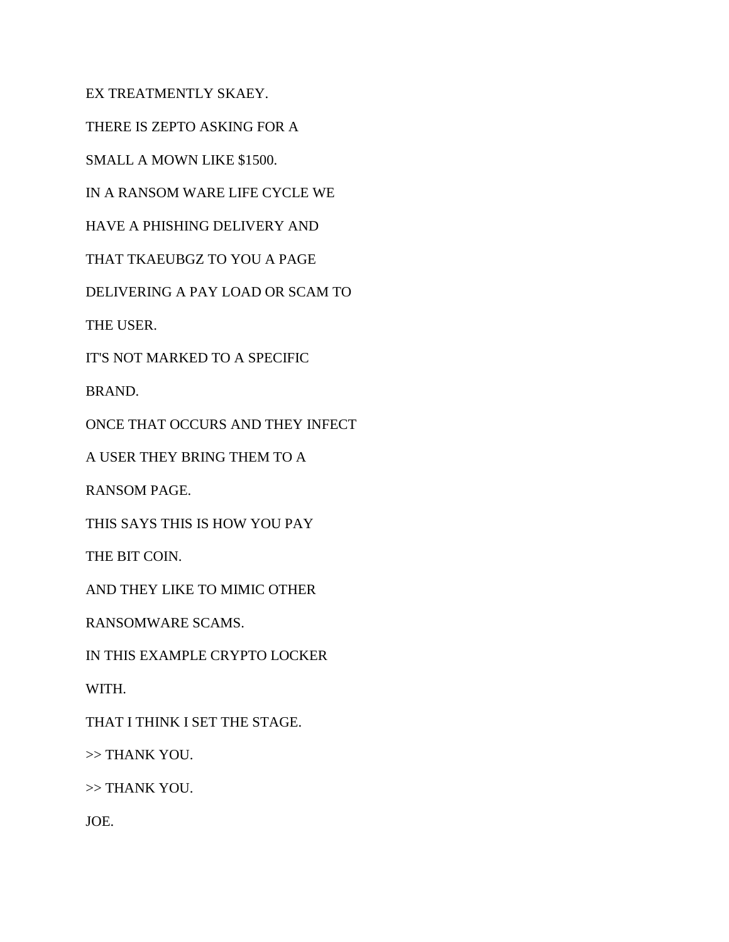EX TREATMENTLY SKAEY.

THERE IS ZEPTO ASKING FOR A

SMALL A MOWN LIKE \$1500.

IN A RANSOM WARE LIFE CYCLE WE

HAVE A PHISHING DELIVERY AND

THAT TKAEUBGZ TO YOU A PAGE

DELIVERING A PAY LOAD OR SCAM TO

THE USER.

IT'S NOT MARKED TO A SPECIFIC

BRAND.

ONCE THAT OCCURS AND THEY INFECT

A USER THEY BRING THEM TO A

RANSOM PAGE.

THIS SAYS THIS IS HOW YOU PAY

THE BIT COIN.

AND THEY LIKE TO MIMIC OTHER

RANSOMWARE SCAMS.

IN THIS EXAMPLE CRYPTO LOCKER

WITH.

THAT I THINK I SET THE STAGE.

>> THANK YOU.

>> THANK YOU.

JOE.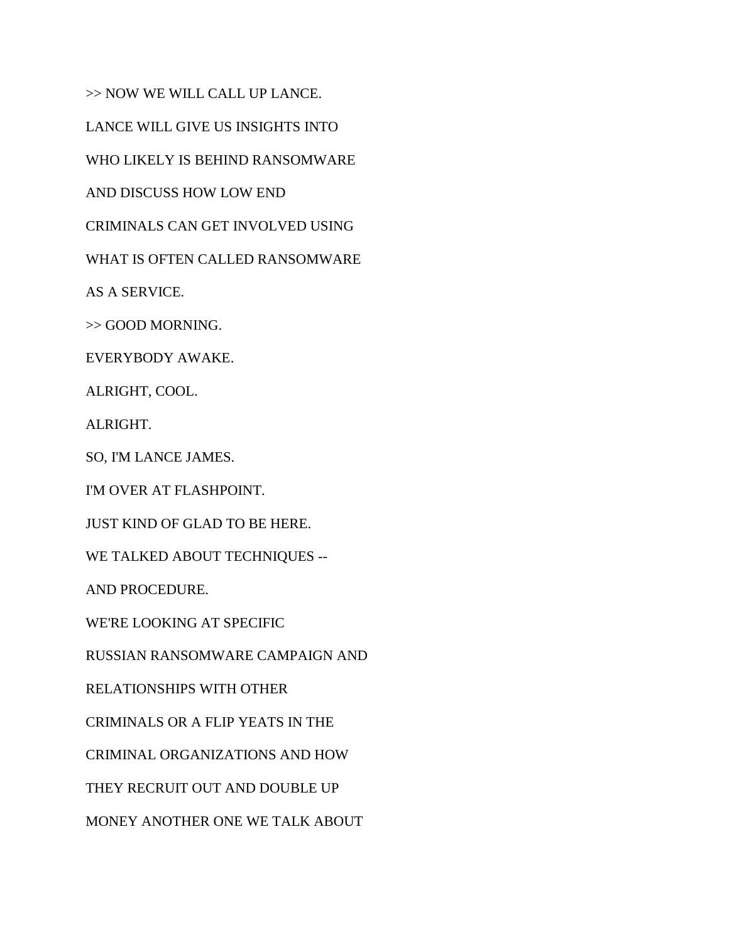>> NOW WE WILL CALL UP LANCE.

LANCE WILL GIVE US INSIGHTS INTO

WHO LIKELY IS BEHIND RANSOMWARE

AND DISCUSS HOW LOW END

CRIMINALS CAN GET INVOLVED USING

WHAT IS OFTEN CALLED RANSOMWARE

AS A SERVICE.

>> GOOD MORNING.

EVERYBODY AWAKE.

ALRIGHT, COOL.

ALRIGHT.

SO, I'M LANCE JAMES.

I'M OVER AT FLASHPOINT.

JUST KIND OF GLAD TO BE HERE.

WE TALKED ABOUT TECHNIQUES --

AND PROCEDURE.

WE'RE LOOKING AT SPECIFIC

RUSSIAN RANSOMWARE CAMPAIGN AND

RELATIONSHIPS WITH OTHER

CRIMINALS OR A FLIP YEATS IN THE

CRIMINAL ORGANIZATIONS AND HOW

THEY RECRUIT OUT AND DOUBLE UP

MONEY ANOTHER ONE WE TALK ABOUT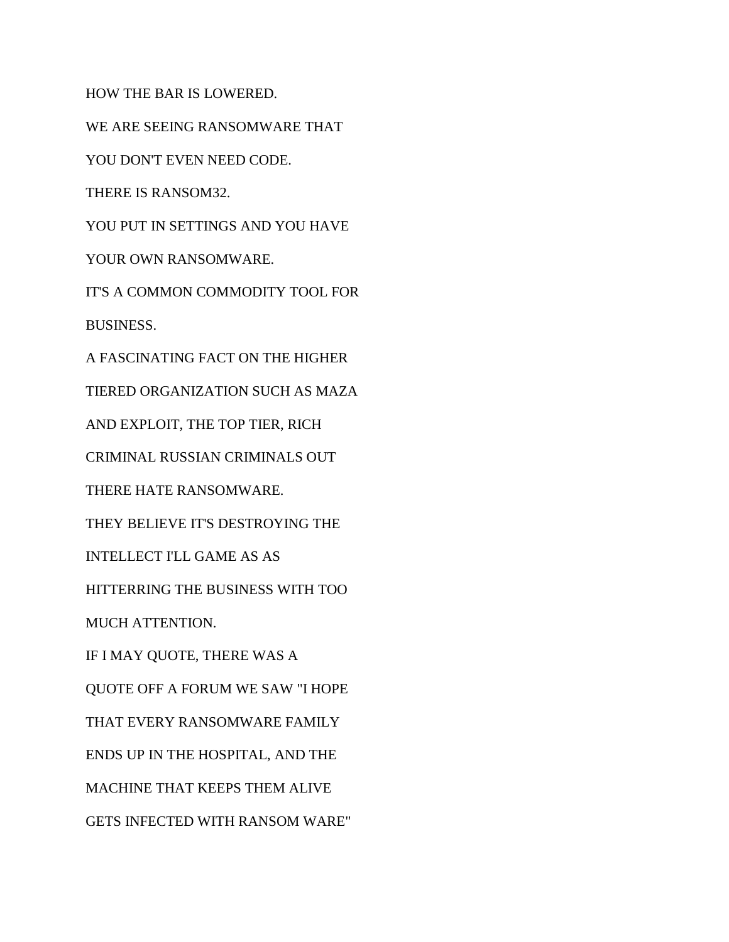HOW THE BAR IS LOWERED.

WE ARE SEEING RANSOMWARE THAT

YOU DON'T EVEN NEED CODE.

THERE IS RANSOM32.

YOU PUT IN SETTINGS AND YOU HAVE

YOUR OWN RANSOMWARE.

IT'S A COMMON COMMODITY TOOL FOR

BUSINESS.

A FASCINATING FACT ON THE HIGHER TIERED ORGANIZATION SUCH AS MAZA AND EXPLOIT, THE TOP TIER, RICH CRIMINAL RUSSIAN CRIMINALS OUT THERE HATE RANSOMWARE. THEY BELIEVE IT'S DESTROYING THE INTELLECT I'LL GAME AS AS HITTERRING THE BUSINESS WITH TOO MUCH ATTENTION. IF I MAY QUOTE, THERE WAS A QUOTE OFF A FORUM WE SAW "I HOPE THAT EVERY RANSOMWARE FAMILY ENDS UP IN THE HOSPITAL, AND THE MACHINE THAT KEEPS THEM ALIVE GETS INFECTED WITH RANSOM WARE"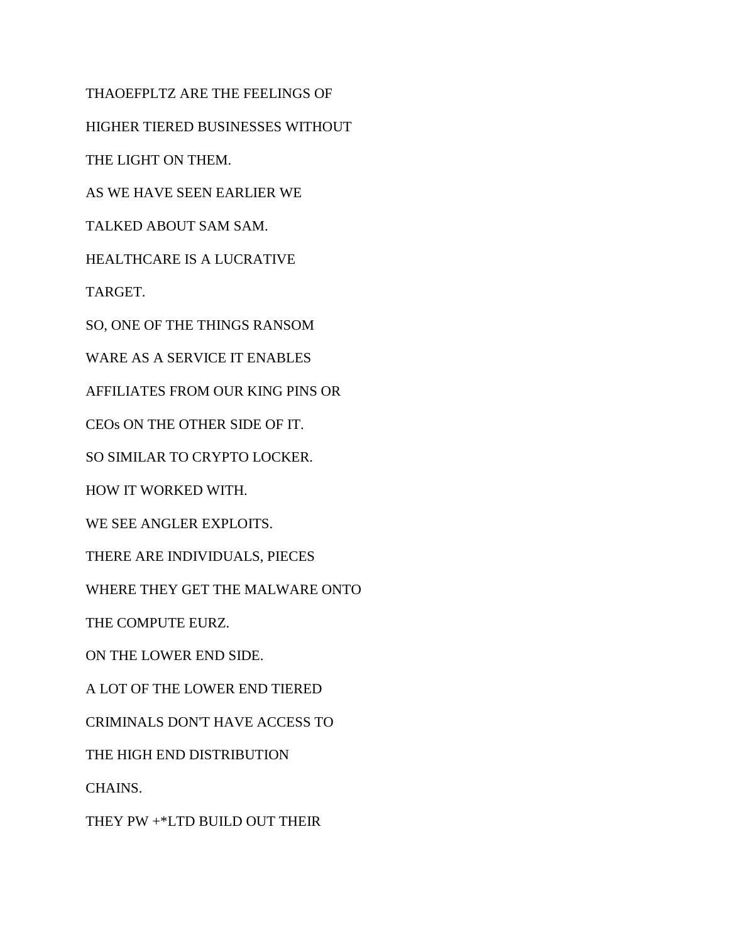THAOEFPLTZ ARE THE FEELINGS OF HIGHER TIERED BUSINESSES WITHOUT THE LIGHT ON THEM. AS WE HAVE SEEN EARLIER WE TALKED ABOUT SAM SAM. HEALTHCARE IS A LUCRATIVE TARGET. SO, ONE OF THE THINGS RANSOM WARE AS A SERVICE IT ENABLES AFFILIATES FROM OUR KING PINS OR CEOs ON THE OTHER SIDE OF IT. SO SIMILAR TO CRYPTO LOCKER. HOW IT WORKED WITH. WE SEE ANGLER EXPLOITS. THERE ARE INDIVIDUALS, PIECES WHERE THEY GET THE MALWARE ONTO THE COMPUTE EURZ. ON THE LOWER END SIDE. A LOT OF THE LOWER END TIERED CRIMINALS DON'T HAVE ACCESS TO THE HIGH END DISTRIBUTION CHAINS. THEY PW +\*LTD BUILD OUT THEIR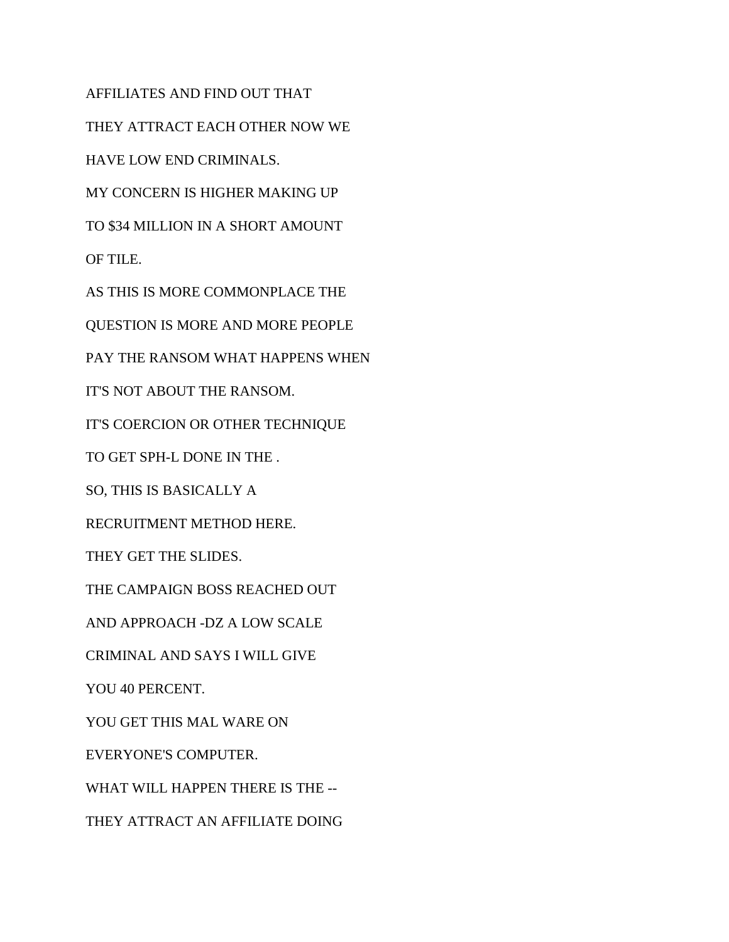AFFILIATES AND FIND OUT THAT THEY ATTRACT EACH OTHER NOW WE HAVE LOW END CRIMINALS. MY CONCERN IS HIGHER MAKING UP TO \$34 MILLION IN A SHORT AMOUNT OF TILE. AS THIS IS MORE COMMONPLACE THE QUESTION IS MORE AND MORE PEOPLE PAY THE RANSOM WHAT HAPPENS WHEN IT'S NOT ABOUT THE RANSOM. IT'S COERCION OR OTHER TECHNIQUE TO GET SPH-L DONE IN THE . SO, THIS IS BASICALLY A RECRUITMENT METHOD HERE. THEY GET THE SLIDES. THE CAMPAIGN BOSS REACHED OUT AND APPROACH -DZ A LOW SCALE CRIMINAL AND SAYS I WILL GIVE YOU 40 PERCENT. YOU GET THIS MAL WARE ON EVERYONE'S COMPUTER. WHAT WILL HAPPEN THERE IS THE -- THEY ATTRACT AN AFFILIATE DOING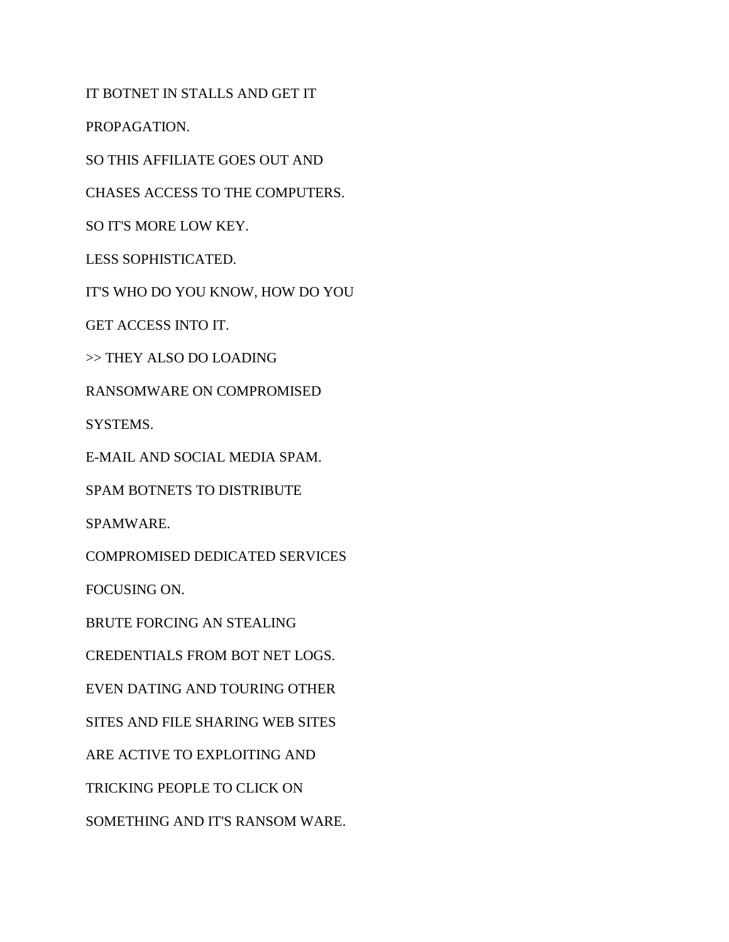IT BOTNET IN STALLS AND GET IT

PROPAGATION.

SO THIS AFFILIATE GOES OUT AND

CHASES ACCESS TO THE COMPUTERS.

SO IT'S MORE LOW KEY.

LESS SOPHISTICATED.

IT'S WHO DO YOU KNOW, HOW DO YOU

GET ACCESS INTO IT.

>> THEY ALSO DO LOADING

RANSOMWARE ON COMPROMISED

SYSTEMS.

E-MAIL AND SOCIAL MEDIA SPAM.

SPAM BOTNETS TO DISTRIBUTE

SPAMWARE.

COMPROMISED DEDICATED SERVICES

FOCUSING ON.

BRUTE FORCING AN STEALING

CREDENTIALS FROM BOT NET LOGS.

EVEN DATING AND TOURING OTHER

SITES AND FILE SHARING WEB SITES

ARE ACTIVE TO EXPLOITING AND

TRICKING PEOPLE TO CLICK ON

SOMETHING AND IT'S RANSOM WARE.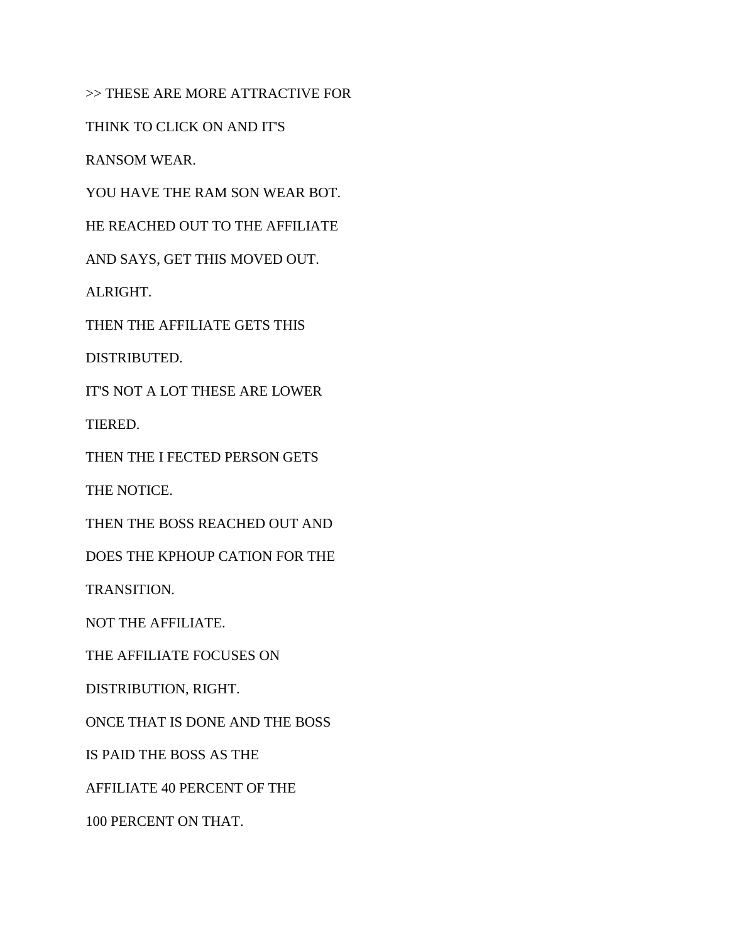>> THESE ARE MORE ATTRACTIVE FOR

THINK TO CLICK ON AND IT'S

RANSOM WEAR.

YOU HAVE THE RAM SON WEAR BOT.

HE REACHED OUT TO THE AFFILIATE

AND SAYS, GET THIS MOVED OUT.

ALRIGHT.

THEN THE AFFILIATE GETS THIS

DISTRIBUTED.

IT'S NOT A LOT THESE ARE LOWER

TIERED.

THEN THE I FECTED PERSON GETS

THE NOTICE.

THEN THE BOSS REACHED OUT AND

DOES THE KPHOUP CATION FOR THE

TRANSITION.

NOT THE AFFILIATE.

THE AFFILIATE FOCUSES ON

DISTRIBUTION, RIGHT.

ONCE THAT IS DONE AND THE BOSS

IS PAID THE BOSS AS THE

AFFILIATE 40 PERCENT OF THE

100 PERCENT ON THAT.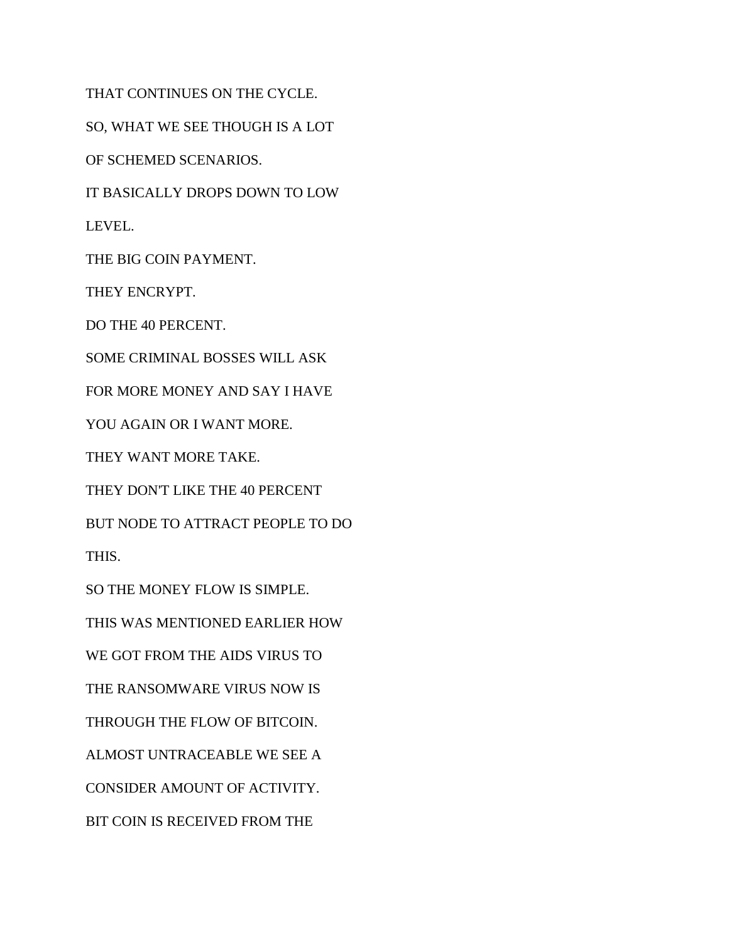THAT CONTINUES ON THE CYCLE. SO, WHAT WE SEE THOUGH IS A LOT OF SCHEMED SCENARIOS. IT BASICALLY DROPS DOWN TO LOW LEVEL. THE BIG COIN PAYMENT. THEY ENCRYPT. DO THE 40 PERCENT. SOME CRIMINAL BOSSES WILL ASK FOR MORE MONEY AND SAY I HAVE YOU AGAIN OR I WANT MORE. THEY WANT MORE TAKE. THEY DON'T LIKE THE 40 PERCENT BUT NODE TO ATTRACT PEOPLE TO DO THIS. SO THE MONEY FLOW IS SIMPLE. THIS WAS MENTIONED EARLIER HOW WE GOT FROM THE AIDS VIRUS TO THE RANSOMWARE VIRUS NOW IS THROUGH THE FLOW OF BITCOIN. ALMOST UNTRACEABLE WE SEE A CONSIDER AMOUNT OF ACTIVITY. BIT COIN IS RECEIVED FROM THE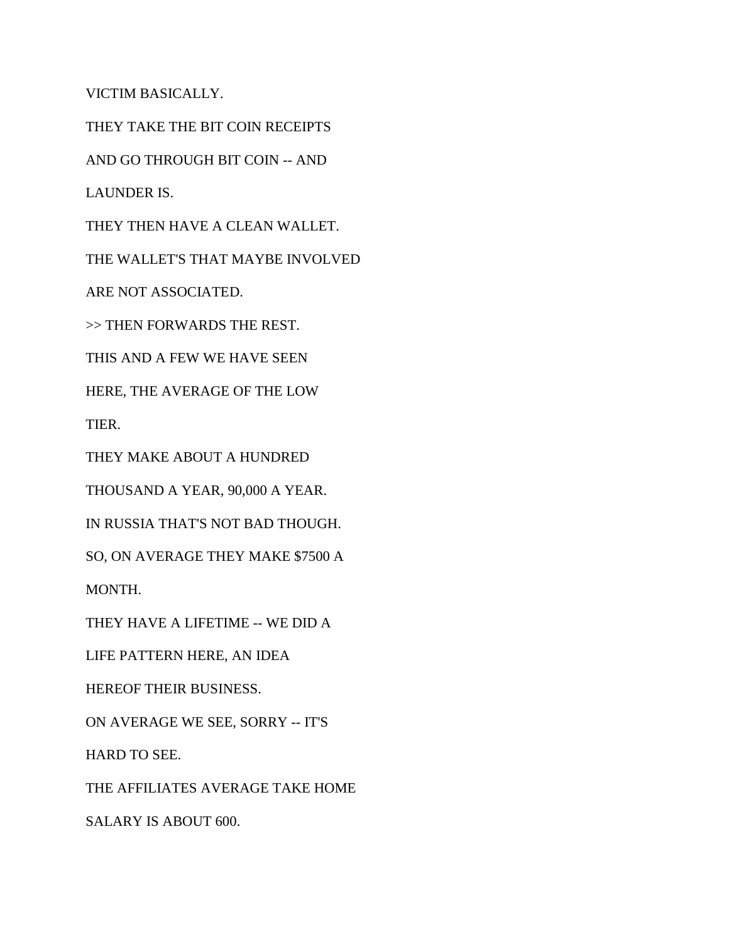VICTIM BASICALLY.

THEY TAKE THE BIT COIN RECEIPTS

AND GO THROUGH BIT COIN -- AND

LAUNDER IS.

THEY THEN HAVE A CLEAN WALLET.

THE WALLET'S THAT MAYBE INVOLVED

ARE NOT ASSOCIATED.

>> THEN FORWARDS THE REST.

THIS AND A FEW WE HAVE SEEN

HERE, THE AVERAGE OF THE LOW

TIER.

THEY MAKE ABOUT A HUNDRED

THOUSAND A YEAR, 90,000 A YEAR.

IN RUSSIA THAT'S NOT BAD THOUGH.

SO, ON AVERAGE THEY MAKE \$7500 A

MONTH.

THEY HAVE A LIFETIME -- WE DID A

LIFE PATTERN HERE, AN IDEA

HEREOF THEIR BUSINESS.

ON AVERAGE WE SEE, SORRY -- IT'S

HARD TO SEE.

THE AFFILIATES AVERAGE TAKE HOME

SALARY IS ABOUT 600.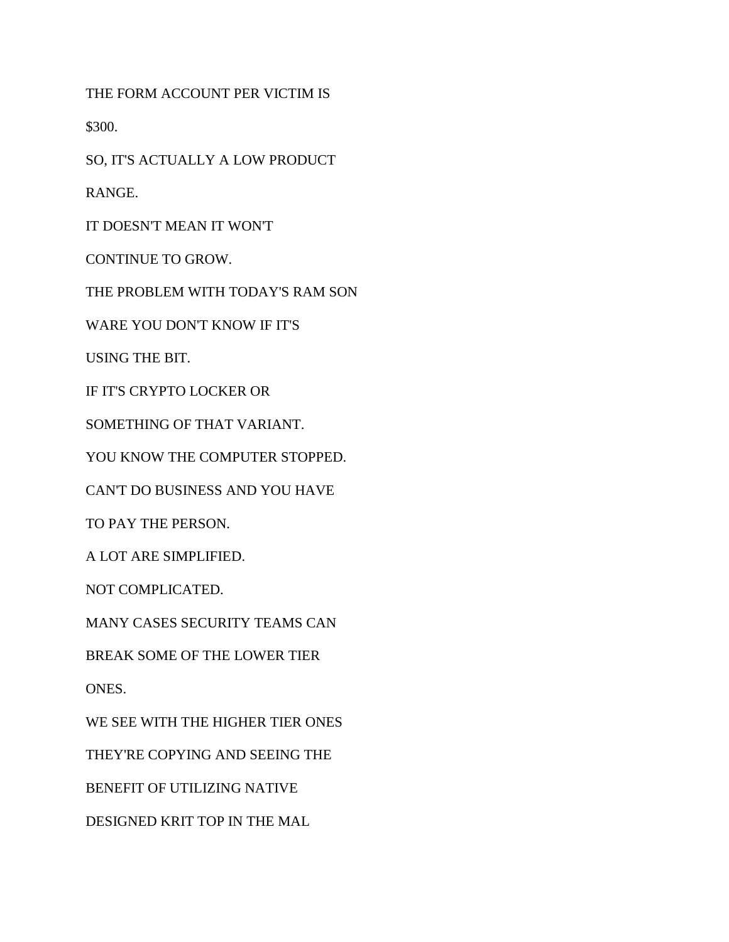THE FORM ACCOUNT PER VICTIM IS

\$300.

SO, IT'S ACTUALLY A LOW PRODUCT

RANGE.

IT DOESN'T MEAN IT WON'T

CONTINUE TO GROW.

THE PROBLEM WITH TODAY'S RAM SON

WARE YOU DON'T KNOW IF IT'S

USING THE BIT.

IF IT'S CRYPTO LOCKER OR

SOMETHING OF THAT VARIANT.

YOU KNOW THE COMPUTER STOPPED.

CAN'T DO BUSINESS AND YOU HAVE

TO PAY THE PERSON.

A LOT ARE SIMPLIFIED.

NOT COMPLICATED.

MANY CASES SECURITY TEAMS CAN

BREAK SOME OF THE LOWER TIER

ONES.

WE SEE WITH THE HIGHER TIER ONES

THEY'RE COPYING AND SEEING THE

BENEFIT OF UTILIZING NATIVE

DESIGNED KRIT TOP IN THE MAL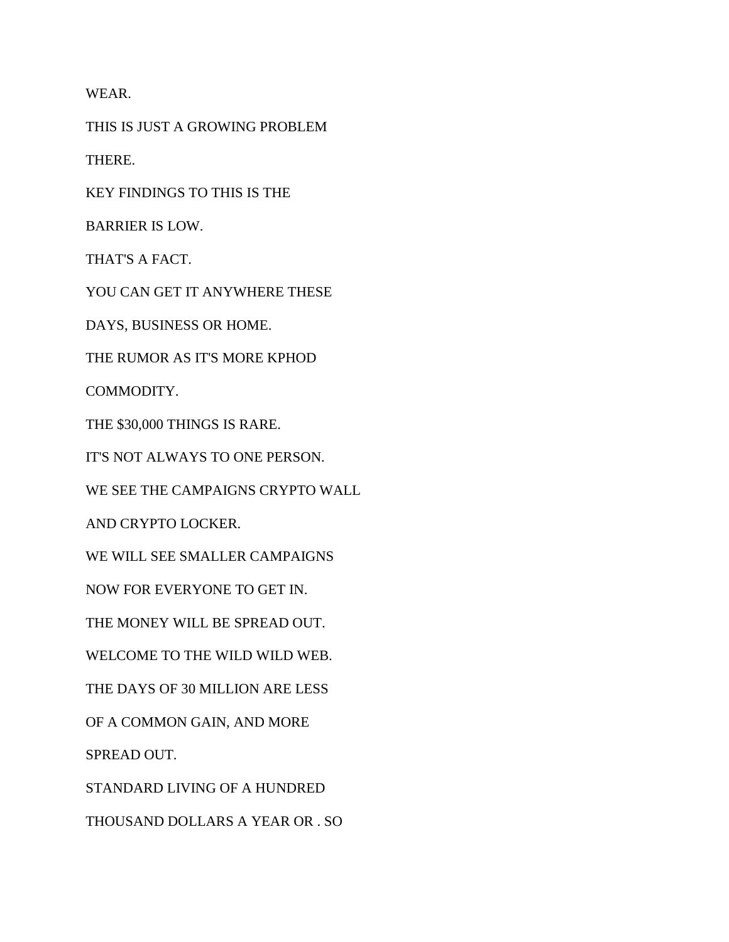WEAR.

THIS IS JUST A GROWING PROBLEM

THERE.

KEY FINDINGS TO THIS IS THE

BARRIER IS LOW.

THAT'S A FACT.

YOU CAN GET IT ANYWHERE THESE

DAYS, BUSINESS OR HOME.

THE RUMOR AS IT'S MORE KPHOD

COMMODITY.

THE \$30,000 THINGS IS RARE.

IT'S NOT ALWAYS TO ONE PERSON.

WE SEE THE CAMPAIGNS CRYPTO WALL

AND CRYPTO LOCKER.

WE WILL SEE SMALLER CAMPAIGNS

NOW FOR EVERYONE TO GET IN.

THE MONEY WILL BE SPREAD OUT.

WELCOME TO THE WILD WILD WEB.

THE DAYS OF 30 MILLION ARE LESS

OF A COMMON GAIN, AND MORE

SPREAD OUT.

STANDARD LIVING OF A HUNDRED

THOUSAND DOLLARS A YEAR OR . SO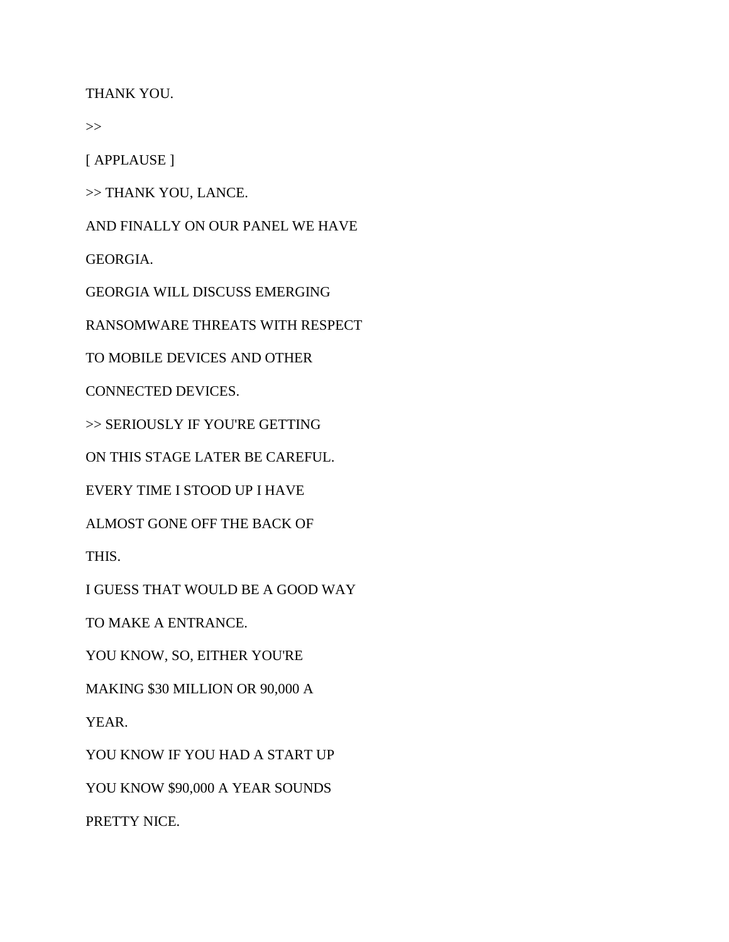THANK YOU.

>>

[ APPLAUSE ]

>> THANK YOU, LANCE.

AND FINALLY ON OUR PANEL WE HAVE

GEORGIA.

GEORGIA WILL DISCUSS EMERGING

RANSOMWARE THREATS WITH RESPECT

TO MOBILE DEVICES AND OTHER

CONNECTED DEVICES.

>> SERIOUSLY IF YOU'RE GETTING

ON THIS STAGE LATER BE CAREFUL.

EVERY TIME I STOOD UP I HAVE

ALMOST GONE OFF THE BACK OF

THIS.

I GUESS THAT WOULD BE A GOOD WAY

TO MAKE A ENTRANCE.

YOU KNOW, SO, EITHER YOU'RE

MAKING \$30 MILLION OR 90,000 A

YEAR.

YOU KNOW IF YOU HAD A START UP

YOU KNOW \$90,000 A YEAR SOUNDS

PRETTY NICE.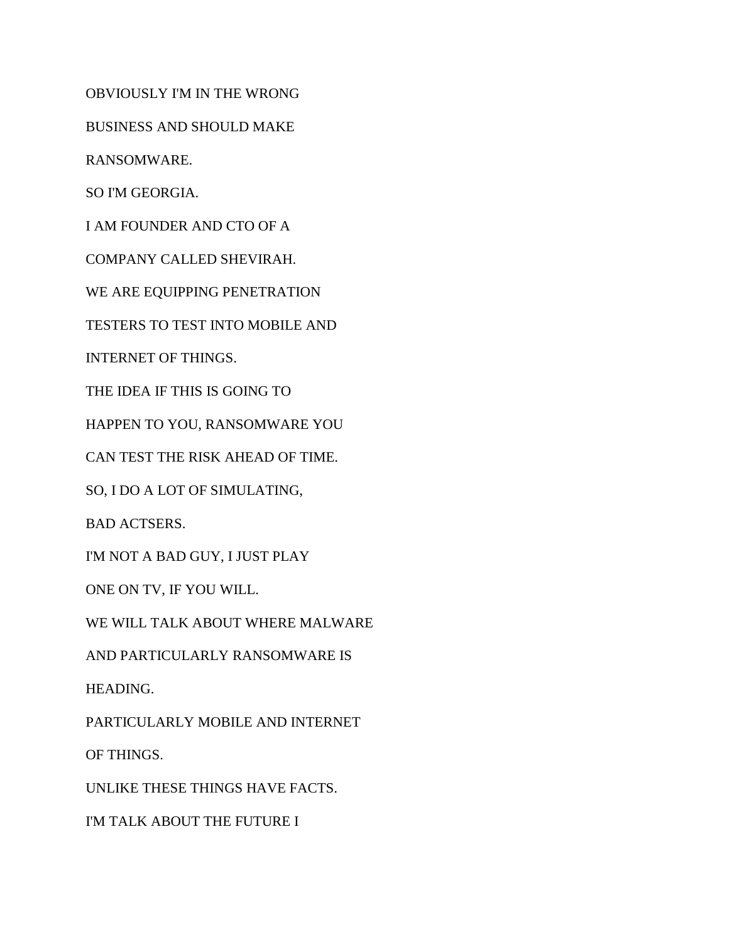OBVIOUSLY I'M IN THE WRONG

BUSINESS AND SHOULD MAKE

RANSOMWARE.

SO I'M GEORGIA.

I AM FOUNDER AND CTO OF A

COMPANY CALLED SHEVIRAH.

WE ARE EQUIPPING PENETRATION

TESTERS TO TEST INTO MOBILE AND

INTERNET OF THINGS.

THE IDEA IF THIS IS GOING TO

HAPPEN TO YOU, RANSOMWARE YOU

CAN TEST THE RISK AHEAD OF TIME.

SO, I DO A LOT OF SIMULATING,

BAD ACTSERS.

I'M NOT A BAD GUY, I JUST PLAY

ONE ON TV, IF YOU WILL.

WE WILL TALK ABOUT WHERE MALWARE

AND PARTICULARLY RANSOMWARE IS

HEADING.

PARTICULARLY MOBILE AND INTERNET

OF THINGS.

UNLIKE THESE THINGS HAVE FACTS.

I'M TALK ABOUT THE FUTURE I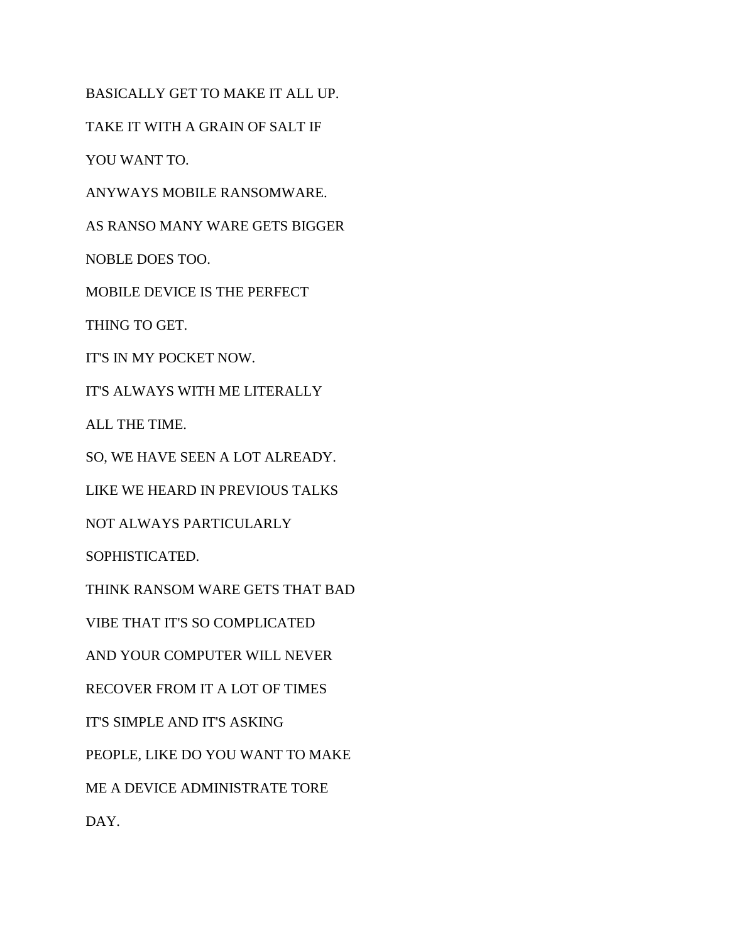BASICALLY GET TO MAKE IT ALL UP.

TAKE IT WITH A GRAIN OF SALT IF

YOU WANT TO.

ANYWAYS MOBILE RANSOMWARE.

AS RANSO MANY WARE GETS BIGGER

NOBLE DOES TOO.

MOBILE DEVICE IS THE PERFECT

THING TO GET.

IT'S IN MY POCKET NOW.

IT'S ALWAYS WITH ME LITERALLY

ALL THE TIME.

SO, WE HAVE SEEN A LOT ALREADY.

LIKE WE HEARD IN PREVIOUS TALKS

NOT ALWAYS PARTICULARLY

SOPHISTICATED.

THINK RANSOM WARE GETS THAT BAD

VIBE THAT IT'S SO COMPLICATED

AND YOUR COMPUTER WILL NEVER

RECOVER FROM IT A LOT OF TIMES

IT'S SIMPLE AND IT'S ASKING

PEOPLE, LIKE DO YOU WANT TO MAKE

ME A DEVICE ADMINISTRATE TORE

DAY.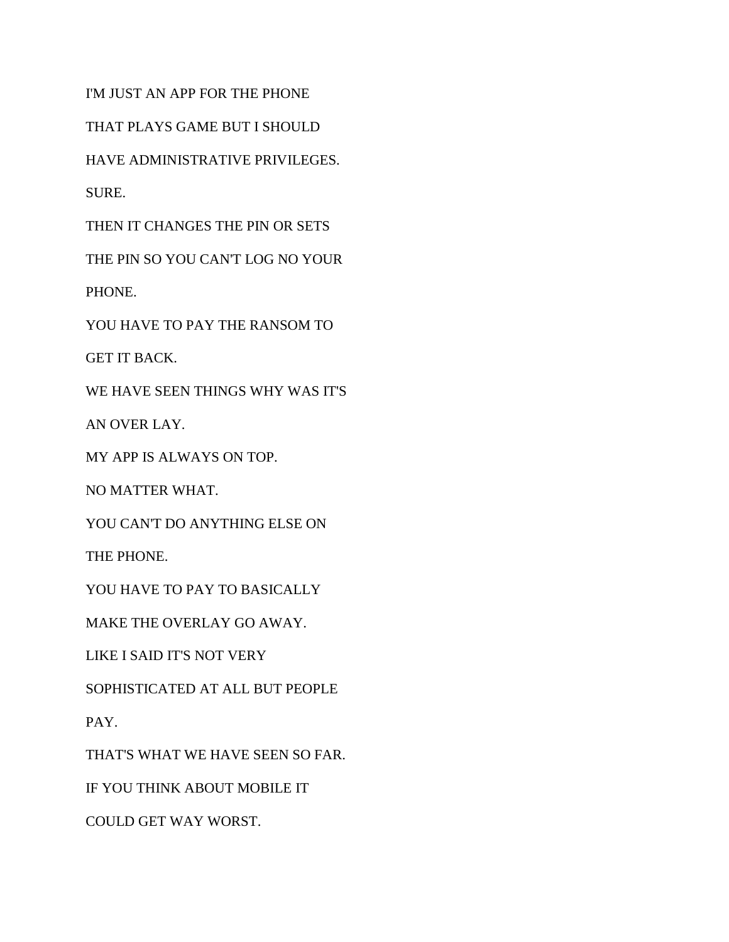I'M JUST AN APP FOR THE PHONE

THAT PLAYS GAME BUT I SHOULD

HAVE ADMINISTRATIVE PRIVILEGES.

SURE.

THEN IT CHANGES THE PIN OR SETS

THE PIN SO YOU CAN'T LOG NO YOUR

PHONE.

YOU HAVE TO PAY THE RANSOM TO

GET IT BACK.

WE HAVE SEEN THINGS WHY WAS IT'S

AN OVER LAY.

MY APP IS ALWAYS ON TOP.

NO MATTER WHAT.

YOU CAN'T DO ANYTHING ELSE ON

THE PHONE.

YOU HAVE TO PAY TO BASICALLY

MAKE THE OVERLAY GO AWAY.

LIKE I SAID IT'S NOT VERY

SOPHISTICATED AT ALL BUT PEOPLE

PAY.

THAT'S WHAT WE HAVE SEEN SO FAR.

IF YOU THINK ABOUT MOBILE IT

COULD GET WAY WORST.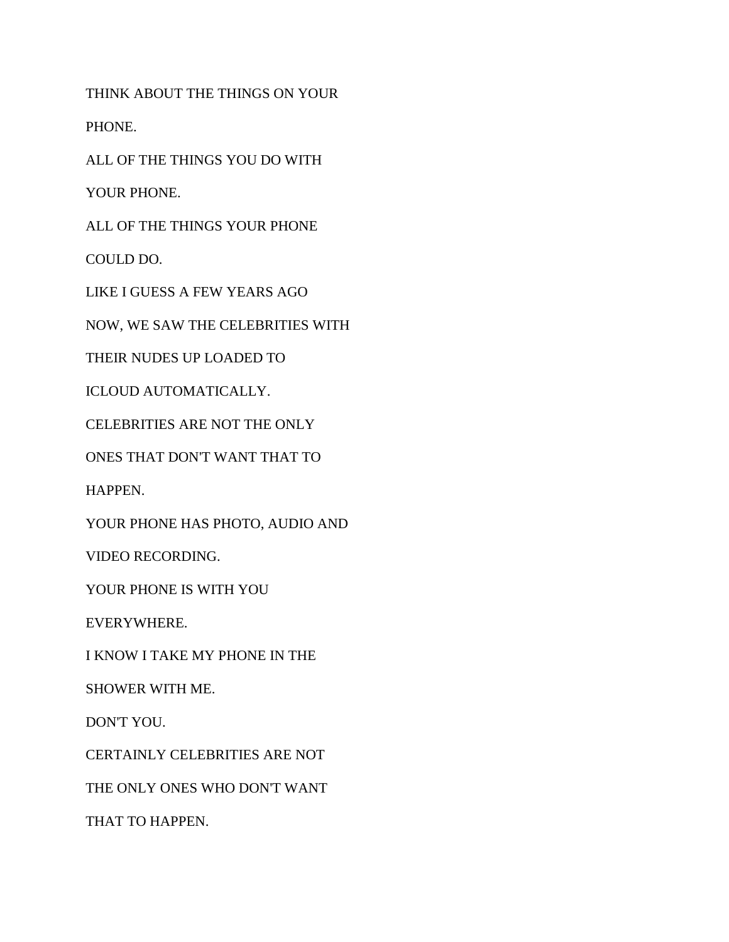THINK ABOUT THE THINGS ON YOUR

PHONE.

ALL OF THE THINGS YOU DO WITH

YOUR PHONE.

ALL OF THE THINGS YOUR PHONE

COULD DO.

LIKE I GUESS A FEW YEARS AGO

NOW, WE SAW THE CELEBRITIES WITH

THEIR NUDES UP LOADED TO

ICLOUD AUTOMATICALLY.

CELEBRITIES ARE NOT THE ONLY

ONES THAT DON'T WANT THAT TO

HAPPEN.

YOUR PHONE HAS PHOTO, AUDIO AND

VIDEO RECORDING.

YOUR PHONE IS WITH YOU

EVERYWHERE.

I KNOW I TAKE MY PHONE IN THE

SHOWER WITH ME.

DON'T YOU.

CERTAINLY CELEBRITIES ARE NOT

THE ONLY ONES WHO DON'T WANT

THAT TO HAPPEN.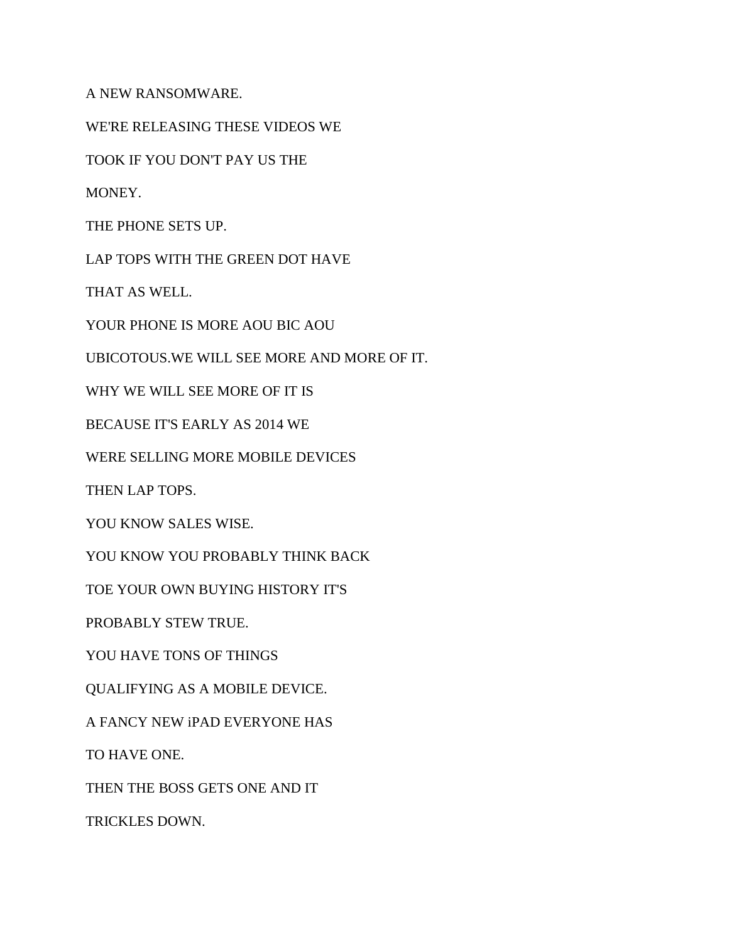A NEW RANSOMWARE.

WE'RE RELEASING THESE VIDEOS WE

TOOK IF YOU DON'T PAY US THE

MONEY.

THE PHONE SETS UP.

LAP TOPS WITH THE GREEN DOT HAVE

THAT AS WELL.

YOUR PHONE IS MORE AOU BIC AOU

UBICOTOUS.WE WILL SEE MORE AND MORE OF IT.

WHY WE WILL SEE MORE OF IT IS

BECAUSE IT'S EARLY AS 2014 WE

WERE SELLING MORE MOBILE DEVICES

THEN LAP TOPS.

YOU KNOW SALES WISE.

YOU KNOW YOU PROBABLY THINK BACK

TOE YOUR OWN BUYING HISTORY IT'S

PROBABLY STEW TRUE.

YOU HAVE TONS OF THINGS

QUALIFYING AS A MOBILE DEVICE.

A FANCY NEW iPAD EVERYONE HAS

TO HAVE ONE.

THEN THE BOSS GETS ONE AND IT

TRICKLES DOWN.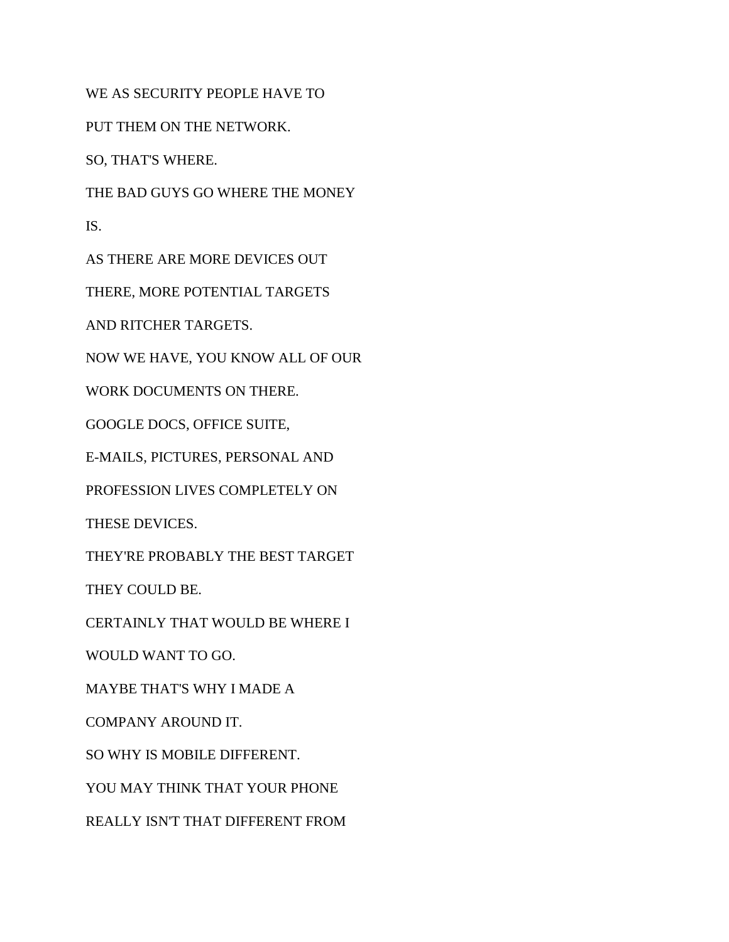WE AS SECURITY PEOPLE HAVE TO

PUT THEM ON THE NETWORK.

SO, THAT'S WHERE.

THE BAD GUYS GO WHERE THE MONEY

IS.

AS THERE ARE MORE DEVICES OUT

THERE, MORE POTENTIAL TARGETS

AND RITCHER TARGETS.

NOW WE HAVE, YOU KNOW ALL OF OUR

WORK DOCUMENTS ON THERE.

GOOGLE DOCS, OFFICE SUITE,

E-MAILS, PICTURES, PERSONAL AND

PROFESSION LIVES COMPLETELY ON

THESE DEVICES.

THEY'RE PROBABLY THE BEST TARGET

THEY COULD BE.

CERTAINLY THAT WOULD BE WHERE I

WOULD WANT TO GO.

MAYBE THAT'S WHY I MADE A

COMPANY AROUND IT.

SO WHY IS MOBILE DIFFERENT.

YOU MAY THINK THAT YOUR PHONE

REALLY ISN'T THAT DIFFERENT FROM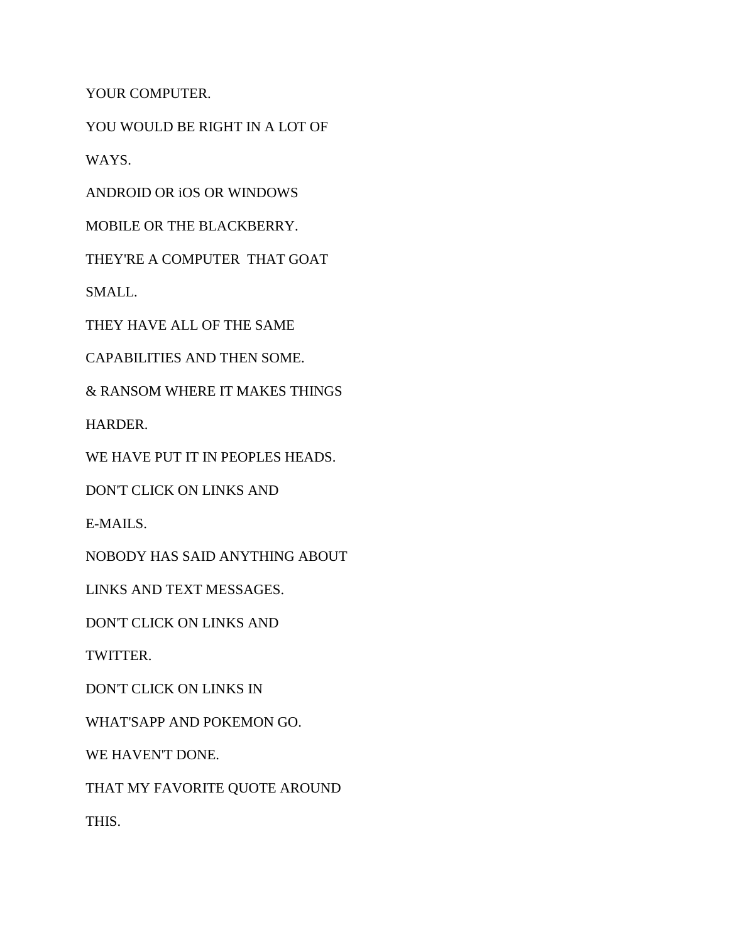YOUR COMPUTER.

YOU WOULD BE RIGHT IN A LOT OF

WAYS.

ANDROID OR iOS OR WINDOWS

MOBILE OR THE BLACKBERRY.

THEY'RE A COMPUTER THAT GOAT

SMALL.

THEY HAVE ALL OF THE SAME

CAPABILITIES AND THEN SOME.

& RANSOM WHERE IT MAKES THINGS

HARDER.

WE HAVE PUT IT IN PEOPLES HEADS.

DON'T CLICK ON LINKS AND

E-MAILS.

NOBODY HAS SAID ANYTHING ABOUT

LINKS AND TEXT MESSAGES.

DON'T CLICK ON LINKS AND

TWITTER.

DON'T CLICK ON LINKS IN

WHAT'SAPP AND POKEMON GO.

WE HAVEN'T DONE.

THAT MY FAVORITE QUOTE AROUND

THIS.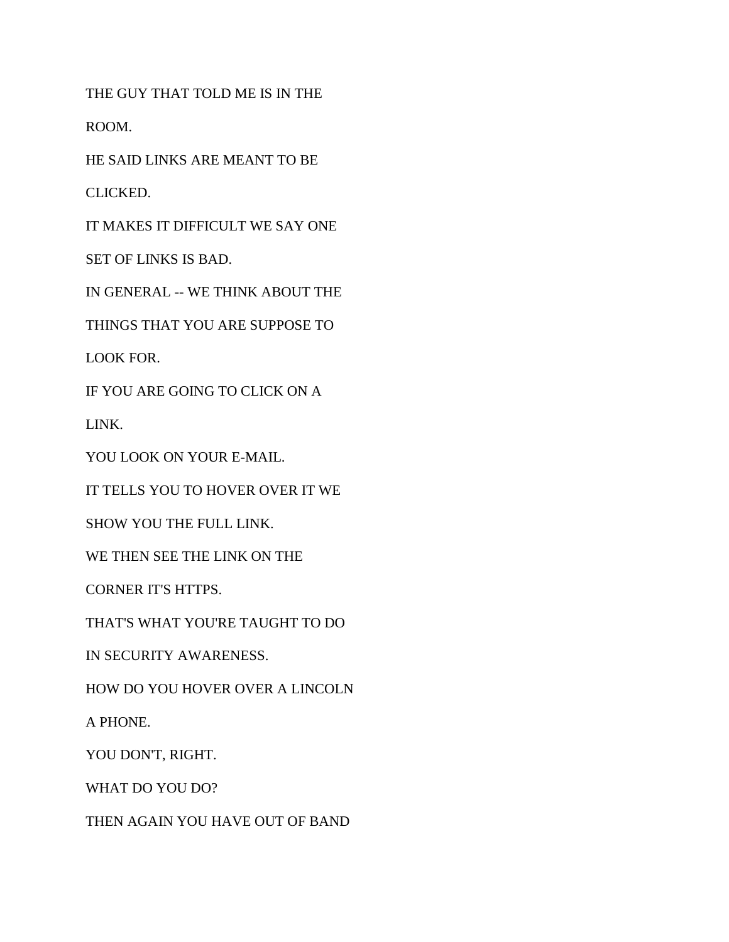THE GUY THAT TOLD ME IS IN THE

ROOM.

HE SAID LINKS ARE MEANT TO BE

CLICKED.

IT MAKES IT DIFFICULT WE SAY ONE

SET OF LINKS IS BAD.

IN GENERAL -- WE THINK ABOUT THE

THINGS THAT YOU ARE SUPPOSE TO

LOOK FOR.

IF YOU ARE GOING TO CLICK ON A

LINK.

YOU LOOK ON YOUR E-MAIL.

IT TELLS YOU TO HOVER OVER IT WE

SHOW YOU THE FULL LINK.

WE THEN SEE THE LINK ON THE

CORNER IT'S HTTPS.

THAT'S WHAT YOU'RE TAUGHT TO DO

IN SECURITY AWARENESS.

HOW DO YOU HOVER OVER A LINCOLN

A PHONE.

YOU DON'T, RIGHT.

WHAT DO YOU DO?

THEN AGAIN YOU HAVE OUT OF BAND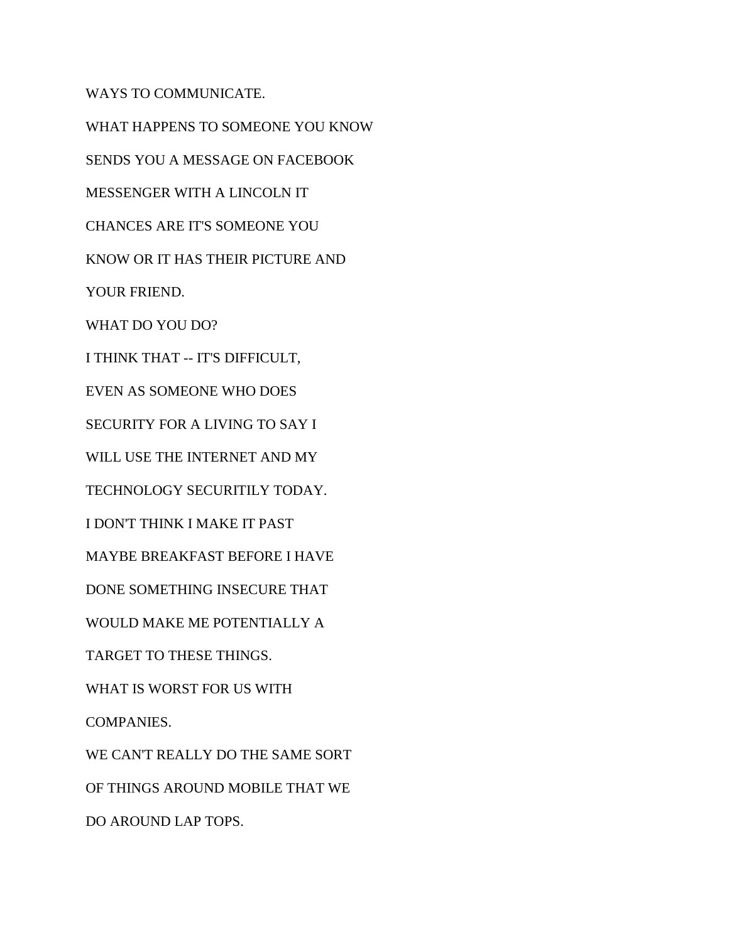WAYS TO COMMUNICATE. WHAT HAPPENS TO SOMEONE YOU KNOW SENDS YOU A MESSAGE ON FACEBOOK MESSENGER WITH A LINCOLN IT CHANCES ARE IT'S SOMEONE YOU KNOW OR IT HAS THEIR PICTURE AND YOUR FRIEND. WHAT DO YOU DO? I THINK THAT -- IT'S DIFFICULT, EVEN AS SOMEONE WHO DOES SECURITY FOR A LIVING TO SAY I WILL USE THE INTERNET AND MY TECHNOLOGY SECURITILY TODAY. I DON'T THINK I MAKE IT PAST MAYBE BREAKFAST BEFORE I HAVE DONE SOMETHING INSECURE THAT WOULD MAKE ME POTENTIALLY A TARGET TO THESE THINGS. WHAT IS WORST FOR US WITH COMPANIES. WE CAN'T REALLY DO THE SAME SORT OF THINGS AROUND MOBILE THAT WE DO AROUND LAP TOPS.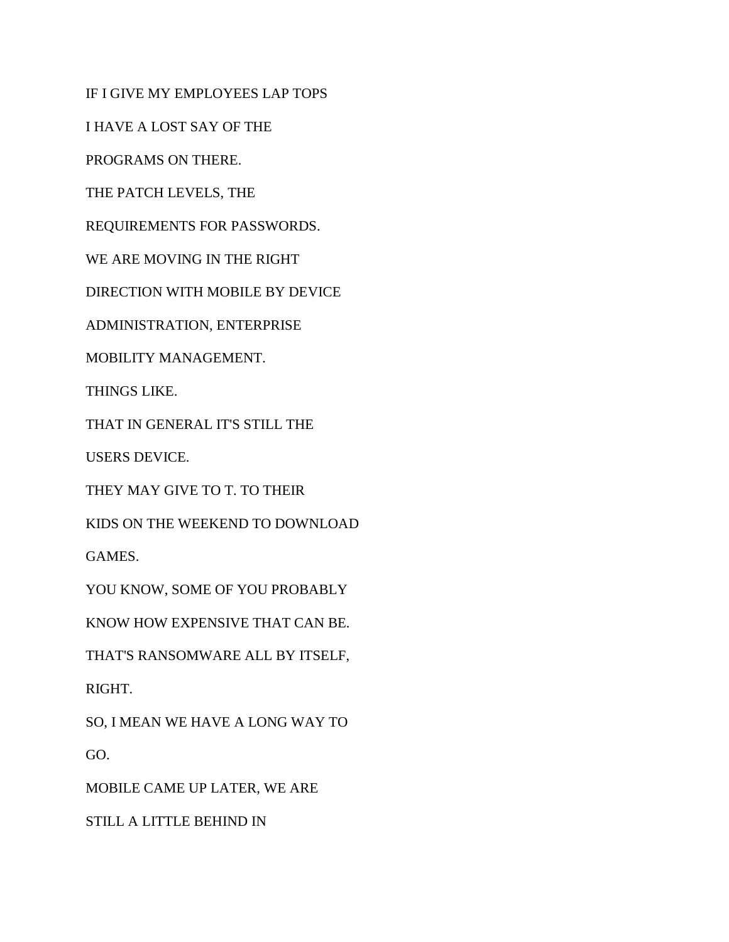IF I GIVE MY EMPLOYEES LAP TOPS

I HAVE A LOST SAY OF THE

PROGRAMS ON THERE.

THE PATCH LEVELS, THE

REQUIREMENTS FOR PASSWORDS.

WE ARE MOVING IN THE RIGHT

DIRECTION WITH MOBILE BY DEVICE

ADMINISTRATION, ENTERPRISE

MOBILITY MANAGEMENT.

THINGS LIKE.

THAT IN GENERAL IT'S STILL THE

USERS DEVICE.

THEY MAY GIVE TO T. TO THEIR

KIDS ON THE WEEKEND TO DOWNLOAD

GAMES.

YOU KNOW, SOME OF YOU PROBABLY

KNOW HOW EXPENSIVE THAT CAN BE.

THAT'S RANSOMWARE ALL BY ITSELF,

RIGHT.

SO, I MEAN WE HAVE A LONG WAY TO GO.

MOBILE CAME UP LATER, WE ARE

STILL A LITTLE BEHIND IN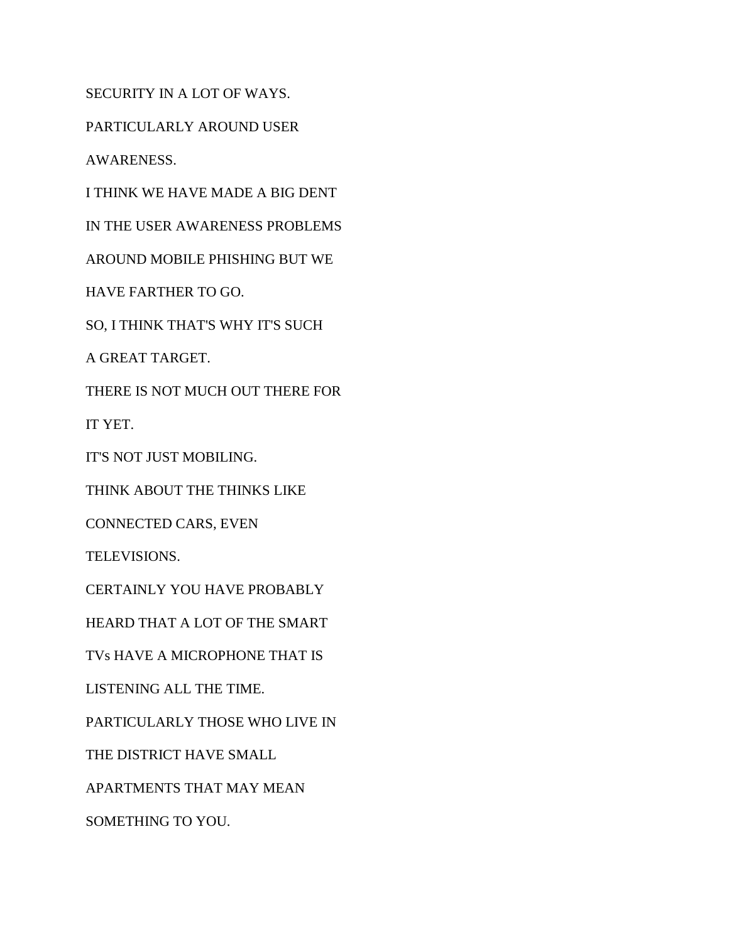SECURITY IN A LOT OF WAYS.

PARTICULARLY AROUND USER

AWARENESS.

I THINK WE HAVE MADE A BIG DENT

IN THE USER AWARENESS PROBLEMS

AROUND MOBILE PHISHING BUT WE

HAVE FARTHER TO GO.

SO, I THINK THAT'S WHY IT'S SUCH

A GREAT TARGET.

THERE IS NOT MUCH OUT THERE FOR

IT YET.

IT'S NOT JUST MOBILING.

THINK ABOUT THE THINKS LIKE

CONNECTED CARS, EVEN

TELEVISIONS.

CERTAINLY YOU HAVE PROBABLY

HEARD THAT A LOT OF THE SMART

TVs HAVE A MICROPHONE THAT IS

LISTENING ALL THE TIME.

PARTICULARLY THOSE WHO LIVE IN

THE DISTRICT HAVE SMALL

APARTMENTS THAT MAY MEAN

SOMETHING TO YOU.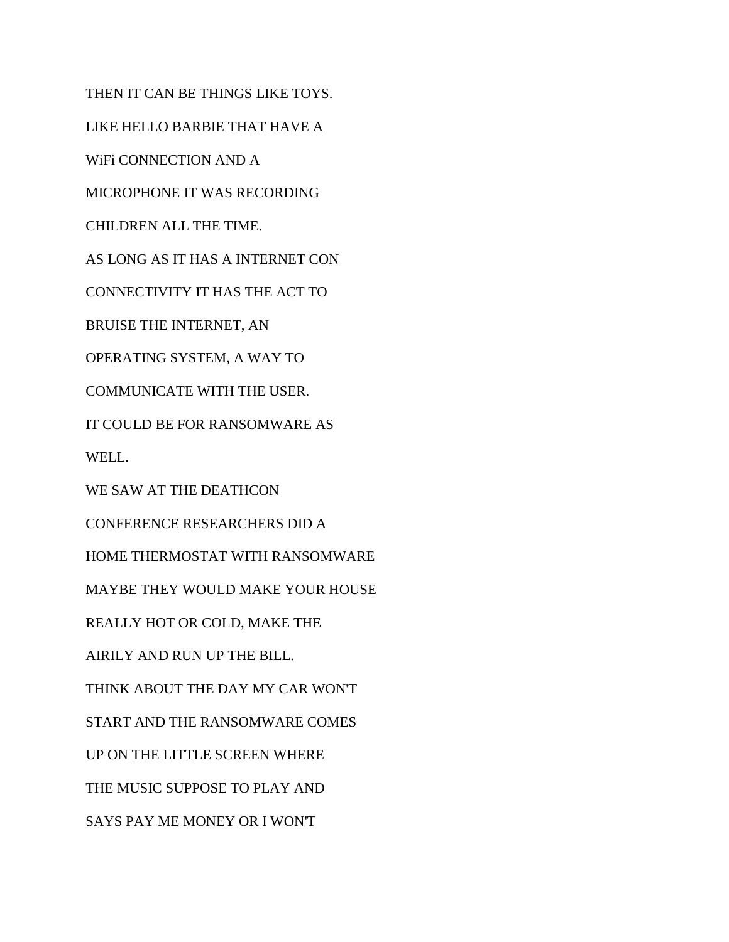THEN IT CAN BE THINGS LIKE TOYS. LIKE HELLO BARBIE THAT HAVE A WiFi CONNECTION AND A MICROPHONE IT WAS RECORDING CHILDREN ALL THE TIME. AS LONG AS IT HAS A INTERNET CON CONNECTIVITY IT HAS THE ACT TO BRUISE THE INTERNET, AN OPERATING SYSTEM, A WAY TO COMMUNICATE WITH THE USER. IT COULD BE FOR RANSOMWARE AS WELL. WE SAW AT THE DEATHCON CONFERENCE RESEARCHERS DID A HOME THERMOSTAT WITH RANSOMWARE MAYBE THEY WOULD MAKE YOUR HOUSE REALLY HOT OR COLD, MAKE THE AIRILY AND RUN UP THE BILL. THINK ABOUT THE DAY MY CAR WON'T START AND THE RANSOMWARE COMES UP ON THE LITTLE SCREEN WHERE THE MUSIC SUPPOSE TO PLAY AND SAYS PAY ME MONEY OR I WON'T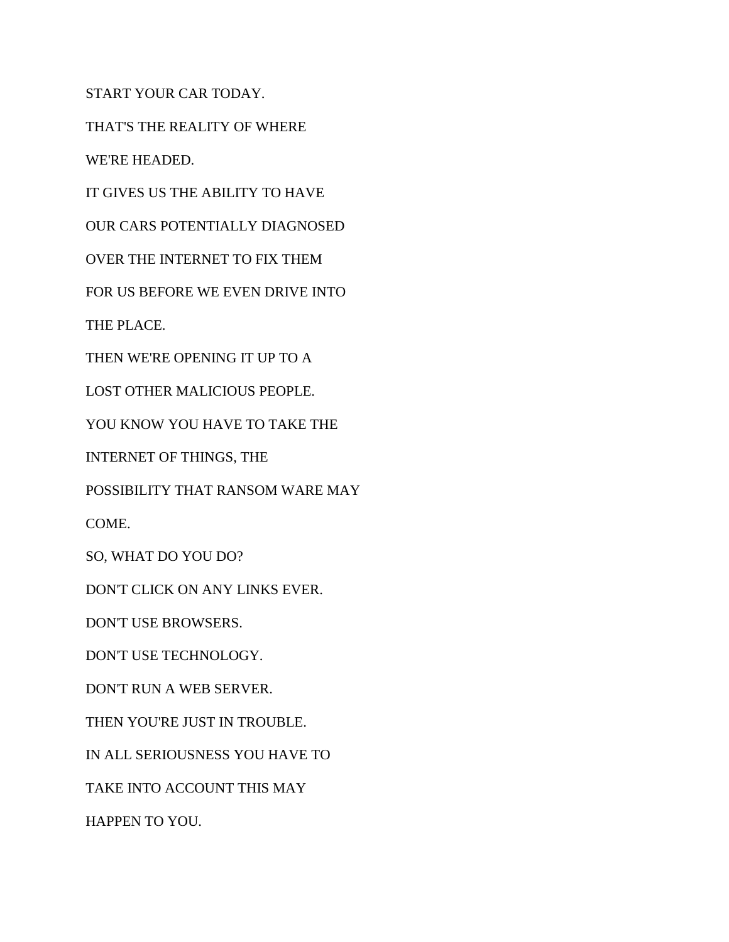START YOUR CAR TODAY.

THAT'S THE REALITY OF WHERE

WE'RE HEADED.

IT GIVES US THE ABILITY TO HAVE

OUR CARS POTENTIALLY DIAGNOSED

OVER THE INTERNET TO FIX THEM

FOR US BEFORE WE EVEN DRIVE INTO

THE PLACE.

THEN WE'RE OPENING IT UP TO A

LOST OTHER MALICIOUS PEOPLE.

YOU KNOW YOU HAVE TO TAKE THE

INTERNET OF THINGS, THE

POSSIBILITY THAT RANSOM WARE MAY

COME.

SO, WHAT DO YOU DO?

DON'T CLICK ON ANY LINKS EVER.

DON'T USE BROWSERS.

DON'T USE TECHNOLOGY.

DON'T RUN A WEB SERVER.

THEN YOU'RE JUST IN TROUBLE.

IN ALL SERIOUSNESS YOU HAVE TO

TAKE INTO ACCOUNT THIS MAY

HAPPEN TO YOU.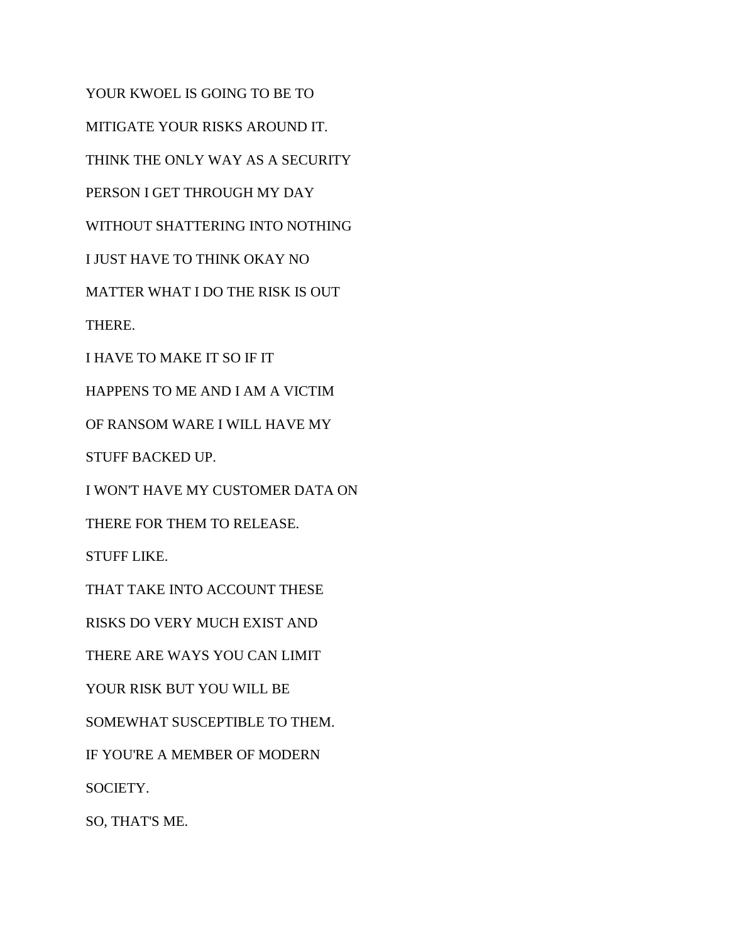YOUR KWOEL IS GOING TO BE TO MITIGATE YOUR RISKS AROUND IT. THINK THE ONLY WAY AS A SECURITY PERSON I GET THROUGH MY DAY WITHOUT SHATTERING INTO NOTHING I JUST HAVE TO THINK OKAY NO MATTER WHAT I DO THE RISK IS OUT THERE. I HAVE TO MAKE IT SO IF IT HAPPENS TO ME AND I AM A VICTIM OF RANSOM WARE I WILL HAVE MY STUFF BACKED UP. I WON'T HAVE MY CUSTOMER DATA ON THERE FOR THEM TO RELEASE. STUFF LIKE. THAT TAKE INTO ACCOUNT THESE RISKS DO VERY MUCH EXIST AND THERE ARE WAYS YOU CAN LIMIT YOUR RISK BUT YOU WILL BE SOMEWHAT SUSCEPTIBLE TO THEM. IF YOU'RE A MEMBER OF MODERN SOCIETY. SO, THAT'S ME.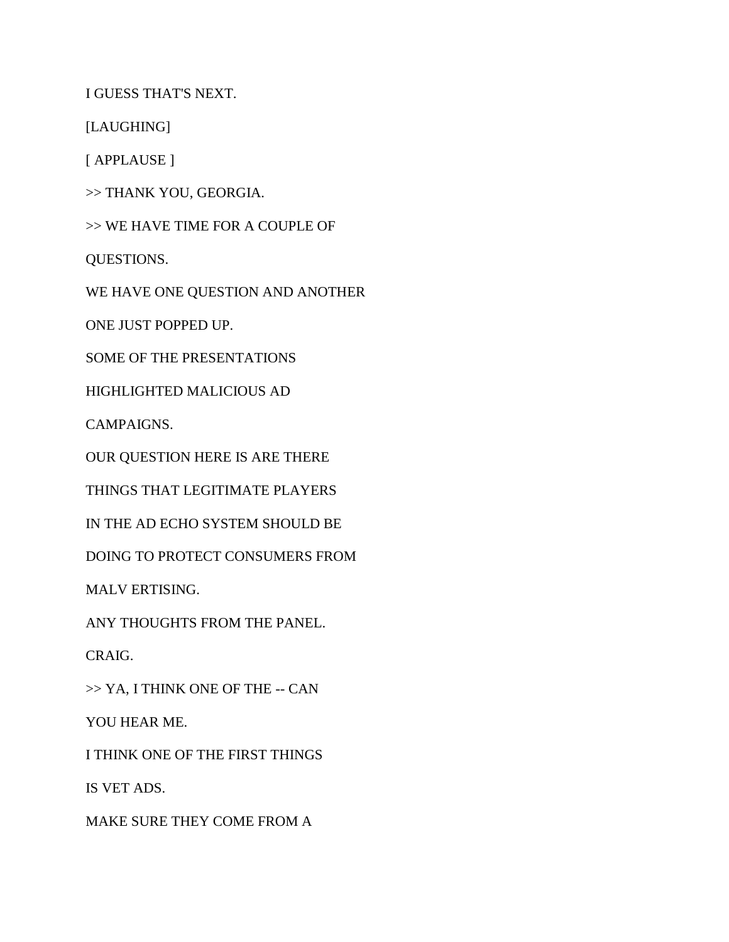I GUESS THAT'S NEXT.

[LAUGHING]

[ APPLAUSE ]

>> THANK YOU, GEORGIA.

>> WE HAVE TIME FOR A COUPLE OF

QUESTIONS.

WE HAVE ONE QUESTION AND ANOTHER

ONE JUST POPPED UP.

SOME OF THE PRESENTATIONS

HIGHLIGHTED MALICIOUS AD

CAMPAIGNS.

OUR QUESTION HERE IS ARE THERE

THINGS THAT LEGITIMATE PLAYERS

IN THE AD ECHO SYSTEM SHOULD BE

DOING TO PROTECT CONSUMERS FROM

MALV ERTISING.

ANY THOUGHTS FROM THE PANEL.

CRAIG.

>> YA, I THINK ONE OF THE -- CAN

YOU HEAR ME.

I THINK ONE OF THE FIRST THINGS

IS VET ADS.

MAKE SURE THEY COME FROM A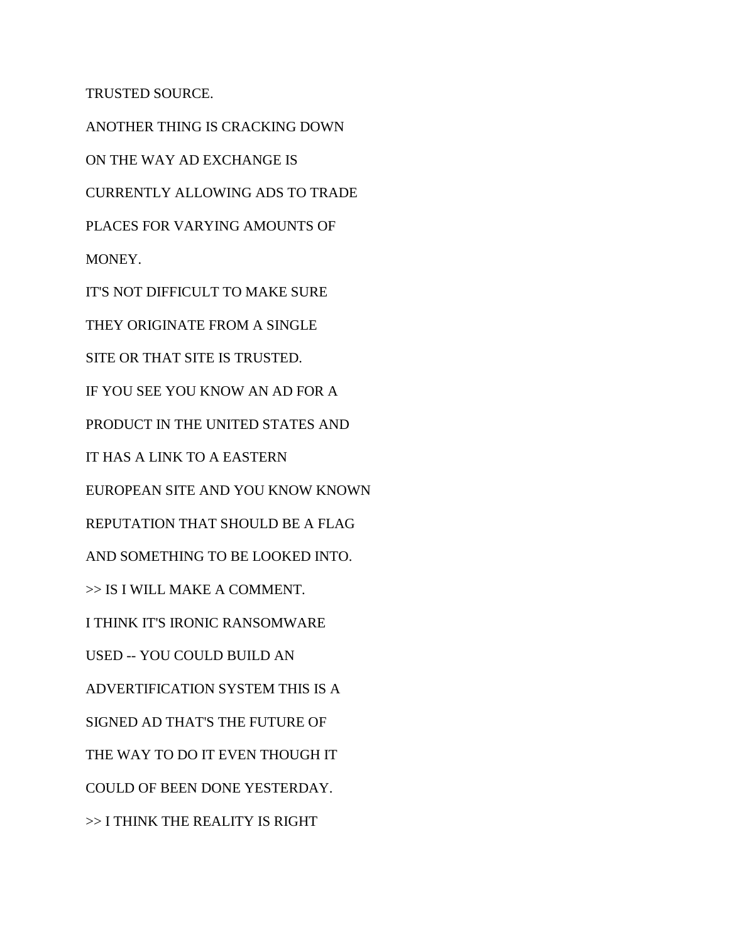TRUSTED SOURCE.

ANOTHER THING IS CRACKING DOWN ON THE WAY AD EXCHANGE IS CURRENTLY ALLOWING ADS TO TRADE PLACES FOR VARYING AMOUNTS OF MONEY. IT'S NOT DIFFICULT TO MAKE SURE THEY ORIGINATE FROM A SINGLE SITE OR THAT SITE IS TRUSTED. IF YOU SEE YOU KNOW AN AD FOR A PRODUCT IN THE UNITED STATES AND IT HAS A LINK TO A EASTERN EUROPEAN SITE AND YOU KNOW KNOWN REPUTATION THAT SHOULD BE A FLAG AND SOMETHING TO BE LOOKED INTO. >> IS I WILL MAKE A COMMENT. I THINK IT'S IRONIC RANSOMWARE USED -- YOU COULD BUILD AN ADVERTIFICATION SYSTEM THIS IS A SIGNED AD THAT'S THE FUTURE OF THE WAY TO DO IT EVEN THOUGH IT COULD OF BEEN DONE YESTERDAY. >> I THINK THE REALITY IS RIGHT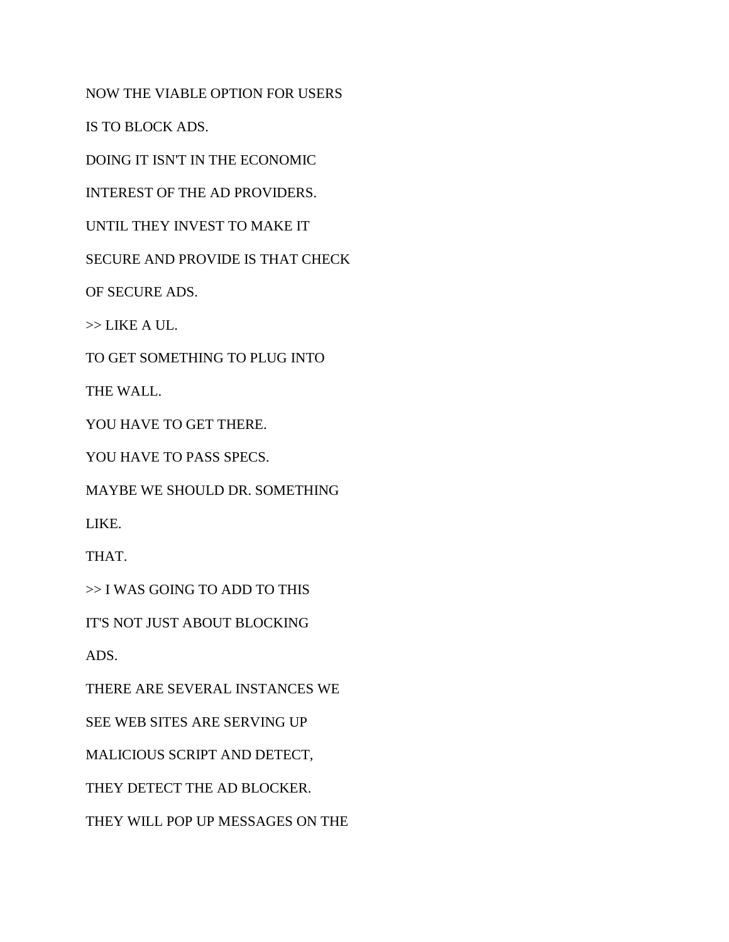NOW THE VIABLE OPTION FOR USERS

IS TO BLOCK ADS.

DOING IT ISN'T IN THE ECONOMIC

INTEREST OF THE AD PROVIDERS.

UNTIL THEY INVEST TO MAKE IT

SECURE AND PROVIDE IS THAT CHECK

OF SECURE ADS.

>> LIKE A UL.

TO GET SOMETHING TO PLUG INTO

THE WALL.

YOU HAVE TO GET THERE.

YOU HAVE TO PASS SPECS.

MAYBE WE SHOULD DR. SOMETHING

LIKE.

THAT.

>> I WAS GOING TO ADD TO THIS

IT'S NOT JUST ABOUT BLOCKING

ADS.

THERE ARE SEVERAL INSTANCES WE

SEE WEB SITES ARE SERVING UP

MALICIOUS SCRIPT AND DETECT,

THEY DETECT THE AD BLOCKER.

THEY WILL POP UP MESSAGES ON THE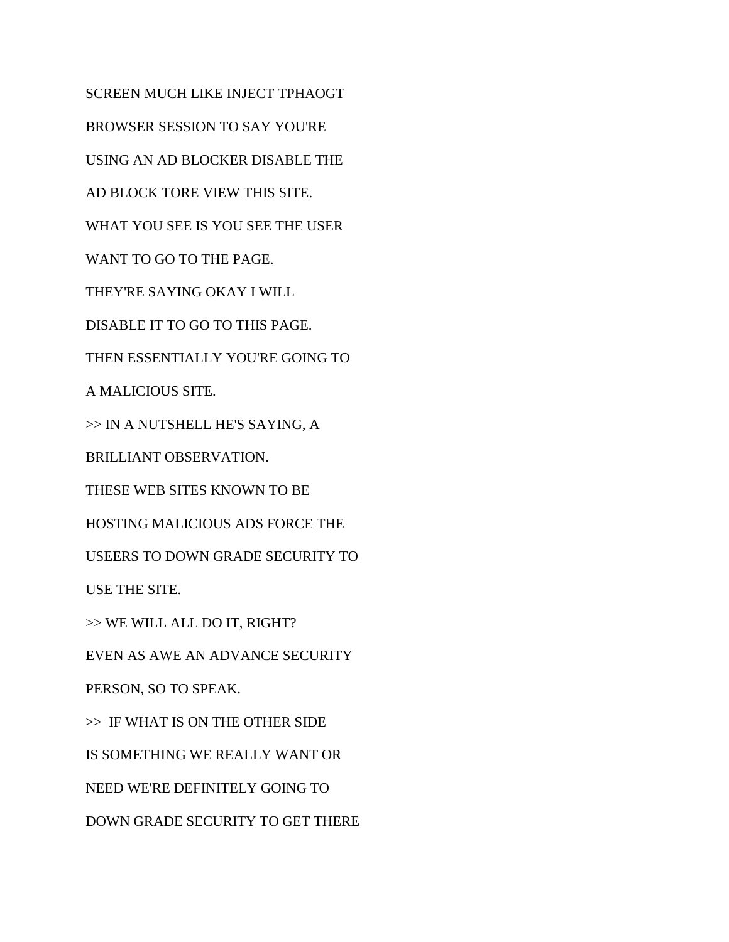SCREEN MUCH LIKE INJECT TPHAOGT BROWSER SESSION TO SAY YOU'RE USING AN AD BLOCKER DISABLE THE AD BLOCK TORE VIEW THIS SITE. WHAT YOU SEE IS YOU SEE THE USER WANT TO GO TO THE PAGE. THEY'RE SAYING OKAY I WILL DISABLE IT TO GO TO THIS PAGE. THEN ESSENTIALLY YOU'RE GOING TO A MALICIOUS SITE. >> IN A NUTSHELL HE'S SAYING, A BRILLIANT OBSERVATION. THESE WEB SITES KNOWN TO BE HOSTING MALICIOUS ADS FORCE THE USEERS TO DOWN GRADE SECURITY TO USE THE SITE. >> WE WILL ALL DO IT, RIGHT? EVEN AS AWE AN ADVANCE SECURITY PERSON, SO TO SPEAK. >> IF WHAT IS ON THE OTHER SIDE IS SOMETHING WE REALLY WANT OR NEED WE'RE DEFINITELY GOING TO DOWN GRADE SECURITY TO GET THERE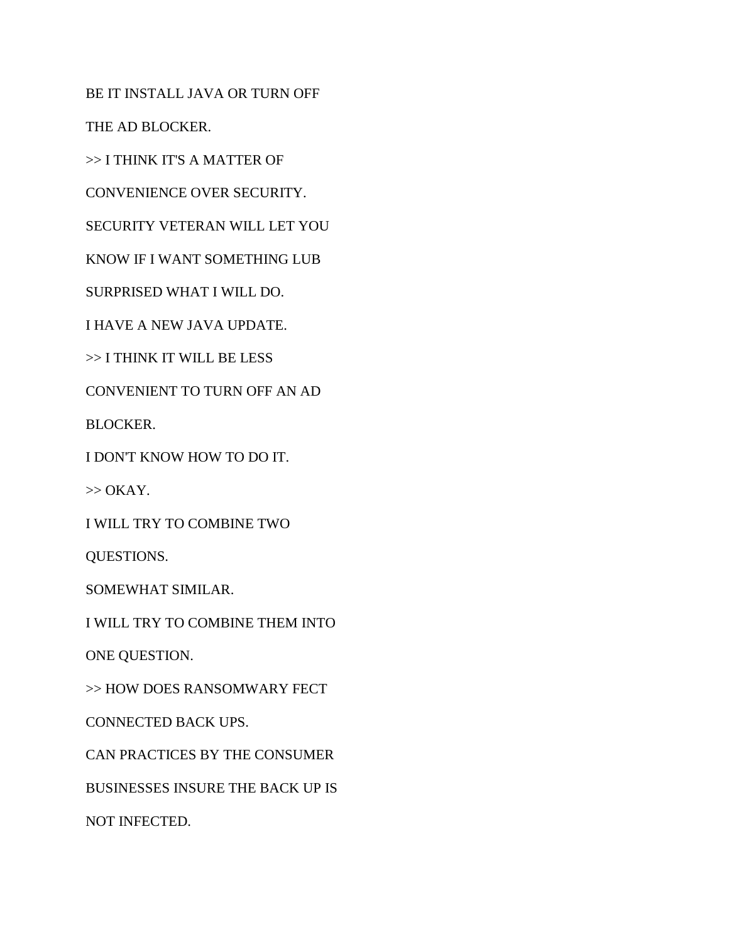BE IT INSTALL JAVA OR TURN OFF

THE AD BLOCKER.

>> I THINK IT'S A MATTER OF

CONVENIENCE OVER SECURITY.

SECURITY VETERAN WILL LET YOU

KNOW IF I WANT SOMETHING LUB

SURPRISED WHAT I WILL DO.

I HAVE A NEW JAVA UPDATE.

>> I THINK IT WILL BE LESS

CONVENIENT TO TURN OFF AN AD

BLOCKER.

I DON'T KNOW HOW TO DO IT.

 $\gg$  OKAY.

I WILL TRY TO COMBINE TWO

QUESTIONS.

SOMEWHAT SIMILAR.

I WILL TRY TO COMBINE THEM INTO

ONE QUESTION.

>> HOW DOES RANSOMWARY FECT

CONNECTED BACK UPS.

CAN PRACTICES BY THE CONSUMER

BUSINESSES INSURE THE BACK UP IS

NOT INFECTED.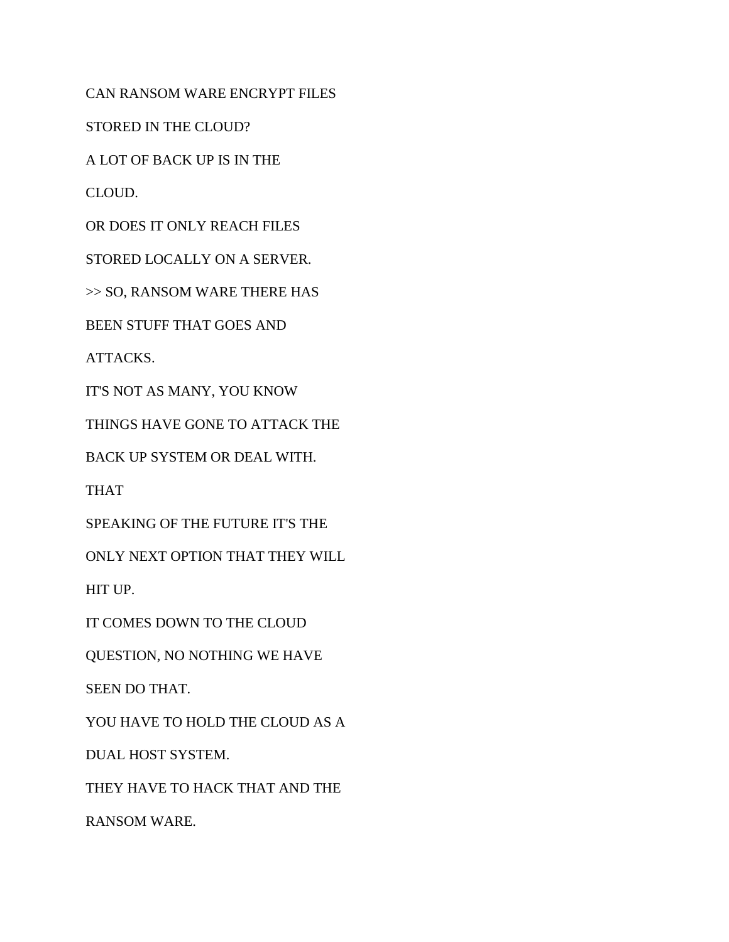CAN RANSOM WARE ENCRYPT FILES

STORED IN THE CLOUD?

A LOT OF BACK UP IS IN THE

CLOUD.

OR DOES IT ONLY REACH FILES

STORED LOCALLY ON A SERVER.

>> SO, RANSOM WARE THERE HAS

BEEN STUFF THAT GOES AND

ATTACKS.

IT'S NOT AS MANY, YOU KNOW

THINGS HAVE GONE TO ATTACK THE

BACK UP SYSTEM OR DEAL WITH.

THAT

SPEAKING OF THE FUTURE IT'S THE

ONLY NEXT OPTION THAT THEY WILL

HIT UP.

IT COMES DOWN TO THE CLOUD

QUESTION, NO NOTHING WE HAVE

SEEN DO THAT.

YOU HAVE TO HOLD THE CLOUD AS A

DUAL HOST SYSTEM.

THEY HAVE TO HACK THAT AND THE

RANSOM WARE.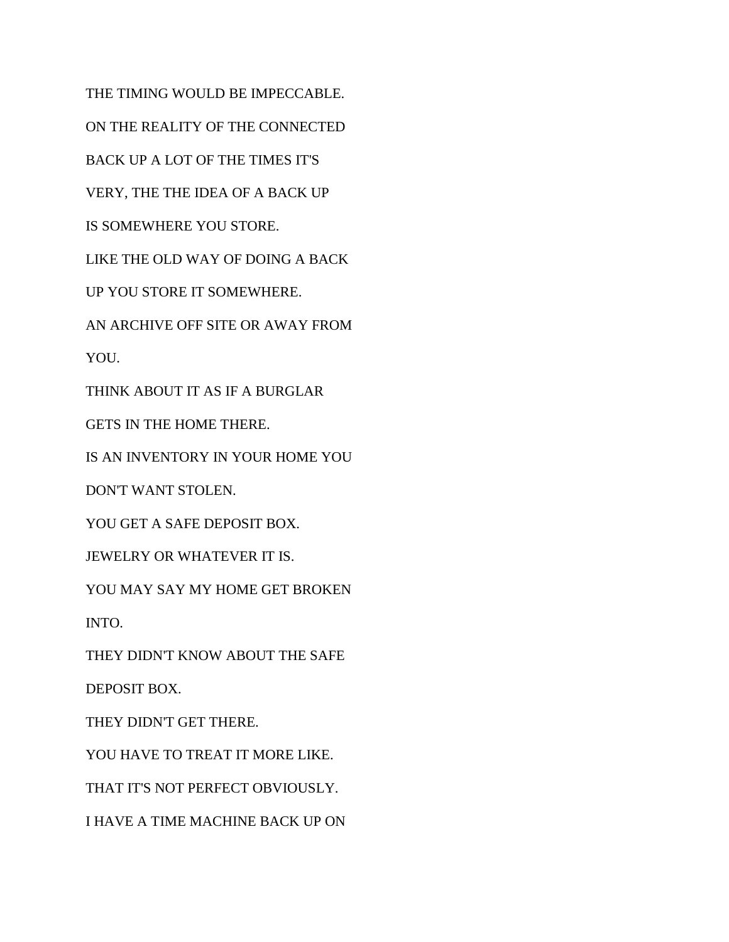THE TIMING WOULD BE IMPECCABLE. ON THE REALITY OF THE CONNECTED BACK UP A LOT OF THE TIMES IT'S VERY, THE THE IDEA OF A BACK UP IS SOMEWHERE YOU STORE. LIKE THE OLD WAY OF DOING A BACK UP YOU STORE IT SOMEWHERE. AN ARCHIVE OFF SITE OR AWAY FROM YOU. THINK ABOUT IT AS IF A BURGLAR GETS IN THE HOME THERE. IS AN INVENTORY IN YOUR HOME YOU DON'T WANT STOLEN. YOU GET A SAFE DEPOSIT BOX. JEWELRY OR WHATEVER IT IS. YOU MAY SAY MY HOME GET BROKEN INTO. THEY DIDN'T KNOW ABOUT THE SAFE DEPOSIT BOX. THEY DIDN'T GET THERE. YOU HAVE TO TREAT IT MORE LIKE. THAT IT'S NOT PERFECT OBVIOUSLY. I HAVE A TIME MACHINE BACK UP ON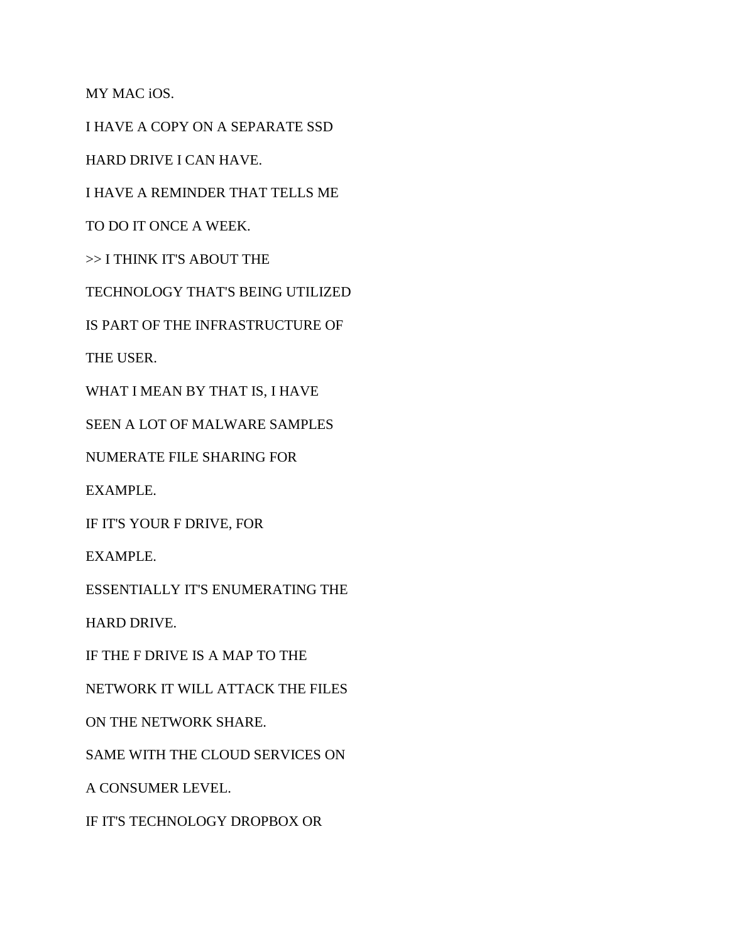MY MAC iOS.

I HAVE A COPY ON A SEPARATE SSD

HARD DRIVE I CAN HAVE.

I HAVE A REMINDER THAT TELLS ME

TO DO IT ONCE A WEEK.

>> I THINK IT'S ABOUT THE

TECHNOLOGY THAT'S BEING UTILIZED

IS PART OF THE INFRASTRUCTURE OF

THE USER.

WHAT I MEAN BY THAT IS, I HAVE

SEEN A LOT OF MALWARE SAMPLES

NUMERATE FILE SHARING FOR

EXAMPLE.

IF IT'S YOUR F DRIVE, FOR

EXAMPLE.

ESSENTIALLY IT'S ENUMERATING THE

HARD DRIVE.

IF THE F DRIVE IS A MAP TO THE

NETWORK IT WILL ATTACK THE FILES

ON THE NETWORK SHARE.

SAME WITH THE CLOUD SERVICES ON

A CONSUMER LEVEL.

IF IT'S TECHNOLOGY DROPBOX OR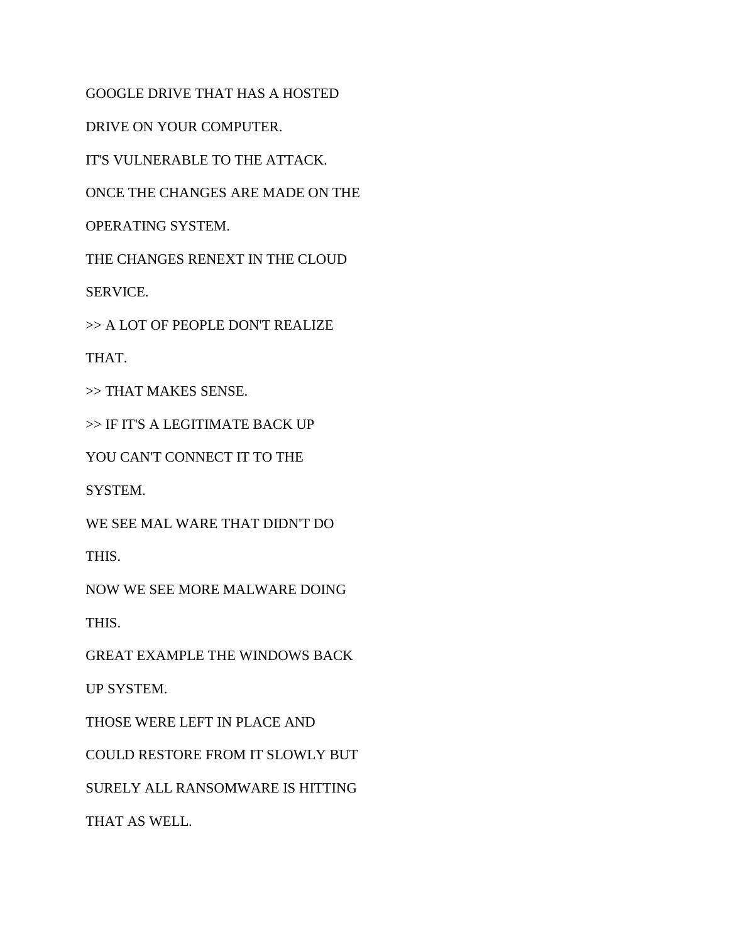GOOGLE DRIVE THAT HAS A HOSTED DRIVE ON YOUR COMPUTER. IT'S VULNERABLE TO THE ATTACK. ONCE THE CHANGES ARE MADE ON THE OPERATING SYSTEM. THE CHANGES RENEXT IN THE CLOUD SERVICE. >> A LOT OF PEOPLE DON'T REALIZE THAT. >> THAT MAKES SENSE. >> IF IT'S A LEGITIMATE BACK UP YOU CAN'T CONNECT IT TO THE SYSTEM. WE SEE MAL WARE THAT DIDN'T DO THIS. NOW WE SEE MORE MALWARE DOING THIS. GREAT EXAMPLE THE WINDOWS BACK UP SYSTEM. THOSE WERE LEFT IN PLACE AND COULD RESTORE FROM IT SLOWLY BUT SURELY ALL RANSOMWARE IS HITTING

THAT AS WELL.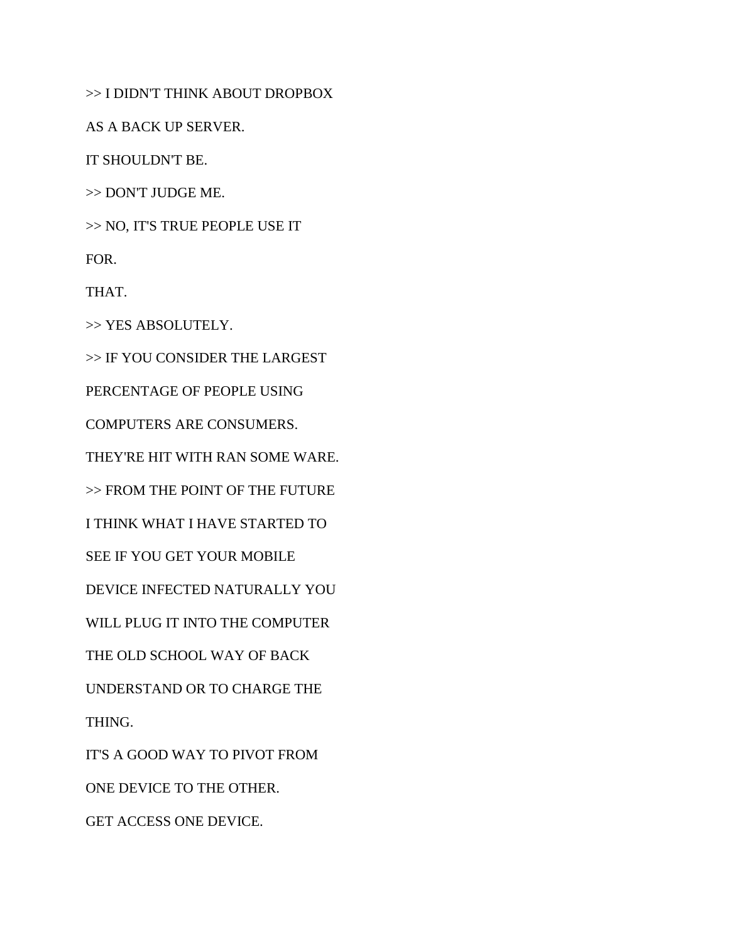>> I DIDN'T THINK ABOUT DROPBOX

AS A BACK UP SERVER.

IT SHOULDN'T BE.

>> DON'T JUDGE ME.

>> NO, IT'S TRUE PEOPLE USE IT

FOR.

THAT.

>> YES ABSOLUTELY.

>> IF YOU CONSIDER THE LARGEST

PERCENTAGE OF PEOPLE USING

COMPUTERS ARE CONSUMERS.

THEY'RE HIT WITH RAN SOME WARE.

>> FROM THE POINT OF THE FUTURE

I THINK WHAT I HAVE STARTED TO

SEE IF YOU GET YOUR MOBILE

DEVICE INFECTED NATURALLY YOU

WILL PLUG IT INTO THE COMPUTER

THE OLD SCHOOL WAY OF BACK

UNDERSTAND OR TO CHARGE THE

THING.

IT'S A GOOD WAY TO PIVOT FROM

ONE DEVICE TO THE OTHER.

GET ACCESS ONE DEVICE.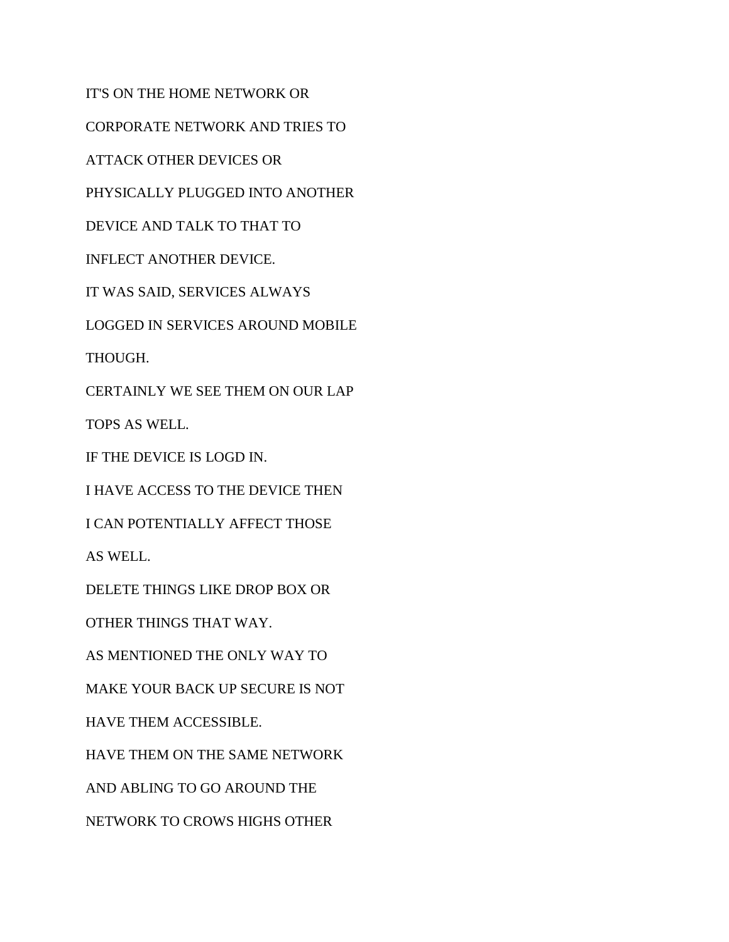IT'S ON THE HOME NETWORK OR CORPORATE NETWORK AND TRIES TO ATTACK OTHER DEVICES OR PHYSICALLY PLUGGED INTO ANOTHER DEVICE AND TALK TO THAT TO INFLECT ANOTHER DEVICE. IT WAS SAID, SERVICES ALWAYS LOGGED IN SERVICES AROUND MOBILE THOUGH. CERTAINLY WE SEE THEM ON OUR LAP TOPS AS WELL. IF THE DEVICE IS LOGD IN. I HAVE ACCESS TO THE DEVICE THEN I CAN POTENTIALLY AFFECT THOSE AS WELL. DELETE THINGS LIKE DROP BOX OR OTHER THINGS THAT WAY. AS MENTIONED THE ONLY WAY TO MAKE YOUR BACK UP SECURE IS NOT HAVE THEM ACCESSIBLE. HAVE THEM ON THE SAME NETWORK AND ABLING TO GO AROUND THE NETWORK TO CROWS HIGHS OTHER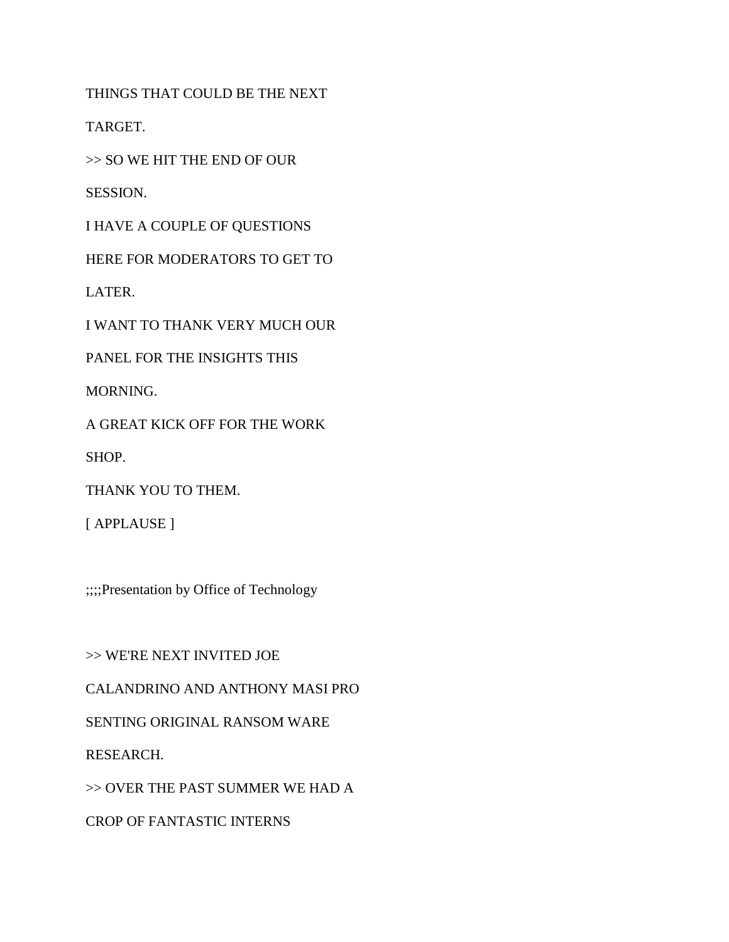THINGS THAT COULD BE THE NEXT

TARGET.

>> SO WE HIT THE END OF OUR

SESSION.

I HAVE A COUPLE OF QUESTIONS

HERE FOR MODERATORS TO GET TO

LATER.

I WANT TO THANK VERY MUCH OUR

PANEL FOR THE INSIGHTS THIS

MORNING.

A GREAT KICK OFF FOR THE WORK

SHOP.

THANK YOU TO THEM.

[ APPLAUSE ]

;;;;Presentation by Office of Technology

>> WE'RE NEXT INVITED JOE CALANDRINO AND ANTHONY MASI PRO SENTING ORIGINAL RANSOM WARE RESEARCH. >> OVER THE PAST SUMMER WE HAD A CROP OF FANTASTIC INTERNS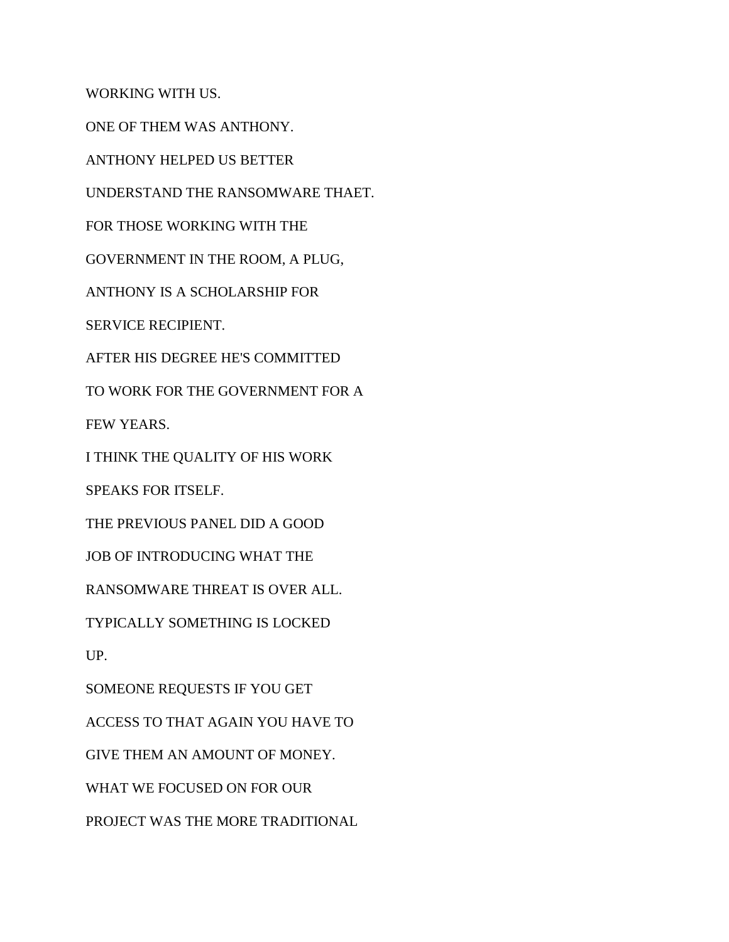WORKING WITH US.

ONE OF THEM WAS ANTHONY.

ANTHONY HELPED US BETTER

UNDERSTAND THE RANSOMWARE THAET.

FOR THOSE WORKING WITH THE

GOVERNMENT IN THE ROOM, A PLUG,

ANTHONY IS A SCHOLARSHIP FOR

SERVICE RECIPIENT.

AFTER HIS DEGREE HE'S COMMITTED

TO WORK FOR THE GOVERNMENT FOR A

FEW YEARS.

I THINK THE QUALITY OF HIS WORK

SPEAKS FOR ITSELF.

THE PREVIOUS PANEL DID A GOOD

JOB OF INTRODUCING WHAT THE

RANSOMWARE THREAT IS OVER ALL.

TYPICALLY SOMETHING IS LOCKED

UP.

SOMEONE REQUESTS IF YOU GET

ACCESS TO THAT AGAIN YOU HAVE TO

GIVE THEM AN AMOUNT OF MONEY.

WHAT WE FOCUSED ON FOR OUR

PROJECT WAS THE MORE TRADITIONAL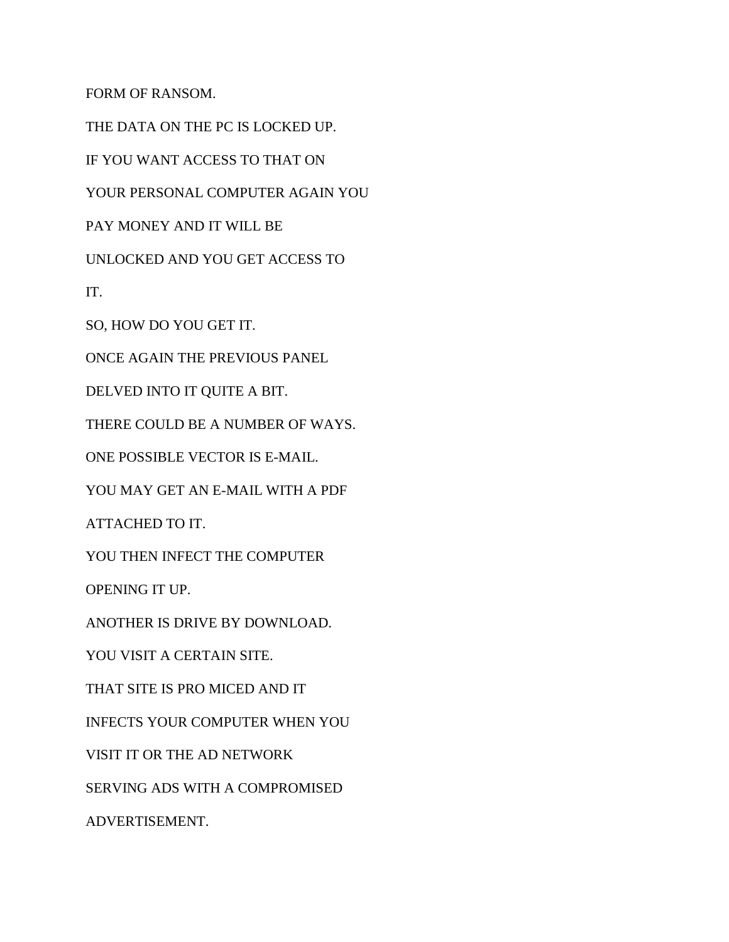FORM OF RANSOM.

THE DATA ON THE PC IS LOCKED UP. IF YOU WANT ACCESS TO THAT ON YOUR PERSONAL COMPUTER AGAIN YOU PAY MONEY AND IT WILL BE UNLOCKED AND YOU GET ACCESS TO IT. SO, HOW DO YOU GET IT. ONCE AGAIN THE PREVIOUS PANEL DELVED INTO IT QUITE A BIT. THERE COULD BE A NUMBER OF WAYS. ONE POSSIBLE VECTOR IS E-MAIL. YOU MAY GET AN E-MAIL WITH A PDF ATTACHED TO IT. YOU THEN INFECT THE COMPUTER OPENING IT UP. ANOTHER IS DRIVE BY DOWNLOAD. YOU VISIT A CERTAIN SITE. THAT SITE IS PRO MICED AND IT INFECTS YOUR COMPUTER WHEN YOU VISIT IT OR THE AD NETWORK SERVING ADS WITH A COMPROMISED ADVERTISEMENT.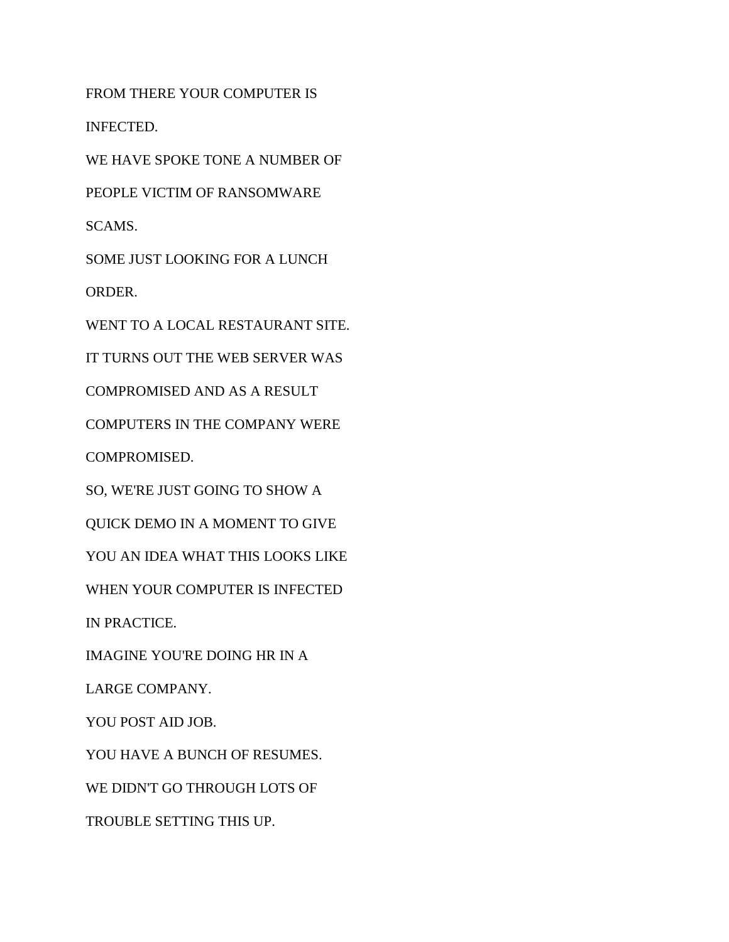FROM THERE YOUR COMPUTER IS INFECTED. WE HAVE SPOKE TONE A NUMBER OF PEOPLE VICTIM OF RANSOMWARE SCAMS. SOME JUST LOOKING FOR A LUNCH ORDER. WENT TO A LOCAL RESTAURANT SITE. IT TURNS OUT THE WEB SERVER WAS COMPROMISED AND AS A RESULT COMPUTERS IN THE COMPANY WERE COMPROMISED. SO, WE'RE JUST GOING TO SHOW A QUICK DEMO IN A MOMENT TO GIVE YOU AN IDEA WHAT THIS LOOKS LIKE WHEN YOUR COMPUTER IS INFECTED IN PRACTICE. IMAGINE YOU'RE DOING HR IN A LARGE COMPANY. YOU POST AID JOB. YOU HAVE A BUNCH OF RESUMES. WE DIDN'T GO THROUGH LOTS OF TROUBLE SETTING THIS UP.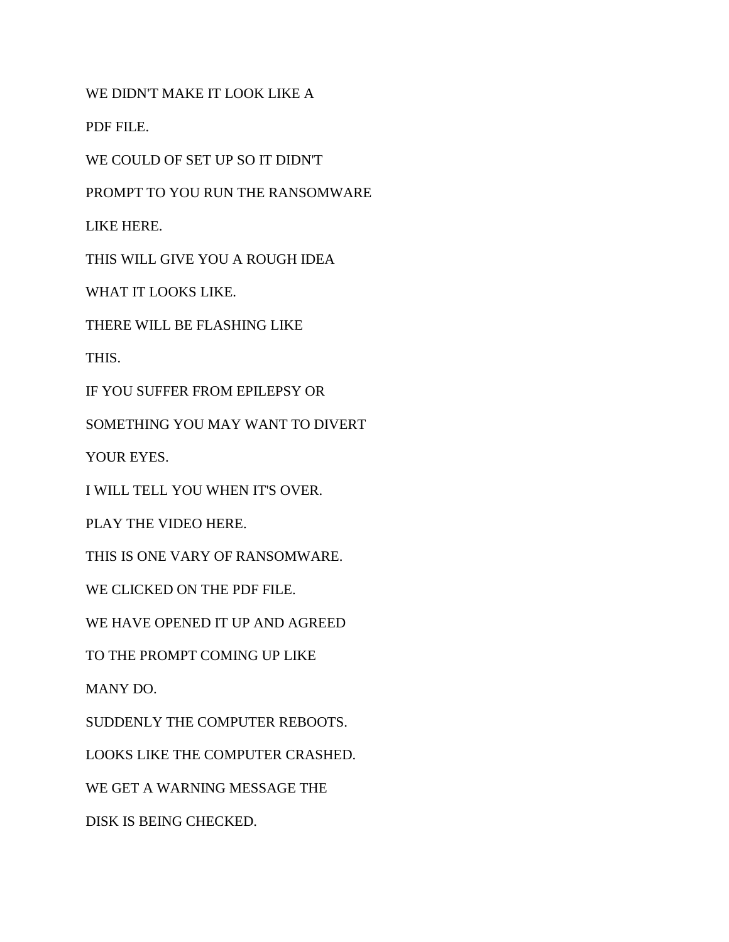WE DIDN'T MAKE IT LOOK LIKE A

PDF FILE.

WE COULD OF SET UP SO IT DIDN'T

PROMPT TO YOU RUN THE RANSOMWARE

LIKE HERE.

THIS WILL GIVE YOU A ROUGH IDEA

WHAT IT LOOKS LIKE.

THERE WILL BE FLASHING LIKE

THIS.

IF YOU SUFFER FROM EPILEPSY OR

SOMETHING YOU MAY WANT TO DIVERT

YOUR EYES.

I WILL TELL YOU WHEN IT'S OVER.

PLAY THE VIDEO HERE.

THIS IS ONE VARY OF RANSOMWARE.

WE CLICKED ON THE PDF FILE.

WE HAVE OPENED IT UP AND AGREED

TO THE PROMPT COMING UP LIKE

MANY DO.

SUDDENLY THE COMPUTER REBOOTS.

LOOKS LIKE THE COMPUTER CRASHED.

WE GET A WARNING MESSAGE THE

DISK IS BEING CHECKED.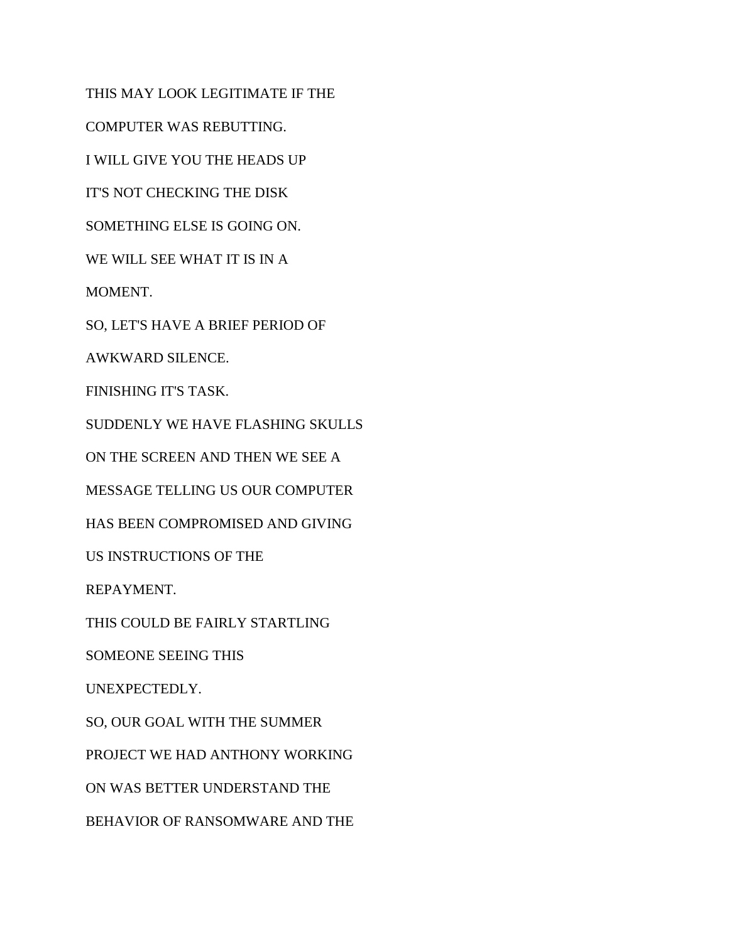THIS MAY LOOK LEGITIMATE IF THE COMPUTER WAS REBUTTING. I WILL GIVE YOU THE HEADS UP IT'S NOT CHECKING THE DISK SOMETHING ELSE IS GOING ON. WE WILL SEE WHAT IT IS IN A MOMENT. SO, LET'S HAVE A BRIEF PERIOD OF AWKWARD SILENCE. FINISHING IT'S TASK. SUDDENLY WE HAVE FLASHING SKULLS ON THE SCREEN AND THEN WE SEE A MESSAGE TELLING US OUR COMPUTER HAS BEEN COMPROMISED AND GIVING US INSTRUCTIONS OF THE REPAYMENT. THIS COULD BE FAIRLY STARTLING SOMEONE SEEING THIS UNEXPECTEDLY. SO, OUR GOAL WITH THE SUMMER PROJECT WE HAD ANTHONY WORKING ON WAS BETTER UNDERSTAND THE BEHAVIOR OF RANSOMWARE AND THE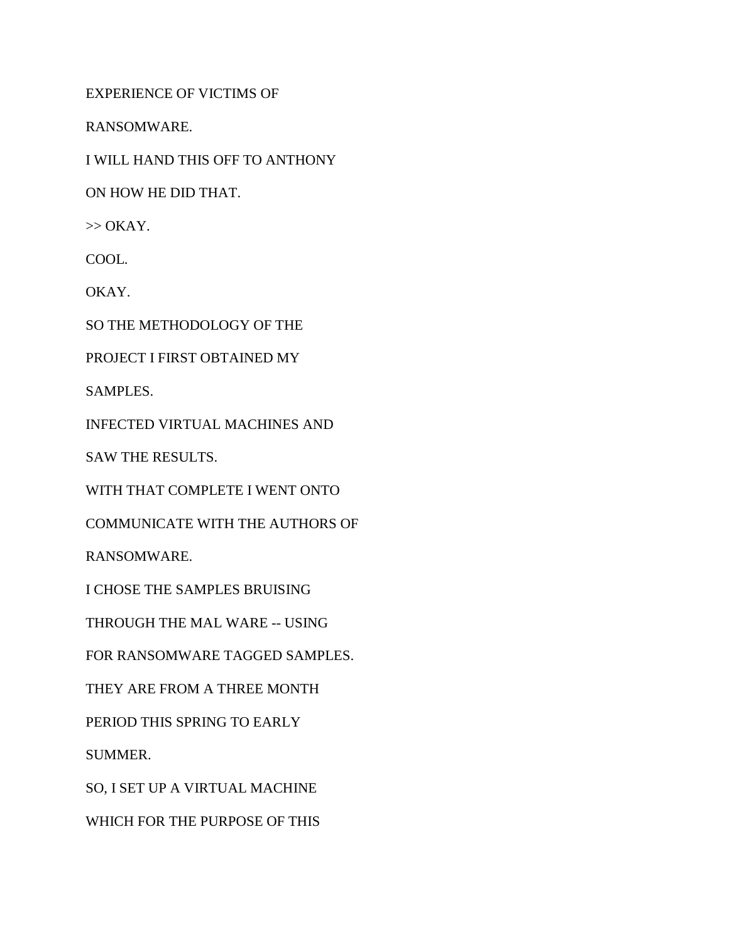EXPERIENCE OF VICTIMS OF

RANSOMWARE.

I WILL HAND THIS OFF TO ANTHONY

ON HOW HE DID THAT.

 $\gg$  OKAY.

COOL.

OKAY.

SO THE METHODOLOGY OF THE

PROJECT I FIRST OBTAINED MY

SAMPLES.

INFECTED VIRTUAL MACHINES AND

SAW THE RESULTS.

WITH THAT COMPLETE I WENT ONTO

COMMUNICATE WITH THE AUTHORS OF

RANSOMWARE.

I CHOSE THE SAMPLES BRUISING

THROUGH THE MAL WARE -- USING

FOR RANSOMWARE TAGGED SAMPLES.

THEY ARE FROM A THREE MONTH

PERIOD THIS SPRING TO EARLY

SUMMER.

SO, I SET UP A VIRTUAL MACHINE

WHICH FOR THE PURPOSE OF THIS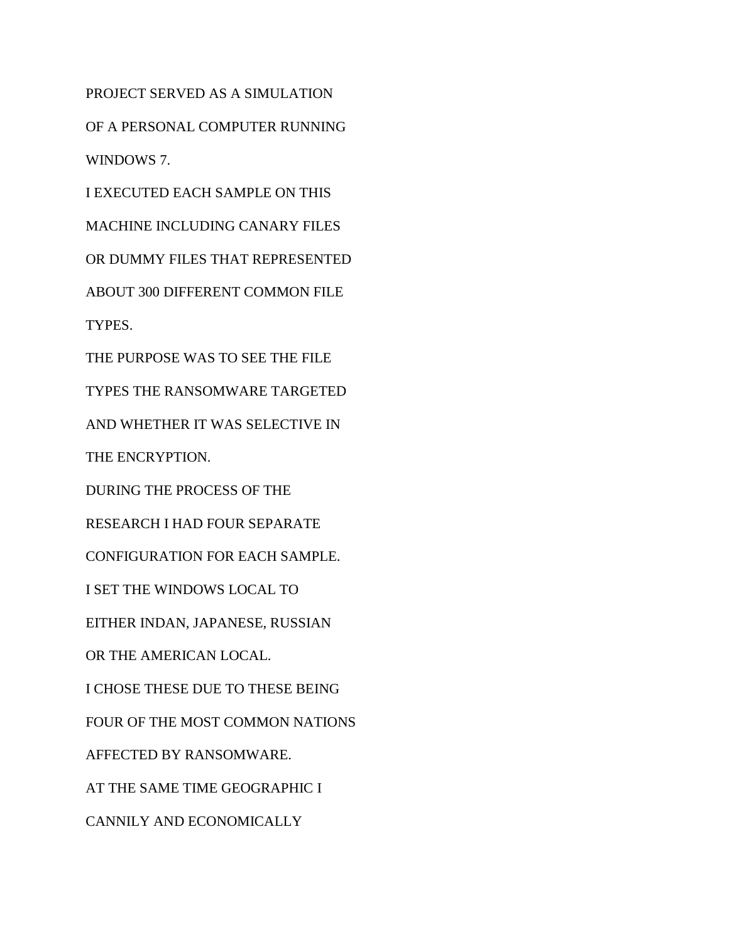PROJECT SERVED AS A SIMULATION OF A PERSONAL COMPUTER RUNNING WINDOWS 7.

I EXECUTED EACH SAMPLE ON THIS MACHINE INCLUDING CANARY FILES OR DUMMY FILES THAT REPRESENTED ABOUT 300 DIFFERENT COMMON FILE TYPES.

THE PURPOSE WAS TO SEE THE FILE

TYPES THE RANSOMWARE TARGETED

AND WHETHER IT WAS SELECTIVE IN

THE ENCRYPTION.

DURING THE PROCESS OF THE

RESEARCH I HAD FOUR SEPARATE

CONFIGURATION FOR EACH SAMPLE.

I SET THE WINDOWS LOCAL TO

EITHER INDAN, JAPANESE, RUSSIAN

OR THE AMERICAN LOCAL.

I CHOSE THESE DUE TO THESE BEING

FOUR OF THE MOST COMMON NATIONS

AFFECTED BY RANSOMWARE.

AT THE SAME TIME GEOGRAPHIC I

CANNILY AND ECONOMICALLY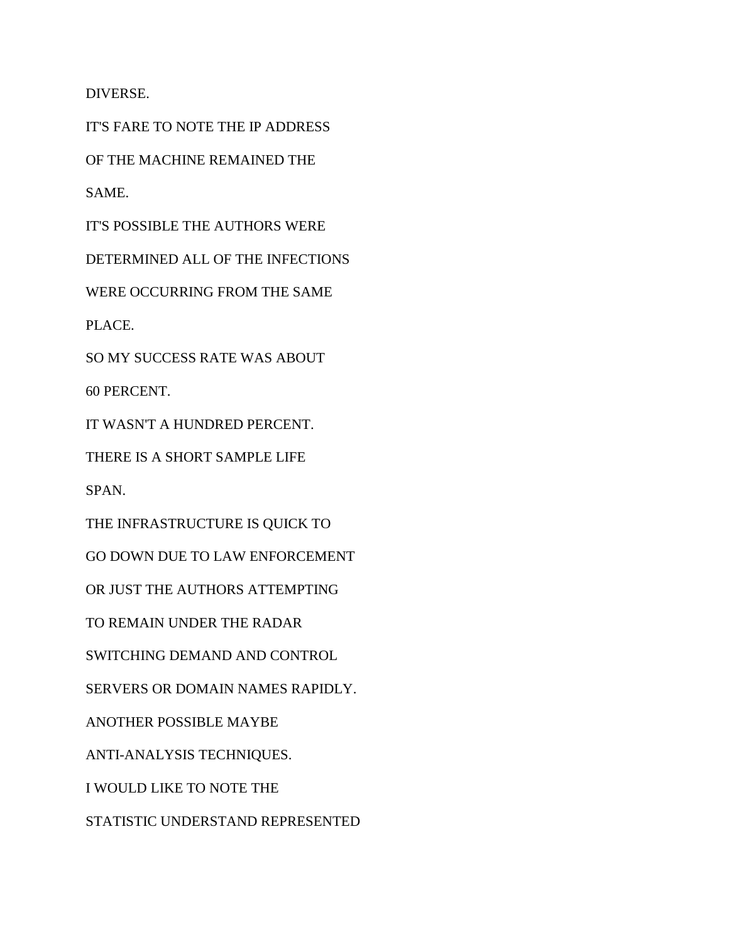DIVERSE.

IT'S FARE TO NOTE THE IP ADDRESS

OF THE MACHINE REMAINED THE

SAME.

IT'S POSSIBLE THE AUTHORS WERE

DETERMINED ALL OF THE INFECTIONS

WERE OCCURRING FROM THE SAME

PLACE.

SO MY SUCCESS RATE WAS ABOUT

60 PERCENT.

IT WASN'T A HUNDRED PERCENT.

THERE IS A SHORT SAMPLE LIFE

SPAN.

THE INFRASTRUCTURE IS QUICK TO

GO DOWN DUE TO LAW ENFORCEMENT

OR JUST THE AUTHORS ATTEMPTING

TO REMAIN UNDER THE RADAR

SWITCHING DEMAND AND CONTROL

SERVERS OR DOMAIN NAMES RAPIDLY.

ANOTHER POSSIBLE MAYBE

ANTI-ANALYSIS TECHNIQUES.

I WOULD LIKE TO NOTE THE

STATISTIC UNDERSTAND REPRESENTED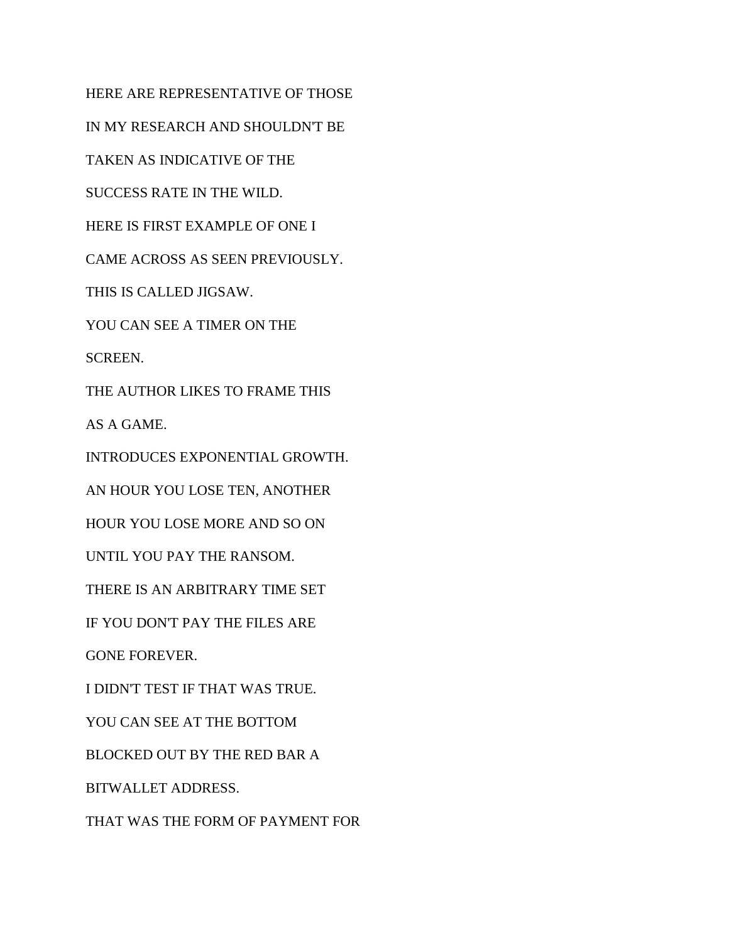HERE ARE REPRESENTATIVE OF THOSE IN MY RESEARCH AND SHOULDN'T BE TAKEN AS INDICATIVE OF THE SUCCESS RATE IN THE WILD. HERE IS FIRST EXAMPLE OF ONE I CAME ACROSS AS SEEN PREVIOUSLY. THIS IS CALLED JIGSAW. YOU CAN SEE A TIMER ON THE SCREEN. THE AUTHOR LIKES TO FRAME THIS AS A GAME. INTRODUCES EXPONENTIAL GROWTH. AN HOUR YOU LOSE TEN, ANOTHER HOUR YOU LOSE MORE AND SO ON UNTIL YOU PAY THE RANSOM. THERE IS AN ARBITRARY TIME SET IF YOU DON'T PAY THE FILES ARE GONE FOREVER. I DIDN'T TEST IF THAT WAS TRUE. YOU CAN SEE AT THE BOTTOM BLOCKED OUT BY THE RED BAR A BITWALLET ADDRESS. THAT WAS THE FORM OF PAYMENT FOR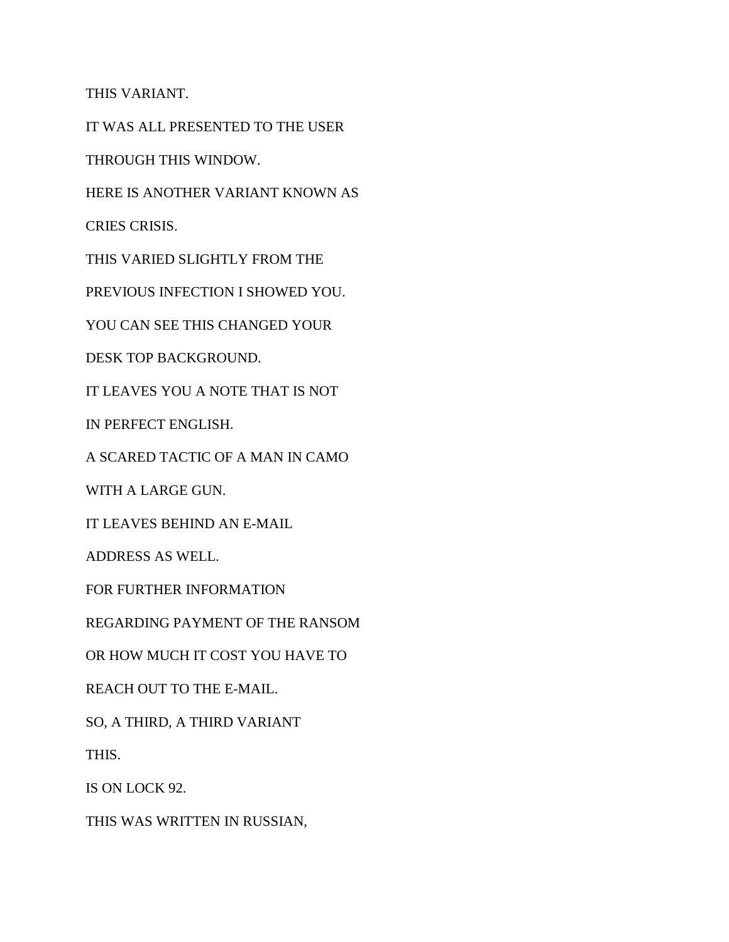THIS VARIANT.

IT WAS ALL PRESENTED TO THE USER

THROUGH THIS WINDOW.

HERE IS ANOTHER VARIANT KNOWN AS

CRIES CRISIS.

THIS VARIED SLIGHTLY FROM THE

PREVIOUS INFECTION I SHOWED YOU.

YOU CAN SEE THIS CHANGED YOUR

DESK TOP BACKGROUND.

IT LEAVES YOU A NOTE THAT IS NOT

IN PERFECT ENGLISH.

A SCARED TACTIC OF A MAN IN CAMO

WITH A LARGE GUN.

IT LEAVES BEHIND AN E-MAIL

ADDRESS AS WELL.

FOR FURTHER INFORMATION

REGARDING PAYMENT OF THE RANSOM

OR HOW MUCH IT COST YOU HAVE TO

REACH OUT TO THE E-MAIL.

SO, A THIRD, A THIRD VARIANT

THIS.

IS ON LOCK 92.

THIS WAS WRITTEN IN RUSSIAN,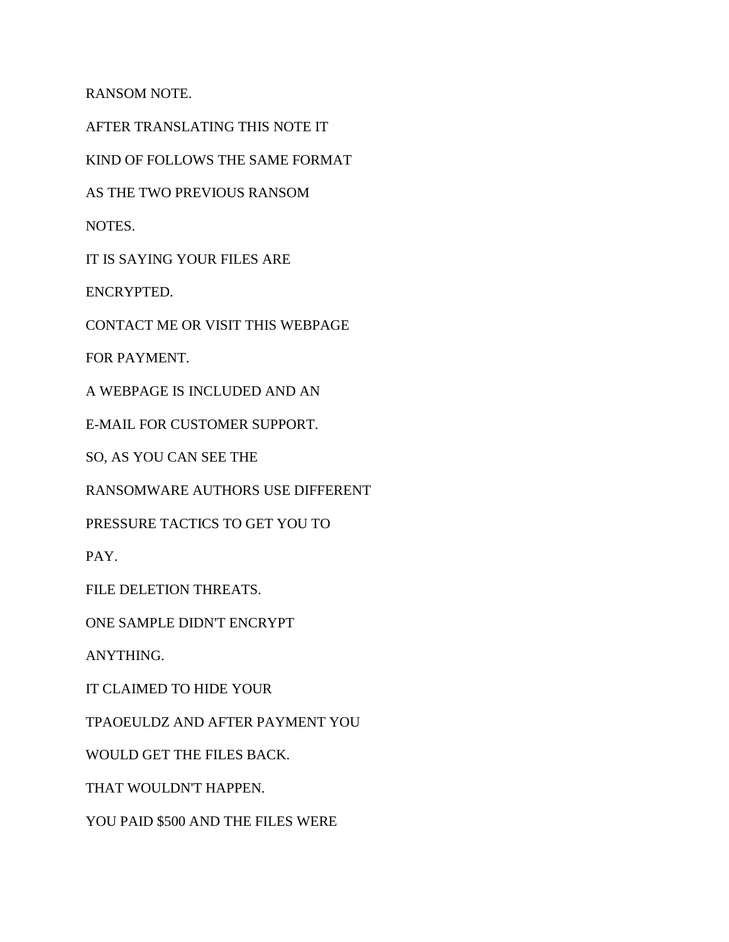RANSOM NOTE.

AFTER TRANSLATING THIS NOTE IT

KIND OF FOLLOWS THE SAME FORMAT

AS THE TWO PREVIOUS RANSOM

NOTES.

IT IS SAYING YOUR FILES ARE

ENCRYPTED.

CONTACT ME OR VISIT THIS WEBPAGE

FOR PAYMENT.

A WEBPAGE IS INCLUDED AND AN

E-MAIL FOR CUSTOMER SUPPORT.

SO, AS YOU CAN SEE THE

RANSOMWARE AUTHORS USE DIFFERENT

PRESSURE TACTICS TO GET YOU TO

PAY.

FILE DELETION THREATS.

ONE SAMPLE DIDN'T ENCRYPT

ANYTHING.

IT CLAIMED TO HIDE YOUR

TPAOEULDZ AND AFTER PAYMENT YOU

WOULD GET THE FILES BACK.

THAT WOULDN'T HAPPEN.

YOU PAID \$500 AND THE FILES WERE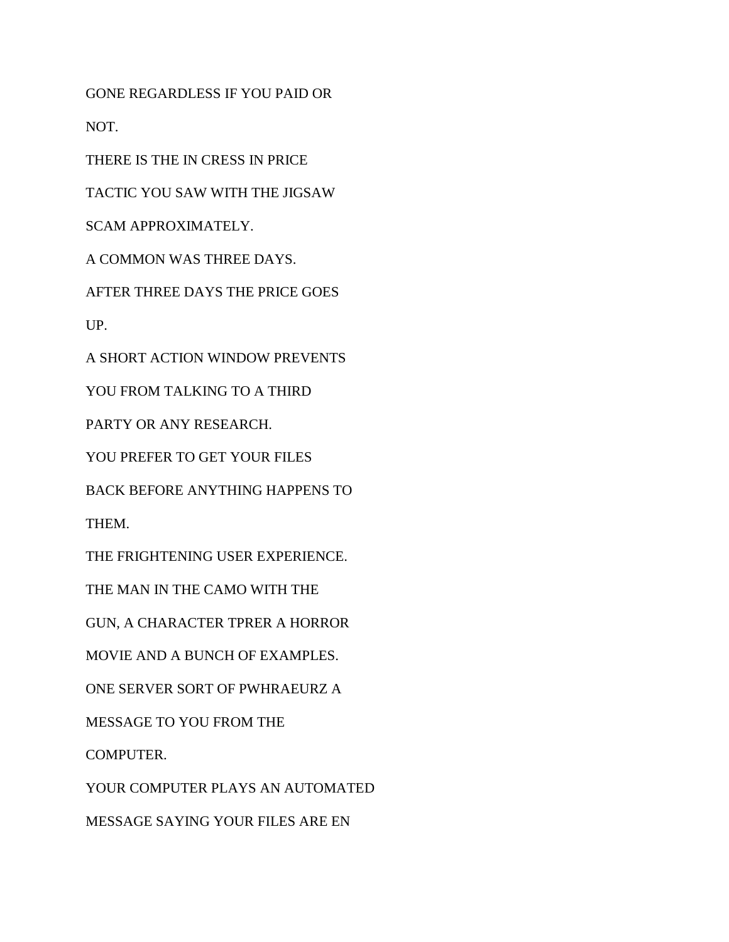GONE REGARDLESS IF YOU PAID OR

NOT.

THERE IS THE IN CRESS IN PRICE

TACTIC YOU SAW WITH THE JIGSAW

SCAM APPROXIMATELY.

A COMMON WAS THREE DAYS.

AFTER THREE DAYS THE PRICE GOES

UP.

A SHORT ACTION WINDOW PREVENTS

YOU FROM TALKING TO A THIRD

PARTY OR ANY RESEARCH.

YOU PREFER TO GET YOUR FILES

BACK BEFORE ANYTHING HAPPENS TO

THEM.

THE FRIGHTENING USER EXPERIENCE.

THE MAN IN THE CAMO WITH THE

GUN, A CHARACTER TPRER A HORROR

MOVIE AND A BUNCH OF EXAMPLES.

ONE SERVER SORT OF PWHRAEURZ A

MESSAGE TO YOU FROM THE

COMPUTER.

YOUR COMPUTER PLAYS AN AUTOMATED

MESSAGE SAYING YOUR FILES ARE EN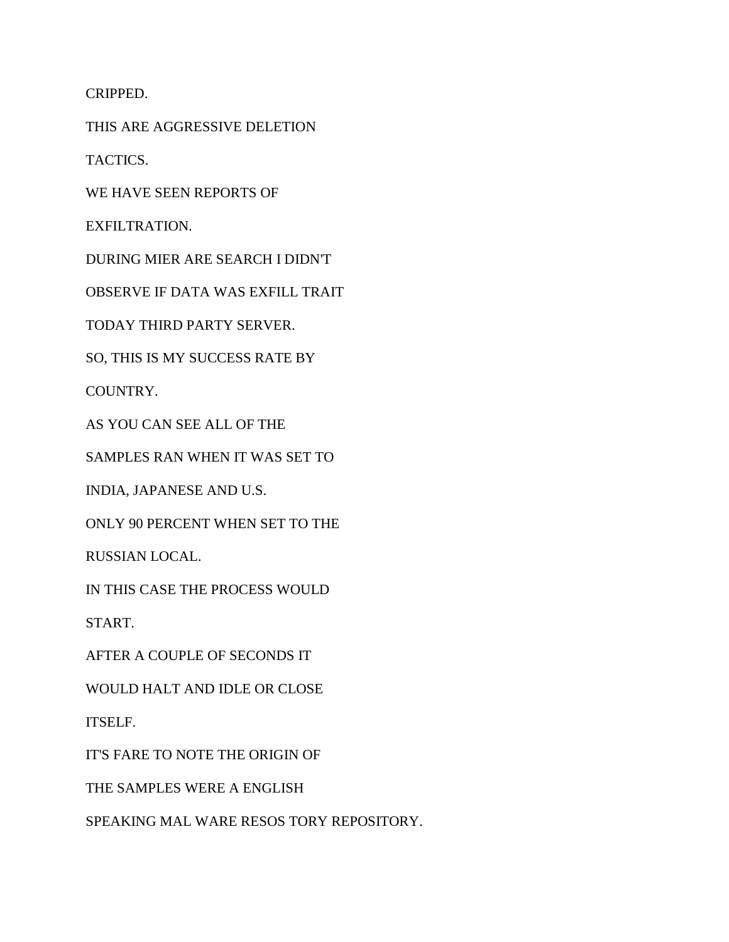CRIPPED.

THIS ARE AGGRESSIVE DELETION

TACTICS.

WE HAVE SEEN REPORTS OF

EXFILTRATION.

DURING MIER ARE SEARCH I DIDN'T

OBSERVE IF DATA WAS EXFILL TRAIT

TODAY THIRD PARTY SERVER.

SO, THIS IS MY SUCCESS RATE BY

COUNTRY.

AS YOU CAN SEE ALL OF THE

SAMPLES RAN WHEN IT WAS SET TO

INDIA, JAPANESE AND U.S.

ONLY 90 PERCENT WHEN SET TO THE

RUSSIAN LOCAL.

IN THIS CASE THE PROCESS WOULD

START.

AFTER A COUPLE OF SECONDS IT

WOULD HALT AND IDLE OR CLOSE

ITSELF.

IT'S FARE TO NOTE THE ORIGIN OF

THE SAMPLES WERE A ENGLISH

SPEAKING MAL WARE RESOS TORY REPOSITORY.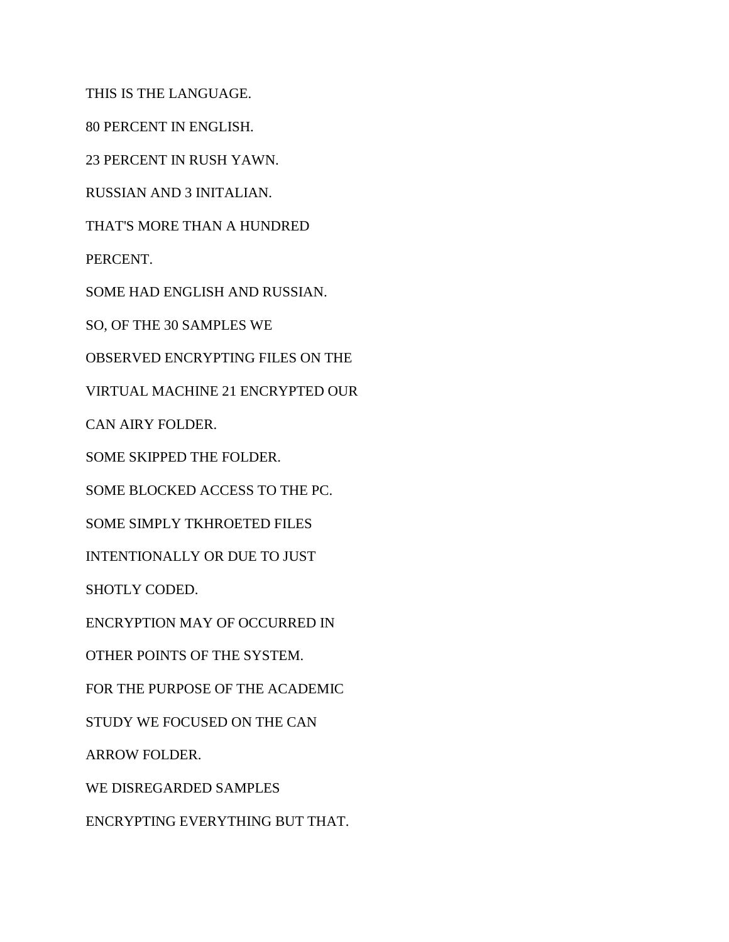THIS IS THE LANGUAGE.

80 PERCENT IN ENGLISH.

23 PERCENT IN RUSH YAWN.

RUSSIAN AND 3 INITALIAN.

THAT'S MORE THAN A HUNDRED

PERCENT.

SOME HAD ENGLISH AND RUSSIAN.

SO, OF THE 30 SAMPLES WE

OBSERVED ENCRYPTING FILES ON THE

VIRTUAL MACHINE 21 ENCRYPTED OUR

CAN AIRY FOLDER.

SOME SKIPPED THE FOLDER.

SOME BLOCKED ACCESS TO THE PC.

SOME SIMPLY TKHROETED FILES

INTENTIONALLY OR DUE TO JUST

SHOTLY CODED.

ENCRYPTION MAY OF OCCURRED IN

OTHER POINTS OF THE SYSTEM.

FOR THE PURPOSE OF THE ACADEMIC

STUDY WE FOCUSED ON THE CAN

ARROW FOLDER.

WE DISREGARDED SAMPLES

ENCRYPTING EVERYTHING BUT THAT.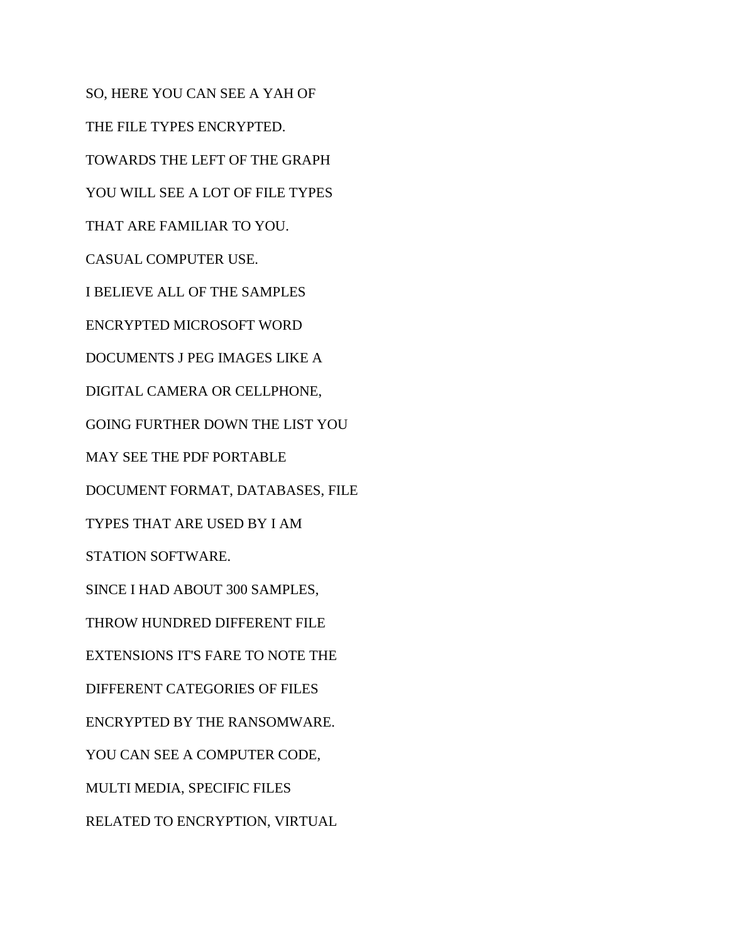SO, HERE YOU CAN SEE A YAH OF THE FILE TYPES ENCRYPTED. TOWARDS THE LEFT OF THE GRAPH YOU WILL SEE A LOT OF FILE TYPES THAT ARE FAMILIAR TO YOU. CASUAL COMPUTER USE. I BELIEVE ALL OF THE SAMPLES ENCRYPTED MICROSOFT WORD DOCUMENTS J PEG IMAGES LIKE A DIGITAL CAMERA OR CELLPHONE, GOING FURTHER DOWN THE LIST YOU MAY SEE THE PDF PORTABLE DOCUMENT FORMAT, DATABASES, FILE TYPES THAT ARE USED BY I AM STATION SOFTWARE. SINCE I HAD ABOUT 300 SAMPLES, THROW HUNDRED DIFFERENT FILE EXTENSIONS IT'S FARE TO NOTE THE DIFFERENT CATEGORIES OF FILES ENCRYPTED BY THE RANSOMWARE. YOU CAN SEE A COMPUTER CODE, MULTI MEDIA, SPECIFIC FILES RELATED TO ENCRYPTION, VIRTUAL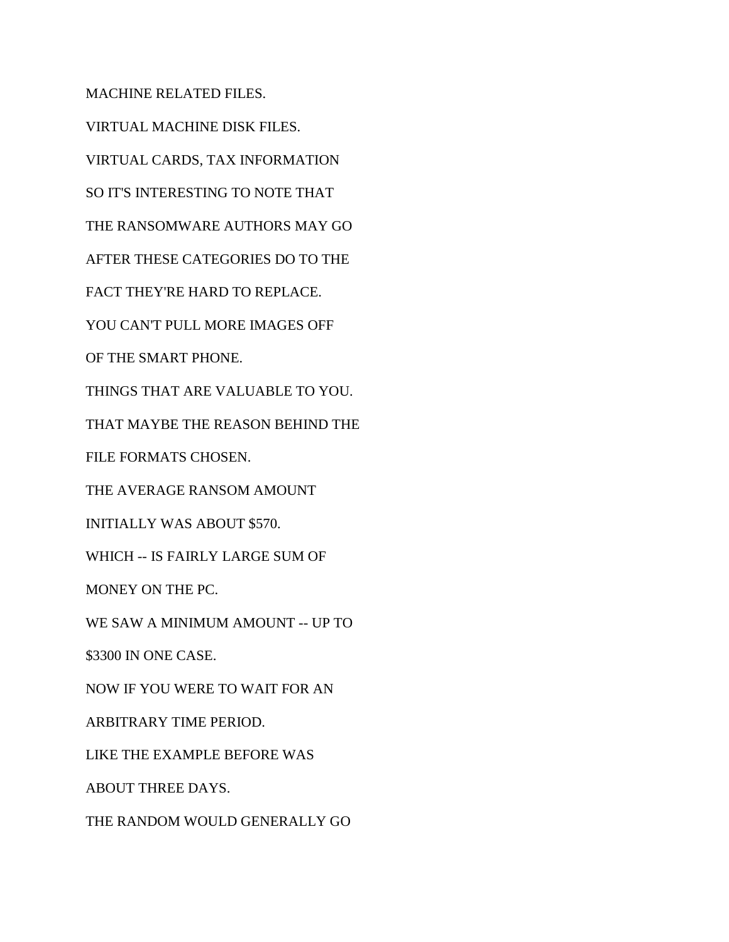MACHINE RELATED FILES. VIRTUAL MACHINE DISK FILES. VIRTUAL CARDS, TAX INFORMATION SO IT'S INTERESTING TO NOTE THAT THE RANSOMWARE AUTHORS MAY GO AFTER THESE CATEGORIES DO TO THE FACT THEY'RE HARD TO REPLACE. YOU CAN'T PULL MORE IMAGES OFF OF THE SMART PHONE. THINGS THAT ARE VALUABLE TO YOU. THAT MAYBE THE REASON BEHIND THE FILE FORMATS CHOSEN. THE AVERAGE RANSOM AMOUNT INITIALLY WAS ABOUT \$570. WHICH -- IS FAIRLY LARGE SUM OF MONEY ON THE PC. WE SAW A MINIMUM AMOUNT -- UP TO \$3300 IN ONE CASE. NOW IF YOU WERE TO WAIT FOR AN ARBITRARY TIME PERIOD. LIKE THE EXAMPLE BEFORE WAS ABOUT THREE DAYS. THE RANDOM WOULD GENERALLY GO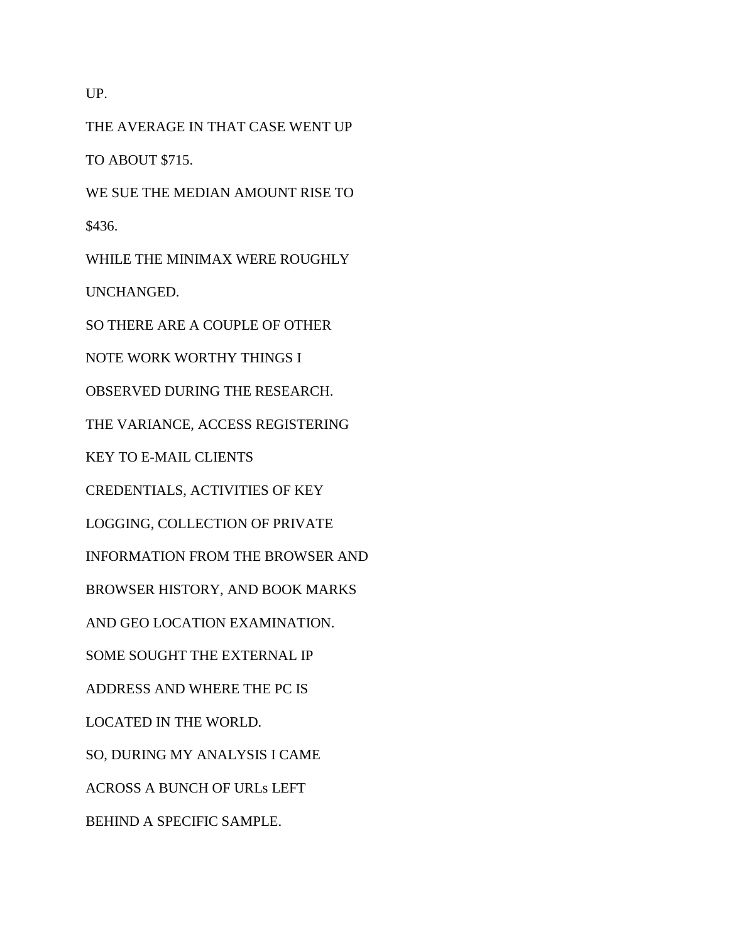UP.

THE AVERAGE IN THAT CASE WENT UP TO ABOUT \$715. WE SUE THE MEDIAN AMOUNT RISE TO \$436. WHILE THE MINIMAX WERE ROUGHLY UNCHANGED. SO THERE ARE A COUPLE OF OTHER NOTE WORK WORTHY THINGS I OBSERVED DURING THE RESEARCH. THE VARIANCE, ACCESS REGISTERING KEY TO E-MAIL CLIENTS CREDENTIALS, ACTIVITIES OF KEY LOGGING, COLLECTION OF PRIVATE INFORMATION FROM THE BROWSER AND BROWSER HISTORY, AND BOOK MARKS AND GEO LOCATION EXAMINATION. SOME SOUGHT THE EXTERNAL IP ADDRESS AND WHERE THE PC IS LOCATED IN THE WORLD. SO, DURING MY ANALYSIS I CAME ACROSS A BUNCH OF URLs LEFT BEHIND A SPECIFIC SAMPLE.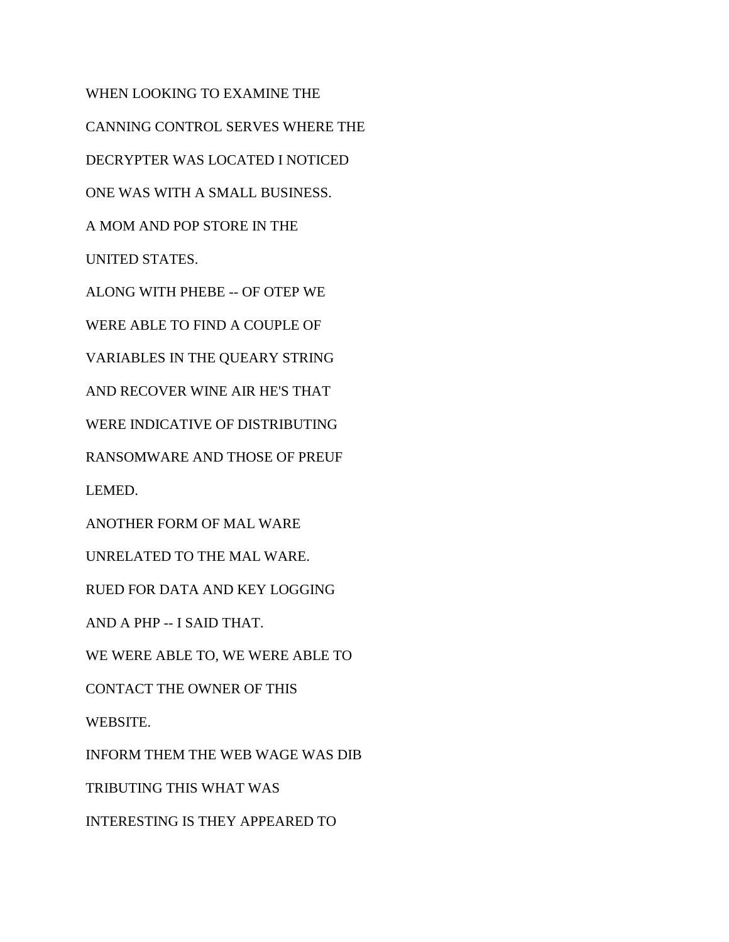WHEN LOOKING TO EXAMINE THE CANNING CONTROL SERVES WHERE THE DECRYPTER WAS LOCATED I NOTICED ONE WAS WITH A SMALL BUSINESS. A MOM AND POP STORE IN THE UNITED STATES. ALONG WITH PHEBE -- OF OTEP WE WERE ABLE TO FIND A COUPLE OF VARIABLES IN THE QUEARY STRING AND RECOVER WINE AIR HE'S THAT WERE INDICATIVE OF DISTRIBUTING RANSOMWARE AND THOSE OF PREUF LEMED. ANOTHER FORM OF MAL WARE UNRELATED TO THE MAL WARE. RUED FOR DATA AND KEY LOGGING AND A PHP -- I SAID THAT. WE WERE ABLE TO, WE WERE ABLE TO CONTACT THE OWNER OF THIS WEBSITE. INFORM THEM THE WEB WAGE WAS DIB TRIBUTING THIS WHAT WAS INTERESTING IS THEY APPEARED TO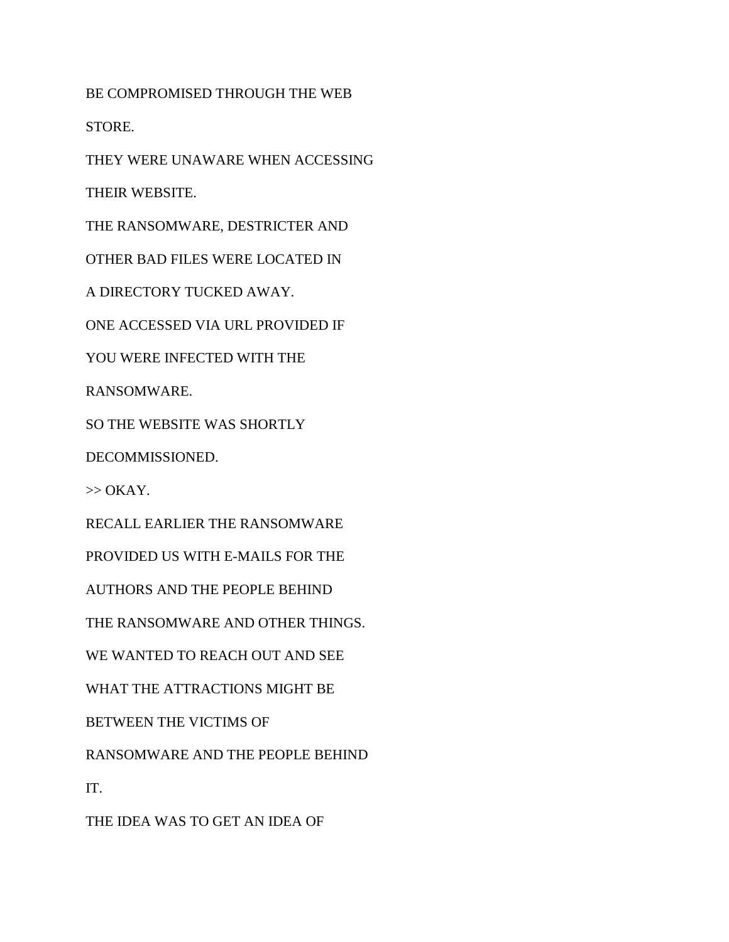BE COMPROMISED THROUGH THE WEB

STORE.

THEY WERE UNAWARE WHEN ACCESSING

THEIR WEBSITE.

THE RANSOMWARE, DESTRICTER AND

OTHER BAD FILES WERE LOCATED IN

A DIRECTORY TUCKED AWAY.

ONE ACCESSED VIA URL PROVIDED IF

YOU WERE INFECTED WITH THE

RANSOMWARE.

SO THE WEBSITE WAS SHORTLY

DECOMMISSIONED.

 $\gg$  OKAY.

RECALL EARLIER THE RANSOMWARE

PROVIDED US WITH E-MAILS FOR THE

AUTHORS AND THE PEOPLE BEHIND

THE RANSOMWARE AND OTHER THINGS.

WE WANTED TO REACH OUT AND SEE

WHAT THE ATTRACTIONS MIGHT BE

BETWEEN THE VICTIMS OF

RANSOMWARE AND THE PEOPLE BEHIND

IT.

THE IDEA WAS TO GET AN IDEA OF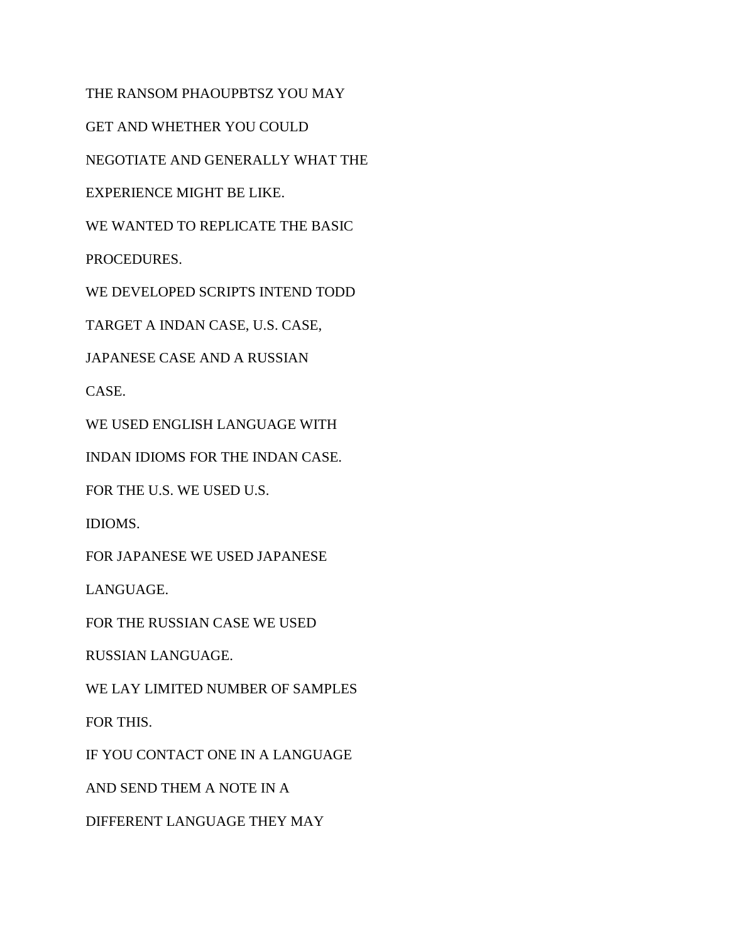THE RANSOM PHAOUPBTSZ YOU MAY

GET AND WHETHER YOU COULD

NEGOTIATE AND GENERALLY WHAT THE

EXPERIENCE MIGHT BE LIKE.

WE WANTED TO REPLICATE THE BASIC

PROCEDURES.

WE DEVELOPED SCRIPTS INTEND TODD

TARGET A INDAN CASE, U.S. CASE,

JAPANESE CASE AND A RUSSIAN

CASE.

WE USED ENGLISH LANGUAGE WITH

INDAN IDIOMS FOR THE INDAN CASE.

FOR THE U.S. WE USED U.S.

IDIOMS.

FOR JAPANESE WE USED JAPANESE

LANGUAGE.

FOR THE RUSSIAN CASE WE USED

RUSSIAN LANGUAGE.

WE LAY LIMITED NUMBER OF SAMPLES

FOR THIS.

IF YOU CONTACT ONE IN A LANGUAGE

AND SEND THEM A NOTE IN A

DIFFERENT LANGUAGE THEY MAY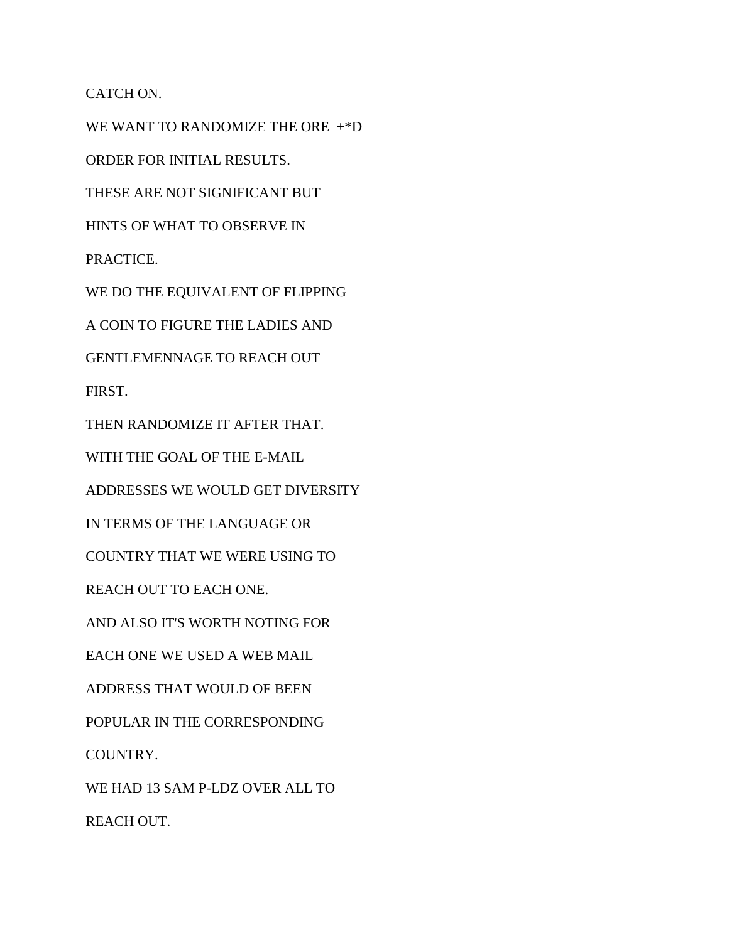CATCH ON.

WE WANT TO RANDOMIZE THE ORE +\*D ORDER FOR INITIAL RESULTS. THESE ARE NOT SIGNIFICANT BUT HINTS OF WHAT TO OBSERVE IN PRACTICE. WE DO THE EQUIVALENT OF FLIPPING A COIN TO FIGURE THE LADIES AND GENTLEMENNAGE TO REACH OUT FIRST. THEN RANDOMIZE IT AFTER THAT. WITH THE GOAL OF THE E-MAIL ADDRESSES WE WOULD GET DIVERSITY IN TERMS OF THE LANGUAGE OR COUNTRY THAT WE WERE USING TO REACH OUT TO EACH ONE. AND ALSO IT'S WORTH NOTING FOR EACH ONE WE USED A WEB MAIL ADDRESS THAT WOULD OF BEEN POPULAR IN THE CORRESPONDING COUNTRY. WE HAD 13 SAM P-LDZ OVER ALL TO

REACH OUT.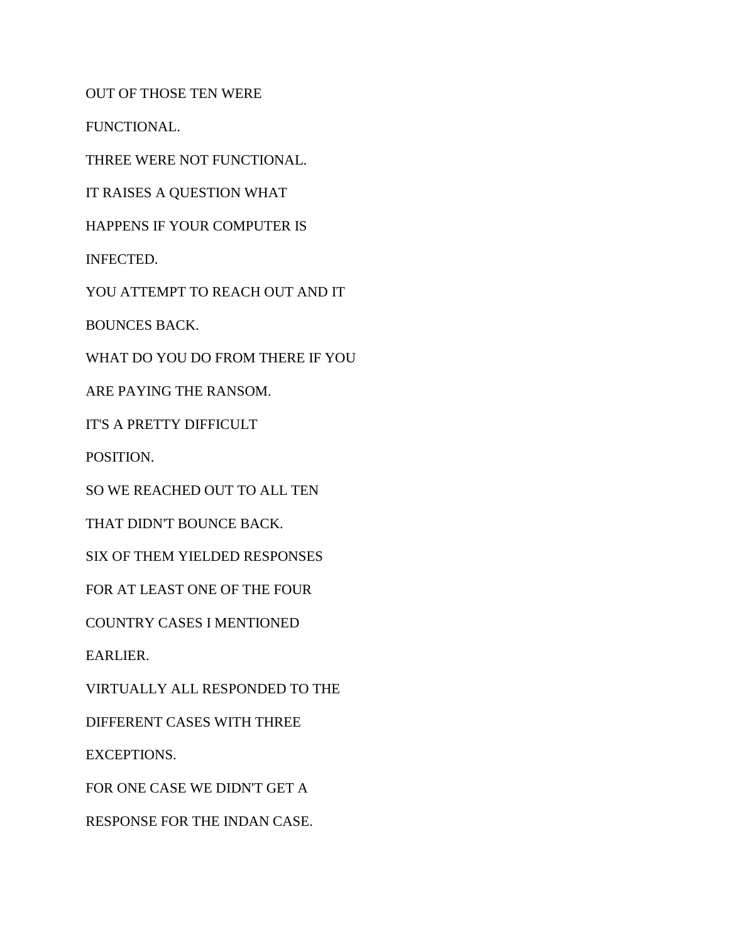OUT OF THOSE TEN WERE

FUNCTIONAL.

THREE WERE NOT FUNCTIONAL.

IT RAISES A QUESTION WHAT

HAPPENS IF YOUR COMPUTER IS

INFECTED.

YOU ATTEMPT TO REACH OUT AND IT

BOUNCES BACK.

WHAT DO YOU DO FROM THERE IF YOU

ARE PAYING THE RANSOM.

IT'S A PRETTY DIFFICULT

POSITION.

SO WE REACHED OUT TO ALL TEN

THAT DIDN'T BOUNCE BACK.

SIX OF THEM YIELDED RESPONSES

FOR AT LEAST ONE OF THE FOUR

COUNTRY CASES I MENTIONED

EARLIER.

VIRTUALLY ALL RESPONDED TO THE

DIFFERENT CASES WITH THREE

EXCEPTIONS.

FOR ONE CASE WE DIDN'T GET A

RESPONSE FOR THE INDAN CASE.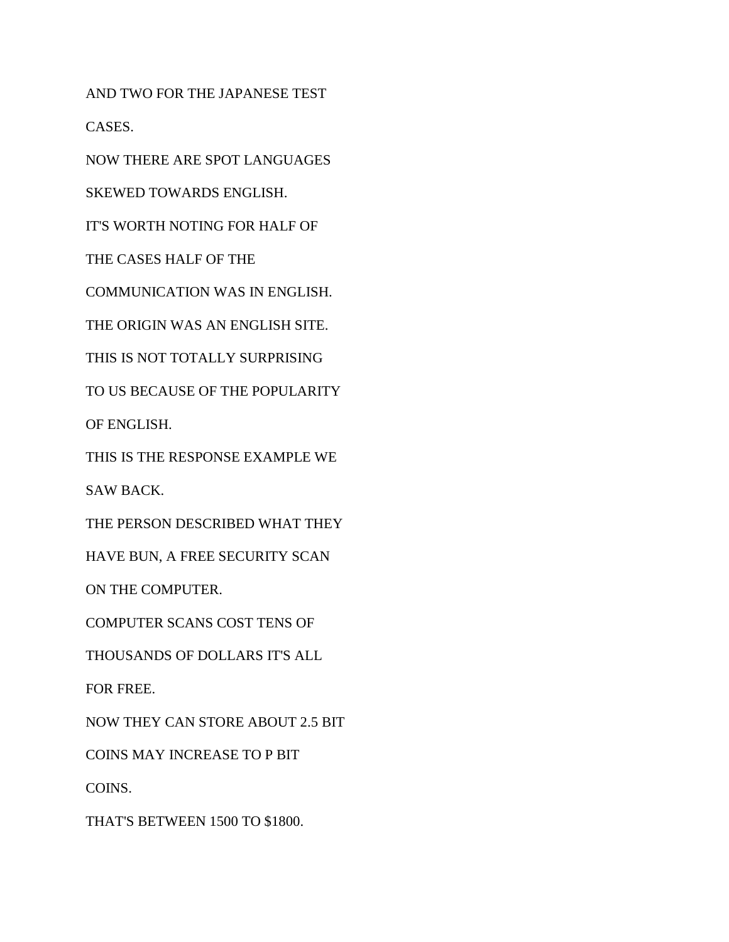AND TWO FOR THE JAPANESE TEST CASES.

NOW THERE ARE SPOT LANGUAGES

SKEWED TOWARDS ENGLISH.

IT'S WORTH NOTING FOR HALF OF

THE CASES HALF OF THE

COMMUNICATION WAS IN ENGLISH.

THE ORIGIN WAS AN ENGLISH SITE.

THIS IS NOT TOTALLY SURPRISING

TO US BECAUSE OF THE POPULARITY

OF ENGLISH.

THIS IS THE RESPONSE EXAMPLE WE

SAW BACK.

THE PERSON DESCRIBED WHAT THEY

HAVE BUN, A FREE SECURITY SCAN

ON THE COMPUTER.

COMPUTER SCANS COST TENS OF

THOUSANDS OF DOLLARS IT'S ALL

FOR FREE.

NOW THEY CAN STORE ABOUT 2.5 BIT

COINS MAY INCREASE TO P BIT

COINS.

THAT'S BETWEEN 1500 TO \$1800.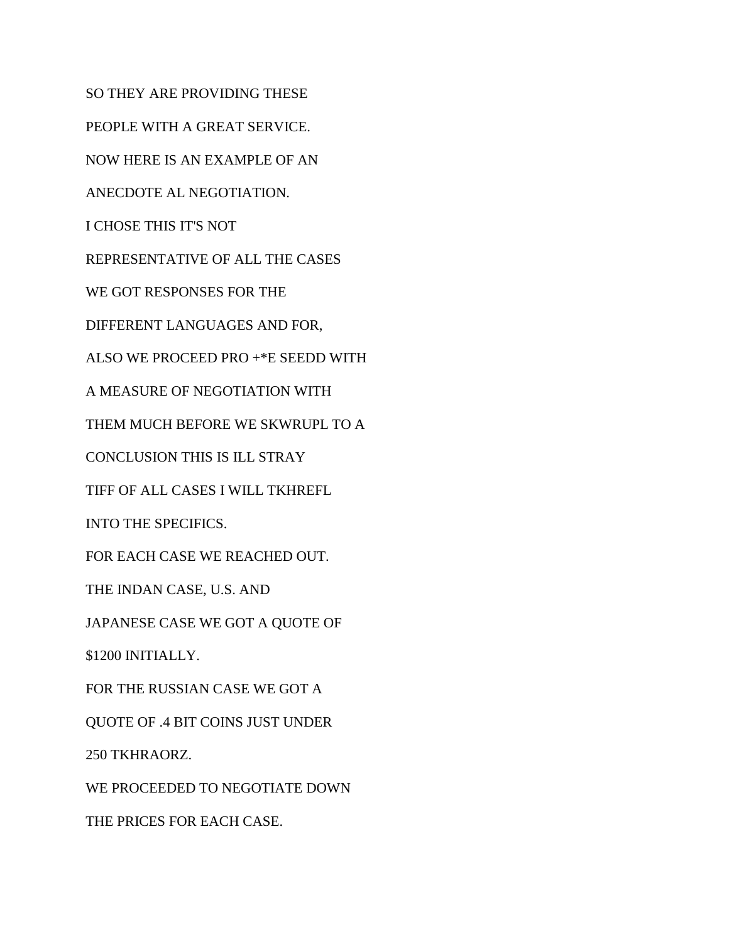SO THEY ARE PROVIDING THESE PEOPLE WITH A GREAT SERVICE. NOW HERE IS AN EXAMPLE OF AN ANECDOTE AL NEGOTIATION. I CHOSE THIS IT'S NOT REPRESENTATIVE OF ALL THE CASES WE GOT RESPONSES FOR THE DIFFERENT LANGUAGES AND FOR, ALSO WE PROCEED PRO +\*E SEEDD WITH A MEASURE OF NEGOTIATION WITH THEM MUCH BEFORE WE SKWRUPL TO A CONCLUSION THIS IS ILL STRAY TIFF OF ALL CASES I WILL TKHREFL INTO THE SPECIFICS. FOR EACH CASE WE REACHED OUT. THE INDAN CASE, U.S. AND JAPANESE CASE WE GOT A QUOTE OF \$1200 INITIALLY. FOR THE RUSSIAN CASE WE GOT A QUOTE OF .4 BIT COINS JUST UNDER 250 TKHRAORZ. WE PROCEEDED TO NEGOTIATE DOWN THE PRICES FOR EACH CASE.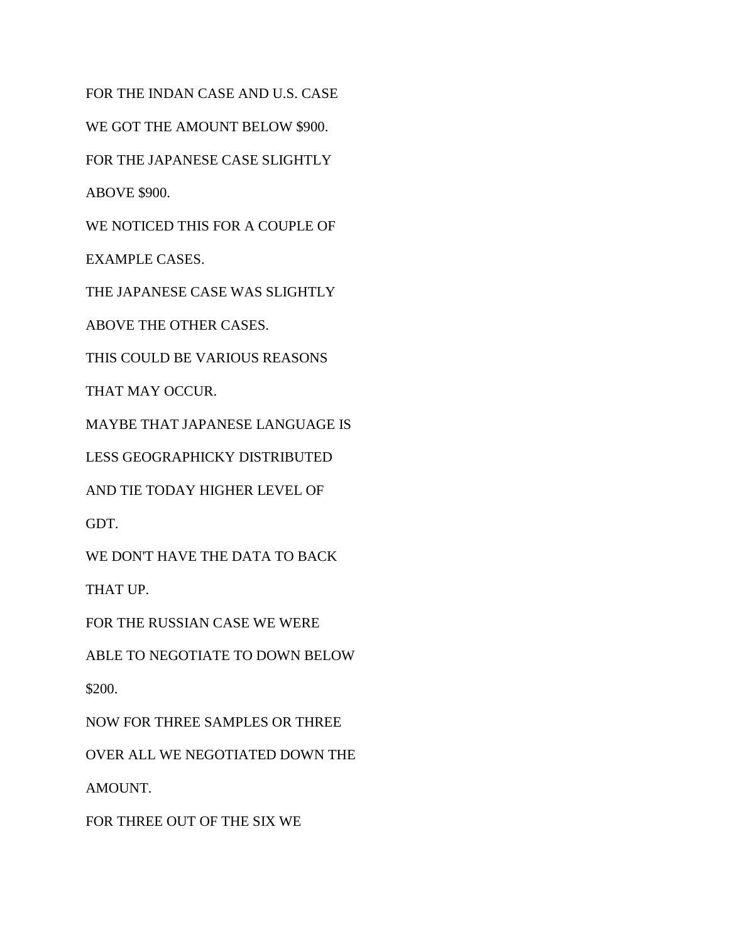FOR THE INDAN CASE AND U.S. CASE WE GOT THE AMOUNT BELOW \$900. FOR THE JAPANESE CASE SLIGHTLY ABOVE \$900. WE NOTICED THIS FOR A COUPLE OF EXAMPLE CASES. THE JAPANESE CASE WAS SLIGHTLY ABOVE THE OTHER CASES. THIS COULD BE VARIOUS REASONS THAT MAY OCCUR. MAYBE THAT JAPANESE LANGUAGE IS LESS GEOGRAPHICKY DISTRIBUTED AND TIE TODAY HIGHER LEVEL OF GDT. WE DON'T HAVE THE DATA TO BACK THAT UP. FOR THE RUSSIAN CASE WE WERE ABLE TO NEGOTIATE TO DOWN BELOW \$200. NOW FOR THREE SAMPLES OR THREE OVER ALL WE NEGOTIATED DOWN THE

AMOUNT.

FOR THREE OUT OF THE SIX WE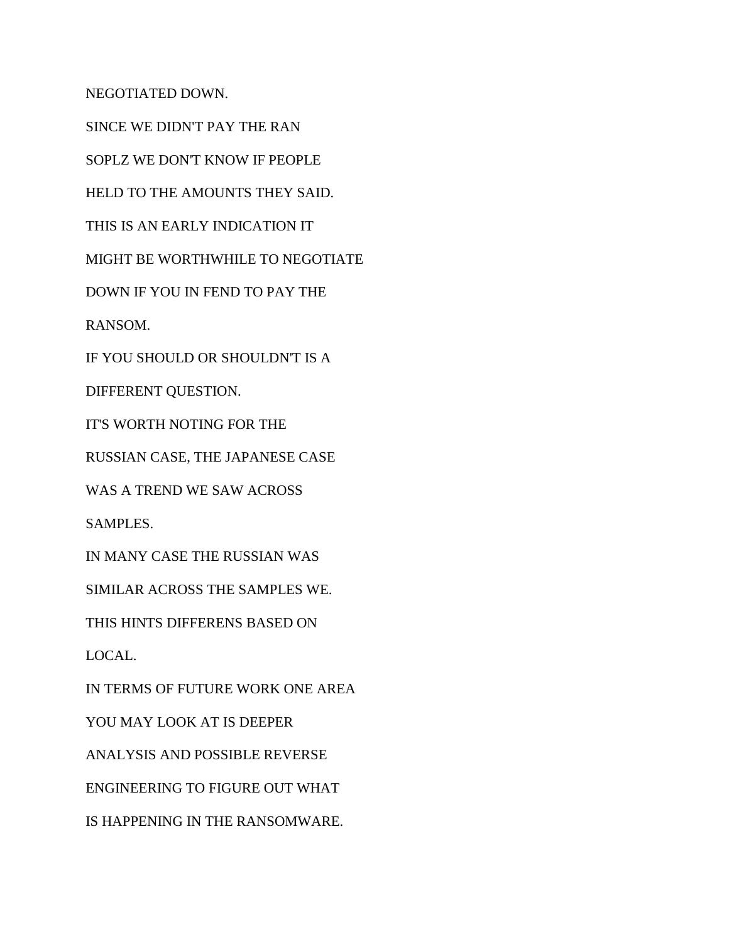NEGOTIATED DOWN.

SINCE WE DIDN'T PAY THE RAN SOPLZ WE DON'T KNOW IF PEOPLE HELD TO THE AMOUNTS THEY SAID. THIS IS AN EARLY INDICATION IT MIGHT BE WORTHWHILE TO NEGOTIATE DOWN IF YOU IN FEND TO PAY THE RANSOM. IF YOU SHOULD OR SHOULDN'T IS A DIFFERENT QUESTION. IT'S WORTH NOTING FOR THE RUSSIAN CASE, THE JAPANESE CASE WAS A TREND WE SAW ACROSS SAMPLES. IN MANY CASE THE RUSSIAN WAS SIMILAR ACROSS THE SAMPLES WE. THIS HINTS DIFFERENS BASED ON LOCAL. IN TERMS OF FUTURE WORK ONE AREA YOU MAY LOOK AT IS DEEPER ANALYSIS AND POSSIBLE REVERSE ENGINEERING TO FIGURE OUT WHAT IS HAPPENING IN THE RANSOMWARE.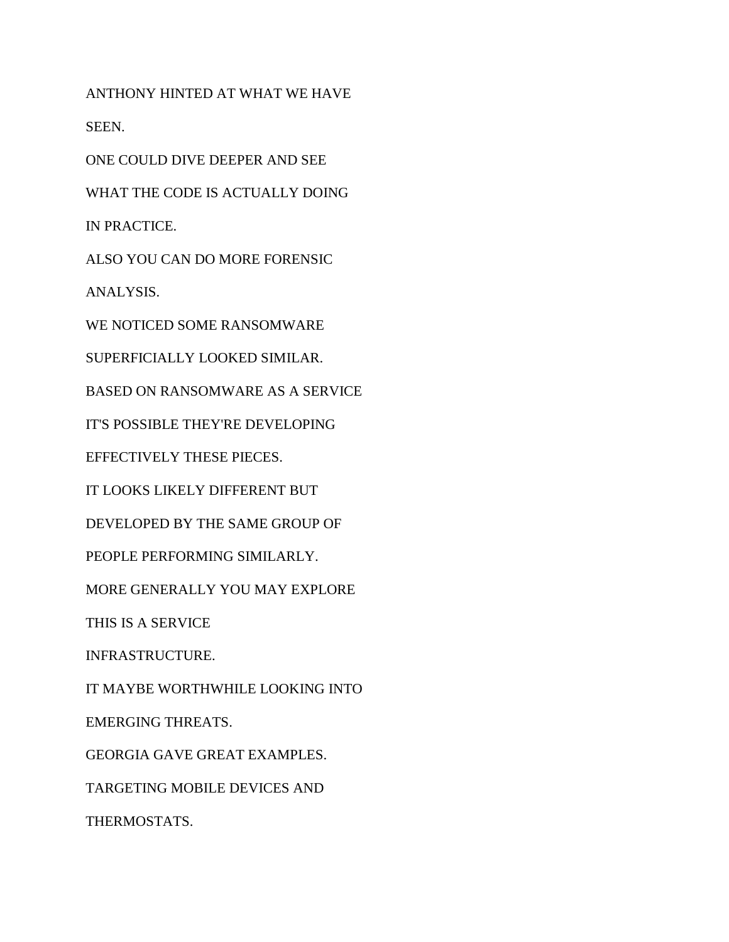ANTHONY HINTED AT WHAT WE HAVE SEEN. ONE COULD DIVE DEEPER AND SEE WHAT THE CODE IS ACTUALLY DOING IN PRACTICE. ALSO YOU CAN DO MORE FORENSIC ANALYSIS. WE NOTICED SOME RANSOMWARE SUPERFICIALLY LOOKED SIMILAR. BASED ON RANSOMWARE AS A SERVICE IT'S POSSIBLE THEY'RE DEVELOPING EFFECTIVELY THESE PIECES. IT LOOKS LIKELY DIFFERENT BUT DEVELOPED BY THE SAME GROUP OF PEOPLE PERFORMING SIMILARLY. MORE GENERALLY YOU MAY EXPLORE THIS IS A SERVICE INFRASTRUCTURE. IT MAYBE WORTHWHILE LOOKING INTO EMERGING THREATS. GEORGIA GAVE GREAT EXAMPLES. TARGETING MOBILE DEVICES AND THERMOSTATS.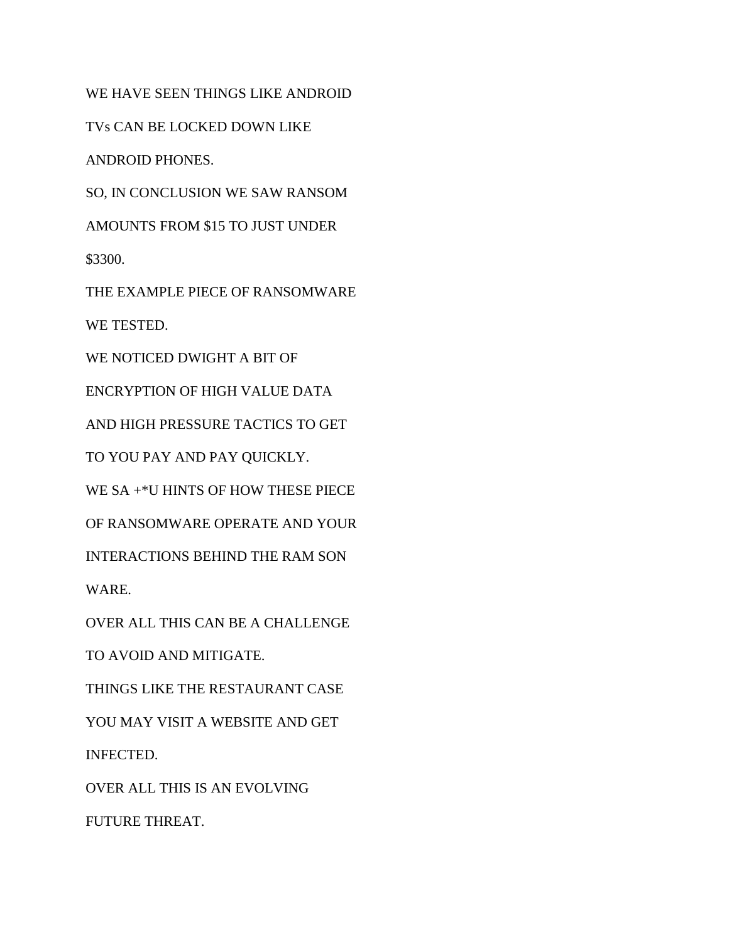WE HAVE SEEN THINGS LIKE ANDROID TVs CAN BE LOCKED DOWN LIKE ANDROID PHONES. SO, IN CONCLUSION WE SAW RANSOM AMOUNTS FROM \$15 TO JUST UNDER \$3300. THE EXAMPLE PIECE OF RANSOMWARE WE TESTED. WE NOTICED DWIGHT A BIT OF ENCRYPTION OF HIGH VALUE DATA AND HIGH PRESSURE TACTICS TO GET TO YOU PAY AND PAY QUICKLY. WE SA +\*U HINTS OF HOW THESE PIECE OF RANSOMWARE OPERATE AND YOUR INTERACTIONS BEHIND THE RAM SON WARE. OVER ALL THIS CAN BE A CHALLENGE TO AVOID AND MITIGATE. THINGS LIKE THE RESTAURANT CASE YOU MAY VISIT A WEBSITE AND GET INFECTED.

OVER ALL THIS IS AN EVOLVING

FUTURE THREAT.